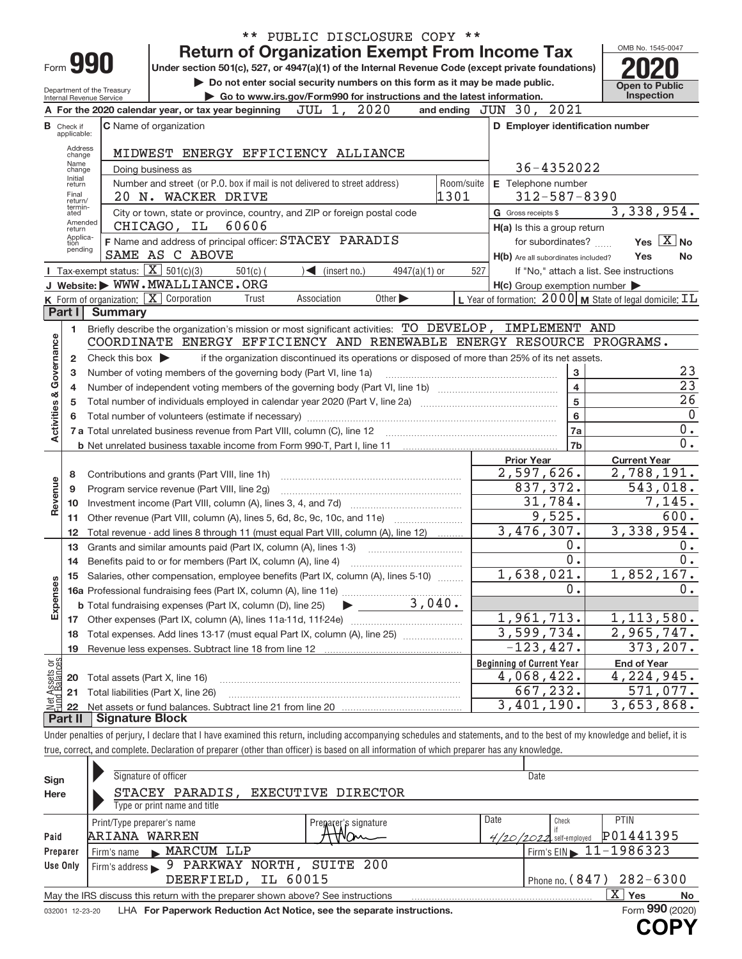|                                                                                                                                         |                         |                                                   | ** PUBLIC DISCLOSURE COPY **                                                                                                                                                  |                                                                              |                                          |  |  |  |  |  |
|-----------------------------------------------------------------------------------------------------------------------------------------|-------------------------|---------------------------------------------------|-------------------------------------------------------------------------------------------------------------------------------------------------------------------------------|------------------------------------------------------------------------------|------------------------------------------|--|--|--|--|--|
|                                                                                                                                         |                         |                                                   | <b>Return of Organization Exempt From Income Tax</b>                                                                                                                          |                                                                              | OMB No. 1545-0047                        |  |  |  |  |  |
| Form 990                                                                                                                                |                         |                                                   | Under section 501(c), 527, or 4947(a)(1) of the Internal Revenue Code (except private foundations)                                                                            |                                                                              |                                          |  |  |  |  |  |
|                                                                                                                                         |                         |                                                   | Do not enter social security numbers on this form as it may be made public.                                                                                                   |                                                                              | <b>Open to Public</b>                    |  |  |  |  |  |
| Department of the Treasury<br>Go to www.irs.gov/Form990 for instructions and the latest information.<br><b>Internal Revenue Service</b> |                         |                                                   |                                                                                                                                                                               |                                                                              |                                          |  |  |  |  |  |
|                                                                                                                                         |                         |                                                   | A For the 2020 calendar year, or tax year beginning $JUL$ 1, $2020$                                                                                                           | and ending JUN 30, 2021                                                      |                                          |  |  |  |  |  |
|                                                                                                                                         | Check if<br>applicable: |                                                   | C Name of organization                                                                                                                                                        | D Employer identification number                                             |                                          |  |  |  |  |  |
|                                                                                                                                         | Address                 |                                                   |                                                                                                                                                                               |                                                                              |                                          |  |  |  |  |  |
|                                                                                                                                         | change<br>Name          |                                                   | MIDWEST ENERGY EFFICIENCY ALLIANCE                                                                                                                                            |                                                                              |                                          |  |  |  |  |  |
|                                                                                                                                         | change<br>Initial       |                                                   | Doing business as                                                                                                                                                             | 36-4352022                                                                   |                                          |  |  |  |  |  |
|                                                                                                                                         | return<br>Final         |                                                   | Room/suite<br>Number and street (or P.O. box if mail is not delivered to street address)                                                                                      | E Telephone number                                                           |                                          |  |  |  |  |  |
|                                                                                                                                         | return/<br>termin-      |                                                   | 1301<br>20 N. WACKER DRIVE                                                                                                                                                    | $312 - 587 - 8390$                                                           |                                          |  |  |  |  |  |
|                                                                                                                                         | ated<br>Amended         |                                                   | City or town, state or province, country, and ZIP or foreign postal code                                                                                                      | G Gross receipts \$                                                          | 3,338,954.                               |  |  |  |  |  |
|                                                                                                                                         | return<br>Applica-      |                                                   | CHICAGO, IL 60606                                                                                                                                                             | H(a) Is this a group return                                                  |                                          |  |  |  |  |  |
|                                                                                                                                         | tion<br>pending         |                                                   | F Name and address of principal officer: STACEY PARADIS                                                                                                                       | for subordinates?                                                            | Yes $X$ No                               |  |  |  |  |  |
|                                                                                                                                         |                         |                                                   | SAME AS C ABOVE                                                                                                                                                               | H(b) Are all subordinates included?                                          | Yes<br>No                                |  |  |  |  |  |
|                                                                                                                                         |                         | Tax-exempt status: $\boxed{\mathbf{X}}$ 501(c)(3) | $501(c)$ (<br>$\leq$ (insert no.)<br>$4947(a)(1)$ or                                                                                                                          | 527                                                                          | If "No," attach a list. See instructions |  |  |  |  |  |
|                                                                                                                                         |                         |                                                   | J Website: WWW.MWALLIANCE.ORG                                                                                                                                                 | $H(c)$ Group exemption number $\blacktriangleright$                          |                                          |  |  |  |  |  |
|                                                                                                                                         | Part I                  | <b>Summary</b>                                    | K Form of organization: X Corporation<br>Association<br>Other $\blacktriangleright$<br>Trust                                                                                  | L Year of formation: $2000 \text{   M}$ State of legal domicile: $\text{IL}$ |                                          |  |  |  |  |  |
|                                                                                                                                         |                         |                                                   |                                                                                                                                                                               |                                                                              |                                          |  |  |  |  |  |
|                                                                                                                                         | 1.                      |                                                   | Briefly describe the organization's mission or most significant activities: TO DEVELOP, IMPLEMENT AND<br>COORDINATE ENERGY EFFICIENCY AND RENEWABLE ENERGY RESOURCE PROGRAMS. |                                                                              |                                          |  |  |  |  |  |
|                                                                                                                                         |                         |                                                   |                                                                                                                                                                               |                                                                              |                                          |  |  |  |  |  |
|                                                                                                                                         | $\mathbf{2}$            | Check this box $\blacktriangleright$              | if the organization discontinued its operations or disposed of more than 25% of its net assets.<br>Number of voting members of the governing body (Part VI, line 1a)          | 3                                                                            | 23                                       |  |  |  |  |  |
|                                                                                                                                         | з                       |                                                   | $\overline{23}$                                                                                                                                                               |                                                                              |                                          |  |  |  |  |  |
|                                                                                                                                         | 4                       |                                                   |                                                                                                                                                                               | $\overline{\mathbf{4}}$<br>$\overline{5}$                                    | $\overline{26}$                          |  |  |  |  |  |
| Activities & Governance                                                                                                                 | 5                       |                                                   |                                                                                                                                                                               | $6\phantom{a}$                                                               | $\overline{0}$                           |  |  |  |  |  |
|                                                                                                                                         |                         |                                                   |                                                                                                                                                                               | 7a                                                                           | $0$ .                                    |  |  |  |  |  |
|                                                                                                                                         |                         |                                                   |                                                                                                                                                                               | 7 <sub>b</sub>                                                               | $\overline{0}$ .                         |  |  |  |  |  |
|                                                                                                                                         |                         |                                                   |                                                                                                                                                                               | <b>Prior Year</b>                                                            | <b>Current Year</b>                      |  |  |  |  |  |
|                                                                                                                                         | 8                       |                                                   | Contributions and grants (Part VIII, line 1h)                                                                                                                                 | 2,597,626.                                                                   | 2,788,191.                               |  |  |  |  |  |
|                                                                                                                                         | 9                       |                                                   | Program service revenue (Part VIII, line 2g)                                                                                                                                  | 837,372.                                                                     | 543,018.                                 |  |  |  |  |  |
| Revenue                                                                                                                                 | 10                      |                                                   |                                                                                                                                                                               | 31,784.                                                                      | 7,145.                                   |  |  |  |  |  |
|                                                                                                                                         | 11                      |                                                   | Other revenue (Part VIII, column (A), lines 5, 6d, 8c, 9c, 10c, and 11e)                                                                                                      | 9,525.                                                                       | 600.                                     |  |  |  |  |  |
|                                                                                                                                         | 12                      |                                                   | Total revenue - add lines 8 through 11 (must equal Part VIII, column (A), line 12)                                                                                            | 3,476,307.                                                                   | 3,338,954.                               |  |  |  |  |  |
|                                                                                                                                         | 13                      |                                                   | Grants and similar amounts paid (Part IX, column (A), lines 1-3)                                                                                                              | 0.                                                                           | 0.                                       |  |  |  |  |  |
|                                                                                                                                         | 14                      |                                                   | Benefits paid to or for members (Part IX, column (A), line 4)                                                                                                                 | $\overline{0}$ .                                                             | 0.                                       |  |  |  |  |  |
|                                                                                                                                         |                         |                                                   | Salaries, other compensation, employee benefits (Part IX, column (A), lines 5-10)                                                                                             | 1,638,021.                                                                   | 1,852,167.                               |  |  |  |  |  |
|                                                                                                                                         |                         |                                                   |                                                                                                                                                                               | 0.                                                                           | 0.                                       |  |  |  |  |  |
| Expenses                                                                                                                                |                         |                                                   | 16 December 2016<br>16 Professional fundraising fees (Part IX, column (A), line 11e)<br>19 December 2016 - 2016<br>19 December 2016                                           |                                                                              |                                          |  |  |  |  |  |
|                                                                                                                                         |                         |                                                   |                                                                                                                                                                               | 1,961,713.                                                                   | 1, 113, 580.                             |  |  |  |  |  |
|                                                                                                                                         | 18                      |                                                   | Total expenses. Add lines 13-17 (must equal Part IX, column (A), line 25)                                                                                                     | 3,599,734.                                                                   | 2,965,747.                               |  |  |  |  |  |
|                                                                                                                                         | 19                      |                                                   |                                                                                                                                                                               | $-123, 427.$                                                                 | 373,207.                                 |  |  |  |  |  |
|                                                                                                                                         |                         |                                                   |                                                                                                                                                                               | <b>Beginning of Current Year</b>                                             | <b>End of Year</b>                       |  |  |  |  |  |
|                                                                                                                                         | 20                      | Total assets (Part X, line 16)                    |                                                                                                                                                                               | 4,068,422.                                                                   | 4,224,945.                               |  |  |  |  |  |
|                                                                                                                                         | 21                      |                                                   | Total liabilities (Part X, line 26)                                                                                                                                           | 667,232.                                                                     | 571,077.                                 |  |  |  |  |  |
| Net Assets or<br>Eund Balances                                                                                                          | 22                      |                                                   |                                                                                                                                                                               | 3,401,190.                                                                   | $\overline{3}$ , 653, 868.               |  |  |  |  |  |
|                                                                                                                                         | Part II                 | Signature Block                                   |                                                                                                                                                                               |                                                                              |                                          |  |  |  |  |  |
|                                                                                                                                         |                         |                                                   | Under penalties of perjury, I declare that I have examined this return, including accompanying schedules and statements, and to the best of my knowledge and belief, it is    |                                                                              |                                          |  |  |  |  |  |
|                                                                                                                                         |                         |                                                   | true, correct, and complete. Declaration of preparer (other than officer) is based on all information of which preparer has any knowledge.                                    |                                                                              |                                          |  |  |  |  |  |

| Sign     | Signature of officer                                                                 | Date          |                                             |
|----------|--------------------------------------------------------------------------------------|---------------|---------------------------------------------|
| Here     | STACEY PARADIS,<br>EXECUTIVE DIRECTOR<br>Type or print name and title                |               |                                             |
|          | Print/Type preparer's name<br>Preparer's signature                                   | Date<br>Check | <b>PTIN</b>                                 |
| Paid     | ARIANA WARREN                                                                        |               | P01441395<br>self-employed                  |
| Preparer | MARCUM LLP<br>Firm's name                                                            |               | Firm's EIN $\blacktriangleright$ 11-1986323 |
| Use Only | Firm's address > 9 PARKWAY NORTH, SUITE 200                                          |               |                                             |
|          | IL 60015<br>DEERFIELD,                                                               |               | Phone no. $(847)$ 282-6300                  |
|          | May the IRS discuss this return with the preparer shown above? See instructions      |               | X.<br>Yes<br>No                             |
|          | access the contract of the Department Deduction Ast Nation and the concurte included |               | $F_{\text{sum}}$ 990 (2020)                 |

032001 12-23-20 LHA **For Paperwork Reduction Act Notice, see the separate instructions.** Form 990 (2020)

**990 COPY**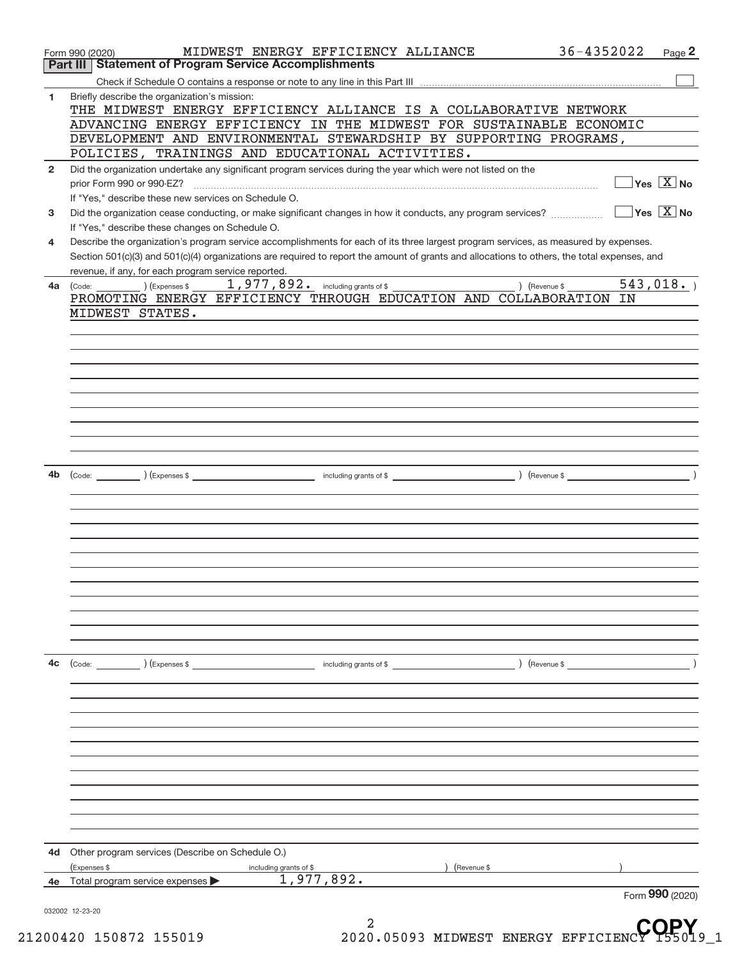|              | Form 990 (2020)                                                                                                                              | MIDWEST ENERGY EFFICIENCY ALLIANCE                                                                                                                                                                                                                                                                                                                                                                                                               |               | 36-4352022<br>Page 2                    |
|--------------|----------------------------------------------------------------------------------------------------------------------------------------------|--------------------------------------------------------------------------------------------------------------------------------------------------------------------------------------------------------------------------------------------------------------------------------------------------------------------------------------------------------------------------------------------------------------------------------------------------|---------------|-----------------------------------------|
| Part III     | <b>Statement of Program Service Accomplishments</b>                                                                                          |                                                                                                                                                                                                                                                                                                                                                                                                                                                  |               |                                         |
|              |                                                                                                                                              |                                                                                                                                                                                                                                                                                                                                                                                                                                                  |               |                                         |
| 1            | Briefly describe the organization's mission:                                                                                                 |                                                                                                                                                                                                                                                                                                                                                                                                                                                  |               |                                         |
|              | THE MIDWEST ENERGY EFFICIENCY ALLIANCE IS A COLLABORATIVE NETWORK<br>ADVANCING ENERGY EFFICIENCY IN THE MIDWEST FOR SUSTAINABLE ECONOMIC     |                                                                                                                                                                                                                                                                                                                                                                                                                                                  |               |                                         |
|              | DEVELOPMENT AND ENVIRONMENTAL STEWARDSHIP BY SUPPORTING PROGRAMS,                                                                            |                                                                                                                                                                                                                                                                                                                                                                                                                                                  |               |                                         |
|              | POLICIES, TRAININGS AND EDUCATIONAL ACTIVITIES.                                                                                              |                                                                                                                                                                                                                                                                                                                                                                                                                                                  |               |                                         |
| $\mathbf{2}$ | Did the organization undertake any significant program services during the year which were not listed on the                                 |                                                                                                                                                                                                                                                                                                                                                                                                                                                  |               |                                         |
|              | prior Form 990 or 990-EZ?                                                                                                                    | $\begin{minipage}{0.5\textwidth} \begin{tabular}{ l l l } \hline \multicolumn{1}{ l l l } \hline \multicolumn{1}{ l l } \hline \multicolumn{1}{ l } \multicolumn{1}{ l } \hline \multicolumn{1}{ l } \multicolumn{1}{ l } \multicolumn{1}{ l } \hline \multicolumn{1}{ l } \multicolumn{1}{ l } \multicolumn{1}{ l } \hline \multicolumn{1}{ l } \multicolumn{1}{ l } \hline \multicolumn{1}{ l } \multicolumn{1}{ l } \hline \multicolumn{1}{ $ |               | $\Box$ Yes $[\overline{\mathrm{X}}]$ No |
|              | If "Yes," describe these new services on Schedule O.                                                                                         |                                                                                                                                                                                                                                                                                                                                                                                                                                                  |               |                                         |
| 3            | Did the organization cease conducting, or make significant changes in how it conducts, any program services?                                 |                                                                                                                                                                                                                                                                                                                                                                                                                                                  |               | $\sqrt{}$ Yes $\sqrt{}$ X $\sqrt{}$ No  |
|              | If "Yes," describe these changes on Schedule O.                                                                                              |                                                                                                                                                                                                                                                                                                                                                                                                                                                  |               |                                         |
| 4            | Describe the organization's program service accomplishments for each of its three largest program services, as measured by expenses.         |                                                                                                                                                                                                                                                                                                                                                                                                                                                  |               |                                         |
|              | Section 501(c)(3) and 501(c)(4) organizations are required to report the amount of grants and allocations to others, the total expenses, and |                                                                                                                                                                                                                                                                                                                                                                                                                                                  |               |                                         |
|              | revenue, if any, for each program service reported.                                                                                          |                                                                                                                                                                                                                                                                                                                                                                                                                                                  |               |                                         |
| 4a           | (Code: ) (Expenses \$<br>PROMOTING ENERGY EFFICIENCY THROUGH EDUCATION AND COLLABORATION IN                                                  | 1,977,892. including grants of \$                                                                                                                                                                                                                                                                                                                                                                                                                | ) (Revenue \$ | 543,018.                                |
|              | MIDWEST STATES.                                                                                                                              |                                                                                                                                                                                                                                                                                                                                                                                                                                                  |               |                                         |
|              |                                                                                                                                              |                                                                                                                                                                                                                                                                                                                                                                                                                                                  |               |                                         |
|              |                                                                                                                                              |                                                                                                                                                                                                                                                                                                                                                                                                                                                  |               |                                         |
|              |                                                                                                                                              |                                                                                                                                                                                                                                                                                                                                                                                                                                                  |               |                                         |
|              |                                                                                                                                              |                                                                                                                                                                                                                                                                                                                                                                                                                                                  |               |                                         |
|              |                                                                                                                                              |                                                                                                                                                                                                                                                                                                                                                                                                                                                  |               |                                         |
|              |                                                                                                                                              |                                                                                                                                                                                                                                                                                                                                                                                                                                                  |               |                                         |
|              |                                                                                                                                              |                                                                                                                                                                                                                                                                                                                                                                                                                                                  |               |                                         |
|              |                                                                                                                                              |                                                                                                                                                                                                                                                                                                                                                                                                                                                  |               |                                         |
|              |                                                                                                                                              |                                                                                                                                                                                                                                                                                                                                                                                                                                                  |               |                                         |
|              |                                                                                                                                              |                                                                                                                                                                                                                                                                                                                                                                                                                                                  |               |                                         |
| 4b           |                                                                                                                                              |                                                                                                                                                                                                                                                                                                                                                                                                                                                  |               |                                         |
|              |                                                                                                                                              |                                                                                                                                                                                                                                                                                                                                                                                                                                                  |               |                                         |
|              |                                                                                                                                              |                                                                                                                                                                                                                                                                                                                                                                                                                                                  |               |                                         |
|              |                                                                                                                                              |                                                                                                                                                                                                                                                                                                                                                                                                                                                  |               |                                         |
|              |                                                                                                                                              |                                                                                                                                                                                                                                                                                                                                                                                                                                                  |               |                                         |
|              |                                                                                                                                              |                                                                                                                                                                                                                                                                                                                                                                                                                                                  |               |                                         |
|              |                                                                                                                                              |                                                                                                                                                                                                                                                                                                                                                                                                                                                  |               |                                         |
|              |                                                                                                                                              |                                                                                                                                                                                                                                                                                                                                                                                                                                                  |               |                                         |
|              |                                                                                                                                              |                                                                                                                                                                                                                                                                                                                                                                                                                                                  |               |                                         |
|              |                                                                                                                                              |                                                                                                                                                                                                                                                                                                                                                                                                                                                  |               |                                         |
|              |                                                                                                                                              |                                                                                                                                                                                                                                                                                                                                                                                                                                                  |               |                                         |
|              |                                                                                                                                              |                                                                                                                                                                                                                                                                                                                                                                                                                                                  |               |                                         |
| 4c           | $\left(\text{Code:}\right)$ $\left(\text{Expenses $}\right)$                                                                                 | including grants of \$                                                                                                                                                                                                                                                                                                                                                                                                                           |               |                                         |
|              |                                                                                                                                              |                                                                                                                                                                                                                                                                                                                                                                                                                                                  |               |                                         |
|              |                                                                                                                                              |                                                                                                                                                                                                                                                                                                                                                                                                                                                  |               |                                         |
|              |                                                                                                                                              |                                                                                                                                                                                                                                                                                                                                                                                                                                                  |               |                                         |
|              |                                                                                                                                              |                                                                                                                                                                                                                                                                                                                                                                                                                                                  |               |                                         |
|              |                                                                                                                                              |                                                                                                                                                                                                                                                                                                                                                                                                                                                  |               |                                         |
|              |                                                                                                                                              |                                                                                                                                                                                                                                                                                                                                                                                                                                                  |               |                                         |
|              |                                                                                                                                              |                                                                                                                                                                                                                                                                                                                                                                                                                                                  |               |                                         |
|              |                                                                                                                                              |                                                                                                                                                                                                                                                                                                                                                                                                                                                  |               |                                         |
|              |                                                                                                                                              |                                                                                                                                                                                                                                                                                                                                                                                                                                                  |               |                                         |
|              |                                                                                                                                              |                                                                                                                                                                                                                                                                                                                                                                                                                                                  |               |                                         |
|              |                                                                                                                                              |                                                                                                                                                                                                                                                                                                                                                                                                                                                  |               |                                         |
| 4d           | Other program services (Describe on Schedule O.)                                                                                             |                                                                                                                                                                                                                                                                                                                                                                                                                                                  |               |                                         |
| 4e           | (Expenses \$<br>Total program service expenses                                                                                               | including grants of \$<br>1,977,892.                                                                                                                                                                                                                                                                                                                                                                                                             | ) (Revenue \$ |                                         |
|              |                                                                                                                                              |                                                                                                                                                                                                                                                                                                                                                                                                                                                  |               | Form 990 (2020)                         |
|              | 032002 12-23-20                                                                                                                              |                                                                                                                                                                                                                                                                                                                                                                                                                                                  |               |                                         |
|              |                                                                                                                                              |                                                                                                                                                                                                                                                                                                                                                                                                                                                  |               | ranv                                    |

2 21200420 150872 155019 2020.05093 MIDWEST ENERGY EFFICIENCY 155019\_1 **COPY**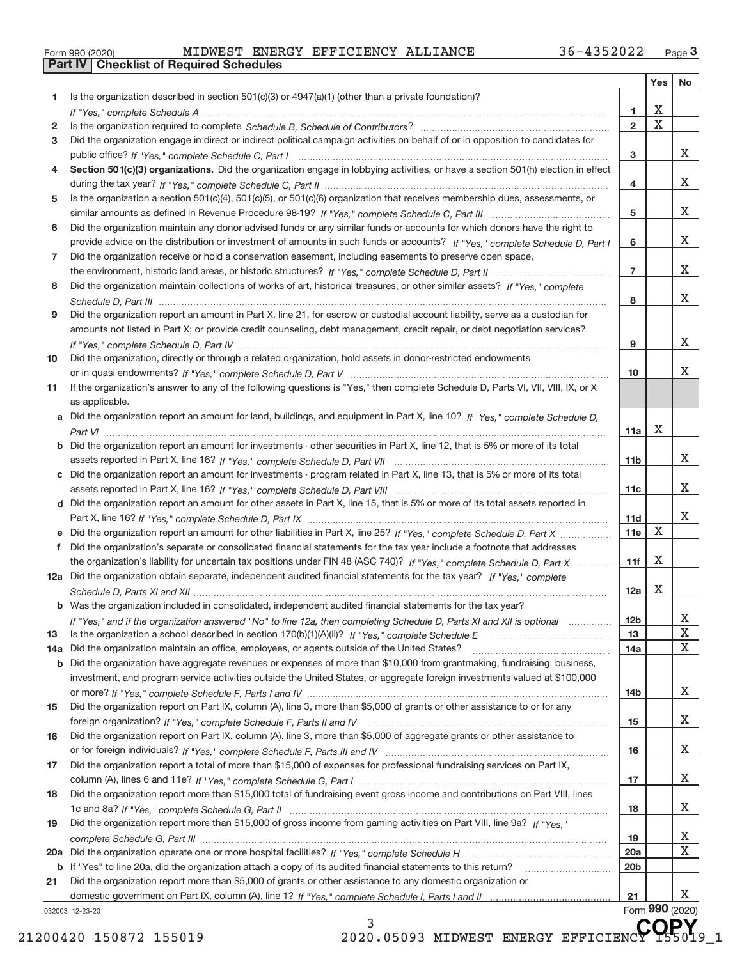|  | Form 990 (2020) |  |
|--|-----------------|--|

|     |                                                                                                                                  |                 | Yes                     | No              |
|-----|----------------------------------------------------------------------------------------------------------------------------------|-----------------|-------------------------|-----------------|
| 1   | Is the organization described in section $501(c)(3)$ or $4947(a)(1)$ (other than a private foundation)?                          |                 |                         |                 |
|     |                                                                                                                                  | 1               | X                       |                 |
| 2   |                                                                                                                                  | $\overline{2}$  | $\overline{\mathbf{x}}$ |                 |
| 3   | Did the organization engage in direct or indirect political campaign activities on behalf of or in opposition to candidates for  |                 |                         |                 |
|     |                                                                                                                                  | 3               |                         | X.              |
| 4   | Section 501(c)(3) organizations. Did the organization engage in lobbying activities, or have a section 501(h) election in effect |                 |                         |                 |
|     |                                                                                                                                  | 4               |                         | X.              |
| 5   | Is the organization a section 501(c)(4), 501(c)(5), or 501(c)(6) organization that receives membership dues, assessments, or     |                 |                         |                 |
|     |                                                                                                                                  | 5               |                         | X.              |
| 6   | Did the organization maintain any donor advised funds or any similar funds or accounts for which donors have the right to        |                 |                         |                 |
|     | provide advice on the distribution or investment of amounts in such funds or accounts? If "Yes," complete Schedule D, Part I     | 6               |                         | X.              |
| 7   | Did the organization receive or hold a conservation easement, including easements to preserve open space,                        |                 |                         | X.              |
|     |                                                                                                                                  | $\overline{7}$  |                         |                 |
| 8   | Did the organization maintain collections of works of art, historical treasures, or other similar assets? If "Yes," complete     |                 |                         | X.              |
|     | Did the organization report an amount in Part X, line 21, for escrow or custodial account liability, serve as a custodian for    | 8               |                         |                 |
| 9   | amounts not listed in Part X; or provide credit counseling, debt management, credit repair, or debt negotiation services?        |                 |                         |                 |
|     |                                                                                                                                  | 9               |                         | X.              |
| 10  | Did the organization, directly or through a related organization, hold assets in donor-restricted endowments                     |                 |                         |                 |
|     |                                                                                                                                  | 10              |                         | x               |
| 11  | If the organization's answer to any of the following questions is "Yes," then complete Schedule D, Parts VI, VII, VIII, IX, or X |                 |                         |                 |
|     | as applicable.                                                                                                                   |                 |                         |                 |
|     | a Did the organization report an amount for land, buildings, and equipment in Part X, line 10? If "Yes," complete Schedule D,    |                 |                         |                 |
|     |                                                                                                                                  | 11a             | Χ                       |                 |
| b   | Did the organization report an amount for investments - other securities in Part X, line 12, that is 5% or more of its total     |                 |                         |                 |
|     |                                                                                                                                  | 11 <sub>b</sub> |                         | X.              |
| c   | Did the organization report an amount for investments - program related in Part X, line 13, that is 5% or more of its total      |                 |                         |                 |
|     |                                                                                                                                  | 11c             |                         | X.              |
| d   | Did the organization report an amount for other assets in Part X, line 15, that is 5% or more of its total assets reported in    |                 |                         |                 |
|     |                                                                                                                                  | 11d             |                         | X.              |
|     | Did the organization report an amount for other liabilities in Part X, line 25? If "Yes," complete Schedule D, Part X            | 11e             | $\mathbf X$             |                 |
| f   | Did the organization's separate or consolidated financial statements for the tax year include a footnote that addresses          |                 |                         |                 |
|     | the organization's liability for uncertain tax positions under FIN 48 (ASC 740)? If "Yes," complete Schedule D, Part X           | 11f             | Χ                       |                 |
|     | 12a Did the organization obtain separate, independent audited financial statements for the tax year? If "Yes," complete          |                 |                         |                 |
|     |                                                                                                                                  | 12a             | Χ                       |                 |
|     | <b>b</b> Was the organization included in consolidated, independent audited financial statements for the tax year?               |                 |                         |                 |
|     | If "Yes," and if the organization answered "No" to line 12a, then completing Schedule D, Parts XI and XII is optional mational   | 12b             |                         | ᅀ               |
| 13  |                                                                                                                                  | 13              |                         | X               |
| 14a | Did the organization maintain an office, employees, or agents outside of the United States?                                      | 14a             |                         | X               |
| b   | Did the organization have aggregate revenues or expenses of more than \$10,000 from grantmaking, fundraising, business,          |                 |                         |                 |
|     | investment, and program service activities outside the United States, or aggregate foreign investments valued at \$100,000       |                 |                         |                 |
|     | Did the organization report on Part IX, column (A), line 3, more than \$5,000 of grants or other assistance to or for any        | 14 <sub>b</sub> |                         | X.              |
| 15  |                                                                                                                                  |                 |                         | X.              |
| 16  | Did the organization report on Part IX, column (A), line 3, more than \$5,000 of aggregate grants or other assistance to         | 15              |                         |                 |
|     |                                                                                                                                  | 16              |                         | X.              |
| 17  | Did the organization report a total of more than \$15,000 of expenses for professional fundraising services on Part IX,          |                 |                         |                 |
|     |                                                                                                                                  | 17              |                         | X.              |
| 18  | Did the organization report more than \$15,000 total of fundraising event gross income and contributions on Part VIII, lines     |                 |                         |                 |
|     |                                                                                                                                  | 18              |                         | X.              |
| 19  | Did the organization report more than \$15,000 of gross income from gaming activities on Part VIII, line 9a? If "Yes."           |                 |                         |                 |
|     |                                                                                                                                  | 19              |                         | X.              |
| 20a |                                                                                                                                  | 20a             |                         | х               |
| b   | If "Yes" to line 20a, did the organization attach a copy of its audited financial statements to this return?                     | 20 <sub>b</sub> |                         |                 |
| 21  | Did the organization report more than \$5,000 of grants or other assistance to any domestic organization or                      |                 |                         |                 |
|     |                                                                                                                                  | 21              |                         | X.              |
|     | 032003 12-23-20                                                                                                                  |                 |                         | Form 990 (2020) |

032003 12‐23‐20

3 21200420 150872 155019 2020.05093 MIDWEST ENERGY EFFICIENCY 155019\_1 **COPY**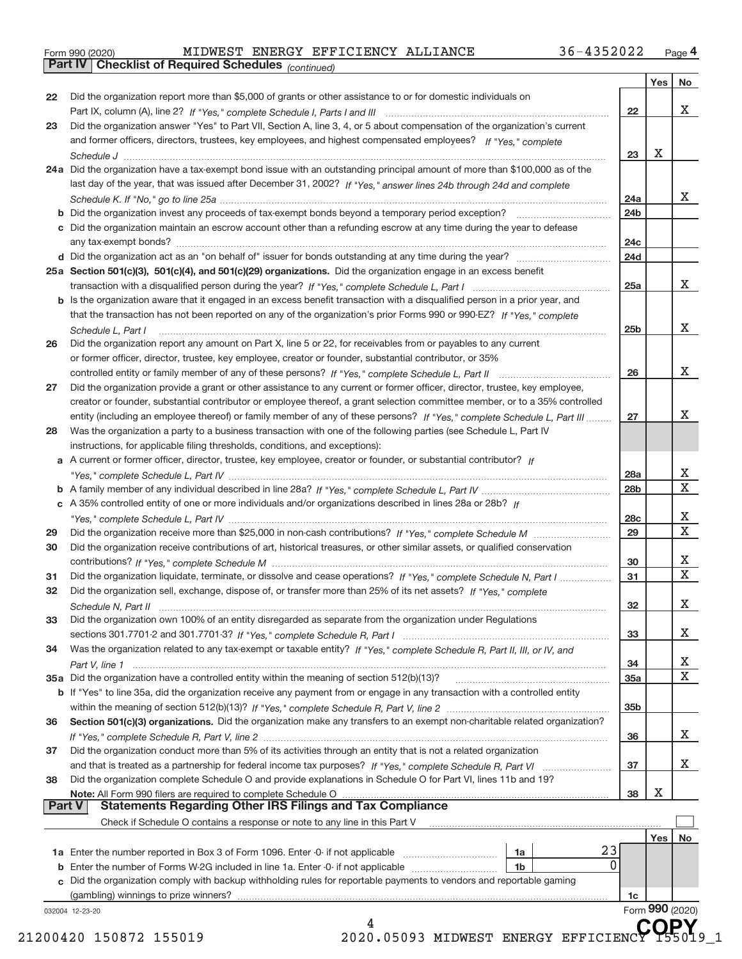|  | Form 990 (2020) |
|--|-----------------|
|  |                 |

**Part IV Checklist of Required Schedules**

*(continued)*

| 22            | Did the organization report more than \$5,000 of grants or other assistance to or for domestic individuals on                      |                 |                 |                              |
|---------------|------------------------------------------------------------------------------------------------------------------------------------|-----------------|-----------------|------------------------------|
|               |                                                                                                                                    | 22              |                 | X                            |
| 23            | Did the organization answer "Yes" to Part VII, Section A, line 3, 4, or 5 about compensation of the organization's current         |                 |                 |                              |
|               | and former officers, directors, trustees, key employees, and highest compensated employees? If "Yes," complete                     |                 |                 |                              |
|               |                                                                                                                                    | 23              | x               |                              |
|               | 24a Did the organization have a tax-exempt bond issue with an outstanding principal amount of more than \$100,000 as of the        |                 |                 |                              |
|               | last day of the year, that was issued after December 31, 2002? If "Yes," answer lines 24b through 24d and complete                 |                 |                 |                              |
|               |                                                                                                                                    | 24a             |                 | X                            |
|               |                                                                                                                                    | 24b             |                 |                              |
|               | c Did the organization maintain an escrow account other than a refunding escrow at any time during the year to defease             | 24c             |                 |                              |
|               |                                                                                                                                    | 24d             |                 |                              |
|               | 25a Section 501(c)(3), 501(c)(4), and 501(c)(29) organizations. Did the organization engage in an excess benefit                   |                 |                 |                              |
|               |                                                                                                                                    | 25a             |                 | X                            |
|               | b Is the organization aware that it engaged in an excess benefit transaction with a disqualified person in a prior year, and       |                 |                 |                              |
|               | that the transaction has not been reported on any of the organization's prior Forms 990 or 990-EZ? If "Yes." complete              |                 |                 |                              |
|               | Schedule L, Part I                                                                                                                 | 25 <sub>b</sub> |                 | X                            |
| 26            | Did the organization report any amount on Part X, line 5 or 22, for receivables from or payables to any current                    |                 |                 |                              |
|               | or former officer, director, trustee, key employee, creator or founder, substantial contributor, or 35%                            |                 |                 |                              |
|               |                                                                                                                                    | 26              |                 | x                            |
| 27            | Did the organization provide a grant or other assistance to any current or former officer, director, trustee, key employee,        |                 |                 |                              |
|               | creator or founder, substantial contributor or employee thereof, a grant selection committee member, or to a 35% controlled        |                 |                 |                              |
|               | entity (including an employee thereof) or family member of any of these persons? If "Yes," complete Schedule L, Part III           | 27              |                 | x                            |
| 28            | Was the organization a party to a business transaction with one of the following parties (see Schedule L, Part IV                  |                 |                 |                              |
|               | instructions, for applicable filing thresholds, conditions, and exceptions):                                                       |                 |                 |                              |
|               | a A current or former officer, director, trustee, key employee, creator or founder, or substantial contributor? If                 |                 |                 |                              |
|               |                                                                                                                                    | 28a             |                 | х<br>$\overline{\textbf{x}}$ |
|               |                                                                                                                                    | 28b             |                 |                              |
|               | c A 35% controlled entity of one or more individuals and/or organizations described in lines 28a or 28b? If                        |                 |                 |                              |
|               |                                                                                                                                    | 28 <sub>c</sub> |                 | х<br>$\overline{\mathbf{x}}$ |
| 29            |                                                                                                                                    | 29              |                 |                              |
| 30            | Did the organization receive contributions of art, historical treasures, or other similar assets, or qualified conservation        |                 |                 | х                            |
| 31            | Did the organization liquidate, terminate, or dissolve and cease operations? If "Yes," complete Schedule N, Part I                 | 30<br>31        |                 | $\overline{\mathbf{x}}$      |
| 32            | Did the organization sell, exchange, dispose of, or transfer more than 25% of its net assets? If "Yes," complete                   |                 |                 |                              |
|               |                                                                                                                                    | 32              |                 | х                            |
| 33            | Schedule N, Part II<br>Did the organization own 100% of an entity disregarded as separate from the organization under Regulations  |                 |                 |                              |
|               |                                                                                                                                    | 33              |                 | X                            |
| 34            | Was the organization related to any tax-exempt or taxable entity? If "Yes," complete Schedule R, Part II, III, or IV, and          |                 |                 |                              |
|               |                                                                                                                                    | 34              |                 | $\mathbf{X}$                 |
|               |                                                                                                                                    | 35a             |                 | $\overline{\text{x}}$        |
|               | <b>b</b> If "Yes" to line 35a, did the organization receive any payment from or engage in any transaction with a controlled entity |                 |                 |                              |
|               |                                                                                                                                    | 35b             |                 |                              |
| 36            | Section 501(c)(3) organizations. Did the organization make any transfers to an exempt non-charitable related organization?         |                 |                 |                              |
|               |                                                                                                                                    | 36              |                 | X                            |
| 37            | Did the organization conduct more than 5% of its activities through an entity that is not a related organization                   |                 |                 |                              |
|               |                                                                                                                                    | 37              |                 | X                            |
| 38            | Did the organization complete Schedule O and provide explanations in Schedule O for Part VI, lines 11b and 19?                     |                 |                 |                              |
|               | Note: All Form 990 filers are required to complete Schedule O                                                                      | 38              | х               |                              |
| <b>Part V</b> | <b>Statements Regarding Other IRS Filings and Tax Compliance</b>                                                                   |                 |                 |                              |
|               | Check if Schedule O contains a response or note to any line in this Part V                                                         |                 |                 |                              |
|               |                                                                                                                                    |                 | Yes             | No                           |
|               | 23<br>1a                                                                                                                           |                 |                 |                              |
|               | 0<br><b>b</b> Enter the number of Forms W-2G included in line 1a. Enter -0- if not applicable<br>1b                                |                 |                 |                              |
|               | c Did the organization comply with backup withholding rules for reportable payments to vendors and reportable gaming               |                 |                 |                              |
|               | (gambling) winnings to prize winners?                                                                                              | 1c              |                 |                              |
|               | 032004 12-23-20                                                                                                                    |                 | Form 990 (2020) |                              |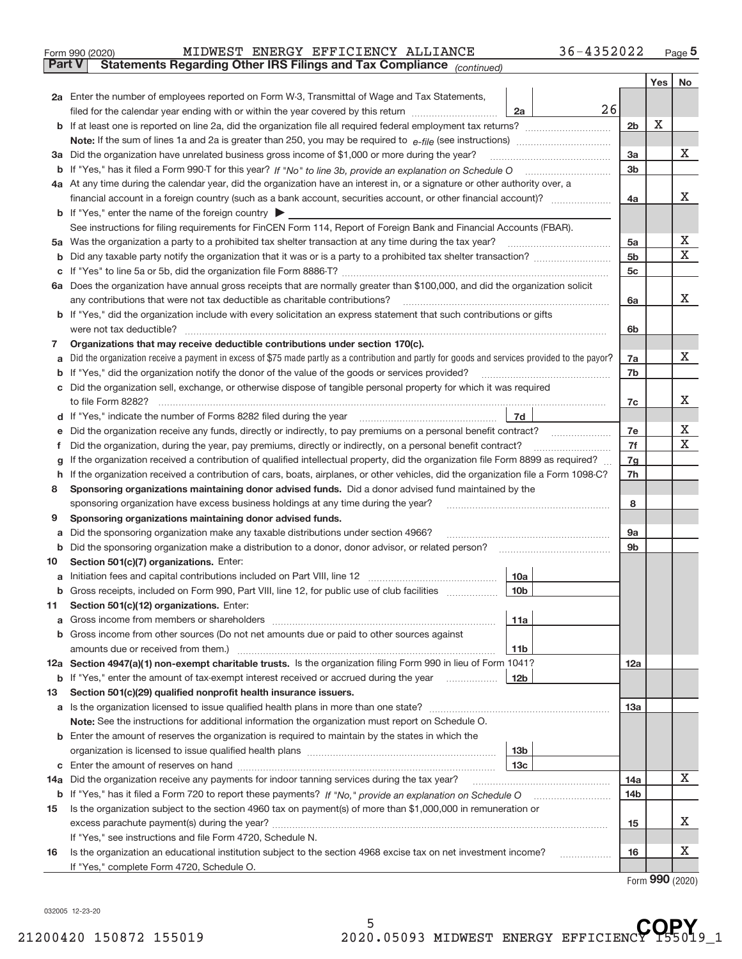|               | 36-4352022<br>MIDWEST ENERGY EFFICIENCY ALLIANCE<br>Form 990 (2020)                                                                                                                                  |                |     | Page $5$         |  |  |  |
|---------------|------------------------------------------------------------------------------------------------------------------------------------------------------------------------------------------------------|----------------|-----|------------------|--|--|--|
| <b>Part V</b> | Statements Regarding Other IRS Filings and Tax Compliance (continued)                                                                                                                                |                |     |                  |  |  |  |
|               |                                                                                                                                                                                                      |                | Yes | No               |  |  |  |
|               | 2a Enter the number of employees reported on Form W-3, Transmittal of Wage and Tax Statements,                                                                                                       |                |     |                  |  |  |  |
|               | 26<br>filed for the calendar year ending with or within the year covered by this return<br>2a                                                                                                        |                |     |                  |  |  |  |
|               |                                                                                                                                                                                                      | 2b             | X   |                  |  |  |  |
|               |                                                                                                                                                                                                      |                |     |                  |  |  |  |
|               | 3a Did the organization have unrelated business gross income of \$1,000 or more during the year?                                                                                                     | 3a             |     | x                |  |  |  |
|               |                                                                                                                                                                                                      | 3b             |     |                  |  |  |  |
|               | 4a At any time during the calendar year, did the organization have an interest in, or a signature or other authority over, a                                                                         |                |     |                  |  |  |  |
|               |                                                                                                                                                                                                      | 4a             |     | x                |  |  |  |
|               | <b>b</b> If "Yes," enter the name of the foreign country                                                                                                                                             |                |     |                  |  |  |  |
|               | See instructions for filing requirements for FinCEN Form 114, Report of Foreign Bank and Financial Accounts (FBAR).                                                                                  |                |     |                  |  |  |  |
|               |                                                                                                                                                                                                      | 5a             |     | х                |  |  |  |
| b             |                                                                                                                                                                                                      | 5 <sub>b</sub> |     | $\mathbf X$      |  |  |  |
|               |                                                                                                                                                                                                      | 5c             |     |                  |  |  |  |
|               | 6a Does the organization have annual gross receipts that are normally greater than \$100,000, and did the organization solicit                                                                       |                |     |                  |  |  |  |
|               | any contributions that were not tax deductible as charitable contributions?                                                                                                                          | 6a             |     | x                |  |  |  |
|               | b If "Yes," did the organization include with every solicitation an express statement that such contributions or gifts                                                                               |                |     |                  |  |  |  |
|               | were not tax deductible?                                                                                                                                                                             | 6b             |     |                  |  |  |  |
| 7             | Organizations that may receive deductible contributions under section 170(c).                                                                                                                        |                |     |                  |  |  |  |
|               | Did the organization receive a payment in excess of \$75 made partly as a contribution and partly for goods and services provided to the payor?                                                      | 7a             |     | x                |  |  |  |
| b             | If "Yes," did the organization notify the donor of the value of the goods or services provided?                                                                                                      | 7b             |     |                  |  |  |  |
| С             | Did the organization sell, exchange, or otherwise dispose of tangible personal property for which it was required                                                                                    |                |     |                  |  |  |  |
|               |                                                                                                                                                                                                      | 7c             |     | x                |  |  |  |
|               | 7d                                                                                                                                                                                                   |                |     |                  |  |  |  |
|               | Did the organization receive any funds, directly or indirectly, to pay premiums on a personal benefit contract?<br>$\overline{\phantom{a}}$                                                          | 7e<br>7f       |     | х<br>$\mathbf X$ |  |  |  |
|               | Did the organization, during the year, pay premiums, directly or indirectly, on a personal benefit contract?                                                                                         |                |     |                  |  |  |  |
|               | If the organization received a contribution of qualified intellectual property, did the organization file Form 8899 as required?                                                                     |                |     |                  |  |  |  |
| h.            | If the organization received a contribution of cars, boats, airplanes, or other vehicles, did the organization file a Form 1098-C?                                                                   |                |     |                  |  |  |  |
| 8             | Sponsoring organizations maintaining donor advised funds. Did a donor advised fund maintained by the                                                                                                 |                |     |                  |  |  |  |
|               | sponsoring organization have excess business holdings at any time during the year?<br>and a complete the contract of the complete the complete the complete the complete the complete the complete t | 8              |     |                  |  |  |  |
| 9             | Sponsoring organizations maintaining donor advised funds.                                                                                                                                            |                |     |                  |  |  |  |
|               | Did the sponsoring organization make any taxable distributions under section 4966?                                                                                                                   | <b>9a</b>      |     |                  |  |  |  |
| b             | Did the sponsoring organization make a distribution to a donor, donor advisor, or related person?                                                                                                    | 9b             |     |                  |  |  |  |
| 10            | Section 501(c)(7) organizations. Enter:<br>10a                                                                                                                                                       |                |     |                  |  |  |  |
|               | Gross receipts, included on Form 990, Part VIII, line 12, for public use of club facilities                                                                                                          |                |     |                  |  |  |  |
| b             | 10b<br>Section 501(c)(12) organizations. Enter:                                                                                                                                                      |                |     |                  |  |  |  |
| 11            | 11a                                                                                                                                                                                                  |                |     |                  |  |  |  |
| а<br>b        | Gross income from other sources (Do not net amounts due or paid to other sources against                                                                                                             |                |     |                  |  |  |  |
|               | amounts due or received from them.)<br>11 <sub>b</sub>                                                                                                                                               |                |     |                  |  |  |  |
|               | 12a Section 4947(a)(1) non-exempt charitable trusts. Is the organization filing Form 990 in lieu of Form 1041?                                                                                       | 12a            |     |                  |  |  |  |
| b             | If "Yes," enter the amount of tax-exempt interest received or accrued during the year<br>12b                                                                                                         |                |     |                  |  |  |  |
| 13            | Section 501(c)(29) qualified nonprofit health insurance issuers.                                                                                                                                     |                |     |                  |  |  |  |
|               | a Is the organization licensed to issue qualified health plans in more than one state?                                                                                                               | 13a            |     |                  |  |  |  |
|               | Note: See the instructions for additional information the organization must report on Schedule O.                                                                                                    |                |     |                  |  |  |  |
|               | <b>b</b> Enter the amount of reserves the organization is required to maintain by the states in which the                                                                                            |                |     |                  |  |  |  |
|               | 13b                                                                                                                                                                                                  |                |     |                  |  |  |  |
| С             | 13 <sub>c</sub><br>Enter the amount of reserves on hand                                                                                                                                              |                |     |                  |  |  |  |
| 14a           | Did the organization receive any payments for indoor tanning services during the tax year?                                                                                                           | 14a            |     | х                |  |  |  |
| b             |                                                                                                                                                                                                      | 14b            |     |                  |  |  |  |
| 15            | Is the organization subject to the section 4960 tax on payment(s) of more than \$1,000,000 in remuneration or                                                                                        |                |     |                  |  |  |  |
|               |                                                                                                                                                                                                      | 15             |     | x                |  |  |  |
|               | If "Yes," see instructions and file Form 4720, Schedule N.                                                                                                                                           |                |     |                  |  |  |  |
| 16            | Is the organization an educational institution subject to the section 4968 excise tax on net investment income?                                                                                      | 16             |     | х                |  |  |  |
|               | If "Yes," complete Form 4720, Schedule O.                                                                                                                                                            |                |     |                  |  |  |  |

Form (2020) **990**

032005 12‐23‐20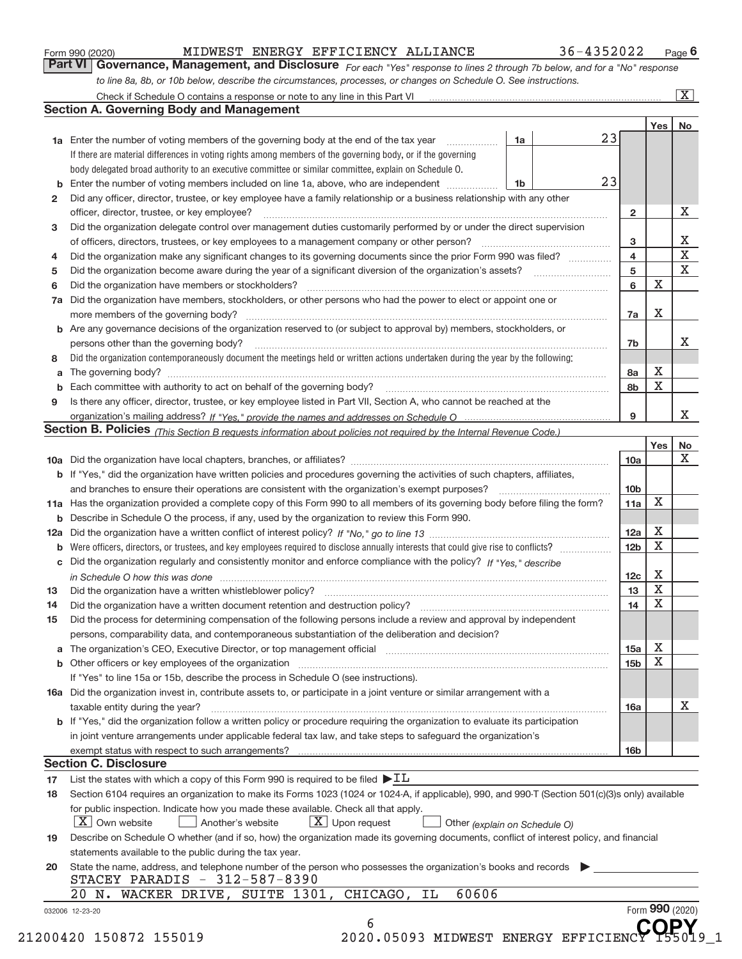|  | Form 990 (2020) |
|--|-----------------|
|  |                 |

#### Form 990 (2020) MIDWEST ENERGY EFFICIENCY ALLIANCE 36-4352022 Page MIDWEST ENERGY EFFICIENCY ALLIANCE 36-4352022

*For each "Yes" response to lines 2 through 7b below, and for a "No" response to line 8a, 8b, or 10b below, describe the circumstances, processes, or changes on Schedule O. See instructions.* **Part VI Governance, Management, and Disclosure** 

|                 |                                                                                                                                                                                                                                |    |  |    |                        | Yes             | No                      |  |
|-----------------|--------------------------------------------------------------------------------------------------------------------------------------------------------------------------------------------------------------------------------|----|--|----|------------------------|-----------------|-------------------------|--|
|                 | <b>1a</b> Enter the number of voting members of the governing body at the end of the tax year <i>manumum</i>                                                                                                                   | 1a |  | 23 |                        |                 |                         |  |
|                 | If there are material differences in voting rights among members of the governing body, or if the governing                                                                                                                    |    |  |    |                        |                 |                         |  |
|                 | body delegated broad authority to an executive committee or similar committee, explain on Schedule O.                                                                                                                          |    |  |    |                        |                 |                         |  |
| b               | Enter the number of voting members included on line 1a, above, who are independent                                                                                                                                             | 1b |  | 23 |                        |                 |                         |  |
| 2               | Did any officer, director, trustee, or key employee have a family relationship or a business relationship with any other                                                                                                       |    |  |    |                        |                 |                         |  |
|                 | officer, director, trustee, or key employee?                                                                                                                                                                                   |    |  |    | $\mathbf{2}$           |                 | X                       |  |
| з               | Did the organization delegate control over management duties customarily performed by or under the direct supervision                                                                                                          |    |  |    |                        |                 |                         |  |
|                 |                                                                                                                                                                                                                                |    |  |    | 3                      |                 | X                       |  |
| 4               | Did the organization make any significant changes to its governing documents since the prior Form 990 was filed?                                                                                                               |    |  |    | 4                      |                 | $\overline{\textbf{x}}$ |  |
| 5               |                                                                                                                                                                                                                                |    |  |    | 5                      |                 | $\overline{\textbf{X}}$ |  |
| 6               | Did the organization have members or stockholders?                                                                                                                                                                             |    |  |    | 6                      | $\mathbf X$     |                         |  |
| 7a              | Did the organization have members, stockholders, or other persons who had the power to elect or appoint one or                                                                                                                 |    |  |    |                        |                 |                         |  |
|                 |                                                                                                                                                                                                                                |    |  |    | 7a                     | X               |                         |  |
|                 | <b>b</b> Are any governance decisions of the organization reserved to (or subject to approval by) members, stockholders, or                                                                                                    |    |  |    |                        |                 |                         |  |
|                 | persons other than the governing body?                                                                                                                                                                                         |    |  |    | 7b                     |                 | X                       |  |
| 8               | Did the organization contemporaneously document the meetings held or written actions undertaken during the year by the following:                                                                                              |    |  |    |                        |                 |                         |  |
| a               |                                                                                                                                                                                                                                |    |  |    | 8а                     | X               |                         |  |
|                 | Each committee with authority to act on behalf of the governing body? [11] manufacture manufacture with authority to act on behalf of the governing body? [11] manufacture with authority of the state with an interval and th |    |  |    | 8b                     | X               |                         |  |
| 9               | Is there any officer, director, trustee, or key employee listed in Part VII, Section A, who cannot be reached at the                                                                                                           |    |  |    |                        |                 |                         |  |
|                 |                                                                                                                                                                                                                                |    |  |    | 9                      |                 | X                       |  |
|                 | Section B. Policies <sub>(This</sub> Section B requests information about policies not required by the Internal Revenue Code.)                                                                                                 |    |  |    |                        |                 |                         |  |
|                 |                                                                                                                                                                                                                                |    |  |    |                        | Yes             | No                      |  |
|                 |                                                                                                                                                                                                                                |    |  |    | 10a                    |                 | X                       |  |
|                 | <b>b</b> If "Yes," did the organization have written policies and procedures governing the activities of such chapters, affiliates,                                                                                            |    |  |    |                        |                 |                         |  |
|                 |                                                                                                                                                                                                                                |    |  |    |                        |                 |                         |  |
|                 |                                                                                                                                                                                                                                |    |  |    | 10 <sub>b</sub><br>11a | X               |                         |  |
|                 | 11a Has the organization provided a complete copy of this Form 990 to all members of its governing body before filing the form?                                                                                                |    |  |    |                        |                 |                         |  |
|                 | <b>b</b> Describe in Schedule O the process, if any, used by the organization to review this Form 990.                                                                                                                         |    |  |    |                        |                 |                         |  |
|                 |                                                                                                                                                                                                                                |    |  |    | 12a<br>12 <sub>b</sub> | X<br>X          |                         |  |
| b               |                                                                                                                                                                                                                                |    |  |    |                        |                 |                         |  |
|                 | c Did the organization regularly and consistently monitor and enforce compliance with the policy? If "Yes," describe                                                                                                           |    |  |    |                        |                 |                         |  |
|                 | in Schedule O how this was done measured and the control of the state of the state of the state of the state o                                                                                                                 |    |  |    | 12c                    | X               |                         |  |
| 13              |                                                                                                                                                                                                                                |    |  |    | 13                     | $\mathbf X$     |                         |  |
| 14              |                                                                                                                                                                                                                                |    |  |    | 14                     | X               |                         |  |
| 15              | Did the process for determining compensation of the following persons include a review and approval by independent                                                                                                             |    |  |    |                        |                 |                         |  |
|                 | persons, comparability data, and contemporaneous substantiation of the deliberation and decision?                                                                                                                              |    |  |    |                        |                 |                         |  |
|                 | a The organization's CEO, Executive Director, or top management official manufactured content of the organization's CEO, Executive Director, or top management official manufactured content of the state of the state of the  |    |  |    | 15a                    | Х               |                         |  |
|                 |                                                                                                                                                                                                                                |    |  |    | 15 <sub>b</sub>        | X               |                         |  |
|                 | If "Yes" to line 15a or 15b, describe the process in Schedule O (see instructions).                                                                                                                                            |    |  |    |                        |                 |                         |  |
|                 | 16a Did the organization invest in, contribute assets to, or participate in a joint venture or similar arrangement with a                                                                                                      |    |  |    |                        |                 |                         |  |
|                 | taxable entity during the year?                                                                                                                                                                                                |    |  |    | 16a                    |                 | X                       |  |
|                 | b If "Yes," did the organization follow a written policy or procedure requiring the organization to evaluate its participation                                                                                                 |    |  |    |                        |                 |                         |  |
|                 | in joint venture arrangements under applicable federal tax law, and take steps to safequard the organization's                                                                                                                 |    |  |    |                        |                 |                         |  |
|                 |                                                                                                                                                                                                                                |    |  |    | 16b                    |                 |                         |  |
|                 | <b>Section C. Disclosure</b>                                                                                                                                                                                                   |    |  |    |                        |                 |                         |  |
| 17              | List the states with which a copy of this Form 990 is required to be filed $\blacktriangleright$ IL                                                                                                                            |    |  |    |                        |                 |                         |  |
| 18              | Section 6104 requires an organization to make its Forms 1023 (1024 or 1024-A, if applicable), 990, and 990-T (Section 501(c)(3)s only) available                                                                               |    |  |    |                        |                 |                         |  |
|                 | for public inspection. Indicate how you made these available. Check all that apply.                                                                                                                                            |    |  |    |                        |                 |                         |  |
|                 | $X$ Upon request<br>$\mid$ $\rm X \mid$ Own website<br>Another's website<br>Other (explain on Schedule O)                                                                                                                      |    |  |    |                        |                 |                         |  |
| 19              | Describe on Schedule O whether (and if so, how) the organization made its governing documents, conflict of interest policy, and financial                                                                                      |    |  |    |                        |                 |                         |  |
|                 | statements available to the public during the tax year.                                                                                                                                                                        |    |  |    |                        |                 |                         |  |
| 20              | State the name, address, and telephone number of the person who possesses the organization's books and records                                                                                                                 |    |  |    |                        |                 |                         |  |
|                 | STACEY PARADIS - 312-587-8390                                                                                                                                                                                                  |    |  |    |                        |                 |                         |  |
|                 | 60606<br>20 N. WACKER DRIVE, SUITE 1301,<br>CHICAGO,<br>IL                                                                                                                                                                     |    |  |    |                        |                 |                         |  |
| 032006 12-23-20 |                                                                                                                                                                                                                                |    |  |    |                        | Form 990 (2020) |                         |  |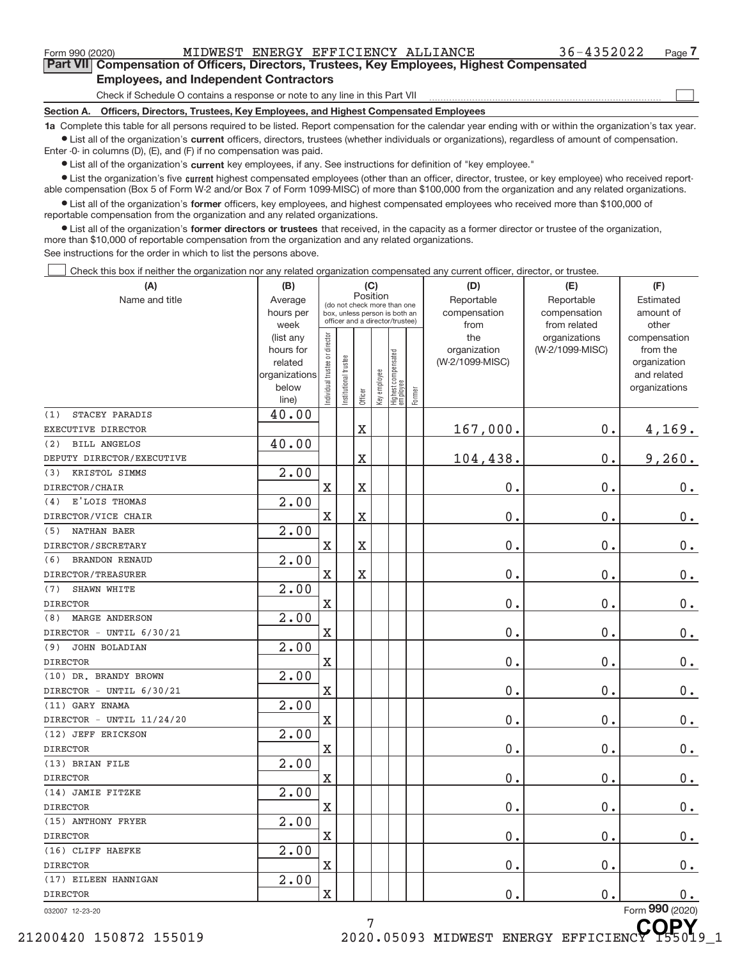$\begin{array}{c} \hline \end{array}$ 

**Part VII Compensation of Officers, Directors, Trustees, Key Employees, Highest Compensated Employees, and Independent Contractors**

Check if Schedule O contains a response or note to any line in this Part VII

**Section A. Officers, Directors, Trustees, Key Employees, and Highest Compensated Employees**

**1a**  Complete this table for all persons required to be listed. Report compensation for the calendar year ending with or within the organization's tax year.  $\bullet$  List all of the organization's current officers, directors, trustees (whether individuals or organizations), regardless of amount of compensation.

Enter ‐0‐ in columns (D), (E), and (F) if no compensation was paid.

**•** List all of the organization's current key employees, if any. See instructions for definition of "key employee."

● List the organization's five current highest compensated employees (other than an officer, director, trustee, or key employee) who received report‐ able compensation (Box 5 of Form W‐2 and/or Box 7 of Form 1099‐MISC) of more than \$100,000 from the organization and any related organizations.

 $\bullet$  List all of the organization's former officers, key employees, and highest compensated employees who received more than \$100,000 of reportable compensation from the organization and any related organizations.

**•** List all of the organization's former directors or trustees that received, in the capacity as a former director or trustee of the organization, more than \$10,000 of reportable compensation from the organization and any related organizations.

See instructions for the order in which to list the persons above.

Check this box if neither the organization nor any related organization compensated any current officer, director, or trustee.  $\Box$ 

| (A)                          | (B)                      |                               |                                                              | (C)                   |              |                                  |        | (D)                        | (E)                        | (F)                         |
|------------------------------|--------------------------|-------------------------------|--------------------------------------------------------------|-----------------------|--------------|----------------------------------|--------|----------------------------|----------------------------|-----------------------------|
| Name and title               | Average<br>hours per     |                               | (do not check more than one<br>box, unless person is both an | Position              |              |                                  |        | Reportable<br>compensation | Reportable<br>compensation | Estimated<br>amount of      |
|                              | week                     |                               | officer and a director/trustee)                              |                       |              |                                  |        | from                       | from related               | other                       |
|                              | (list any                | ndividual trustee or director |                                                              |                       |              |                                  |        | the                        | organizations              | compensation                |
|                              | hours for                |                               |                                                              |                       |              |                                  |        | organization               | (W-2/1099-MISC)            | from the                    |
|                              | related<br>organizations |                               |                                                              |                       |              |                                  |        | (W-2/1099-MISC)            |                            | organization<br>and related |
|                              | below                    |                               | Institutional trustee                                        |                       | Key employee |                                  |        |                            |                            | organizations               |
|                              | line)                    |                               |                                                              | Officer               |              | Highest compensated<br> employee | Former |                            |                            |                             |
| STACEY PARADIS<br>(1)        | 40.00                    |                               |                                                              |                       |              |                                  |        |                            |                            |                             |
| EXECUTIVE DIRECTOR           |                          |                               |                                                              | $\mathbf X$           |              |                                  |        | 167,000.                   | $0$ .                      | 4,169.                      |
| <b>BILL ANGELOS</b><br>(2)   | 40.00                    |                               |                                                              |                       |              |                                  |        |                            |                            |                             |
| DEPUTY DIRECTOR/EXECUTIVE    |                          |                               |                                                              | $\rm X$               |              |                                  |        | 104,438.                   | 0.                         | 9,260.                      |
| KRISTOL SIMMS<br>(3)         | 2.00                     |                               |                                                              |                       |              |                                  |        |                            |                            |                             |
| DIRECTOR/CHAIR               |                          | $\overline{\text{X}}$         |                                                              | $\rm X$               |              |                                  |        | 0.                         | 0.                         | 0.                          |
| E'LOIS THOMAS<br>(4)         | 2.00                     |                               |                                                              |                       |              |                                  |        |                            |                            |                             |
| DIRECTOR/VICE CHAIR          |                          | $\mathbf X$                   |                                                              | $\overline{\text{X}}$ |              |                                  |        | 0.                         | 0.                         | 0.                          |
| <b>NATHAN BAER</b><br>(5)    | 2.00                     |                               |                                                              |                       |              |                                  |        |                            |                            |                             |
| DIRECTOR/SECRETARY           |                          | $\overline{\text{X}}$         |                                                              | $\rm X$               |              |                                  |        | 0.                         | 0.                         | 0.                          |
| <b>BRANDON RENAUD</b><br>(6) | 2.00                     |                               |                                                              |                       |              |                                  |        |                            |                            |                             |
| DIRECTOR/TREASURER           |                          | $\mathbf X$                   |                                                              | $\mathbf X$           |              |                                  |        | 0.                         | 0.                         | 0.                          |
| SHAWN WHITE<br>(7)           | $\overline{2.00}$        |                               |                                                              |                       |              |                                  |        |                            |                            |                             |
| <b>DIRECTOR</b>              |                          | X                             |                                                              |                       |              |                                  |        | 0.                         | 0.                         | 0.                          |
| <b>MARGE ANDERSON</b><br>(8) | 2.00                     |                               |                                                              |                       |              |                                  |        |                            |                            |                             |
| DIRECTOR - UNTIL 6/30/21     |                          | $\mathbf X$                   |                                                              |                       |              |                                  |        | 0.                         | 0.                         | $0_{.}$                     |
| JOHN BOLADIAN<br>(9)         | 2.00                     |                               |                                                              |                       |              |                                  |        |                            |                            |                             |
| <b>DIRECTOR</b>              |                          | $\mathbf X$                   |                                                              |                       |              |                                  |        | 0.                         | 0.                         | $0$ .                       |
| (10) DR. BRANDY BROWN        | 2.00                     |                               |                                                              |                       |              |                                  |        |                            |                            |                             |
| DIRECTOR - UNTIL 6/30/21     |                          | X                             |                                                              |                       |              |                                  |        | 0.                         | 0.                         | $0$ .                       |
| (11) GARY ENAMA              | $\overline{2.00}$        |                               |                                                              |                       |              |                                  |        |                            |                            |                             |
| DIRECTOR - UNTIL 11/24/20    |                          | $\overline{\text{X}}$         |                                                              |                       |              |                                  |        | 0.                         | 0.                         | $0_{.}$                     |
| (12) JEFF ERICKSON           | 2.00                     |                               |                                                              |                       |              |                                  |        |                            |                            |                             |
| <b>DIRECTOR</b>              |                          | $\overline{\text{X}}$         |                                                              |                       |              |                                  |        | 0.                         | 0.                         | $0$ .                       |
| (13) BRIAN FILE              | $\overline{2.00}$        |                               |                                                              |                       |              |                                  |        |                            |                            |                             |
| <b>DIRECTOR</b>              |                          | $\mathbf X$                   |                                                              |                       |              |                                  |        | 0.                         | 0.                         | $0_{\bullet}$               |
| (14) JAMIE FITZKE            | $\overline{2.00}$        |                               |                                                              |                       |              |                                  |        |                            |                            |                             |
| <b>DIRECTOR</b>              |                          | X                             |                                                              |                       |              |                                  |        | $0$ .                      | 0.                         | 0.                          |
| (15) ANTHONY FRYER           | $\overline{2.00}$        |                               |                                                              |                       |              |                                  |        |                            |                            |                             |
| <b>DIRECTOR</b>              |                          | $\overline{\text{X}}$         |                                                              |                       |              |                                  |        | 0.                         | 0.                         | 0.                          |
| (16) CLIFF HAEFKE            | 2.00                     |                               |                                                              |                       |              |                                  |        |                            |                            |                             |
| <b>DIRECTOR</b>              |                          | $\mathbf X$                   |                                                              |                       |              |                                  |        | 0.                         | 0.                         | $0_{.}$                     |
| (17) EILEEN HANNIGAN         | 2.00                     |                               |                                                              |                       |              |                                  |        |                            |                            |                             |
| <b>DIRECTOR</b>              |                          | $\overline{\text{X}}$         |                                                              |                       |              |                                  |        | 0.                         | 0.                         | 0.                          |
| 032007 12-23-20              |                          |                               |                                                              |                       |              |                                  |        |                            |                            | Form 990 (2020)             |

7

21200420 150872 155019 2020.05093 MIDWEST ENERGY EFFICIENCY

**COPY**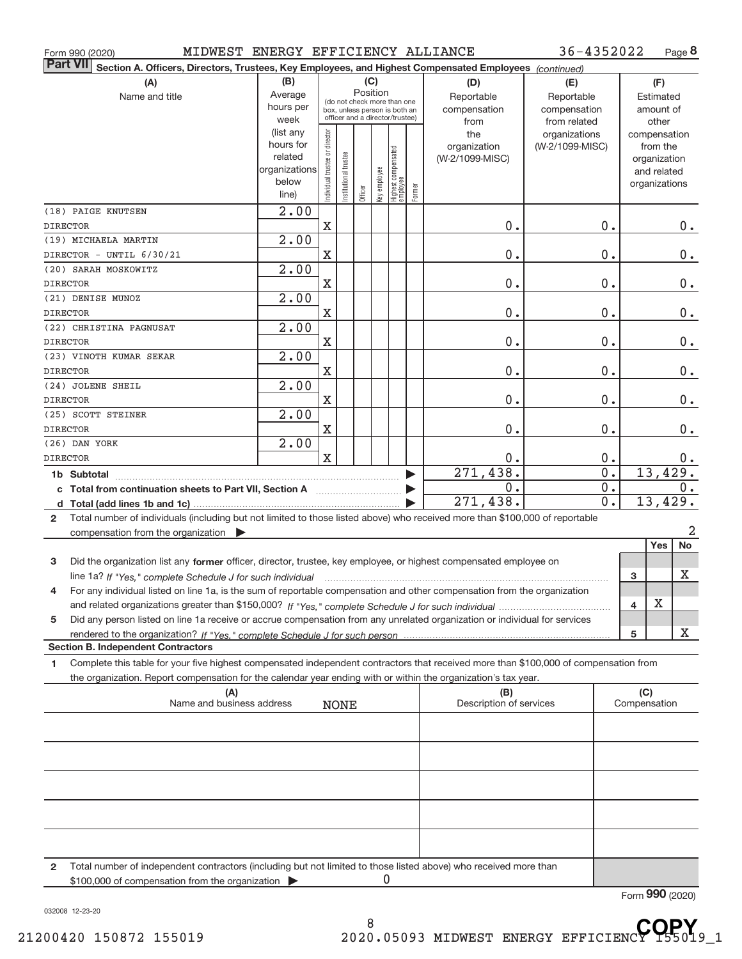|  | Form 990 (2020) |
|--|-----------------|
|  |                 |

Form 990 (2020) MIDWEST ENERGY EFFICIENCY ALLIANCE 36-4352022 Page

**8** 36‐4352022

| <b>Part VII</b><br>Section A. Officers, Directors, Trustees, Key Employees, and Highest Compensated Employees (continued)                    |                      |                               |                                                              |          |              |                                 |                  |                                |                 |                        |                     |                             |         |
|----------------------------------------------------------------------------------------------------------------------------------------------|----------------------|-------------------------------|--------------------------------------------------------------|----------|--------------|---------------------------------|------------------|--------------------------------|-----------------|------------------------|---------------------|-----------------------------|---------|
| (A)                                                                                                                                          | (B)                  |                               |                                                              | (C)      |              |                                 |                  | (D)                            | (E)             |                        |                     | (F)                         |         |
| Name and title                                                                                                                               | Average              |                               |                                                              | Position |              |                                 |                  | Reportable                     | Reportable      |                        |                     | Estimated                   |         |
|                                                                                                                                              | hours per            |                               | (do not check more than one<br>box, unless person is both an |          |              |                                 |                  | compensation                   | compensation    |                        |                     | amount of                   |         |
|                                                                                                                                              | week                 |                               | officer and a director/trustee)                              |          |              |                                 |                  | from                           | from related    |                        |                     | other                       |         |
|                                                                                                                                              | (list any            |                               |                                                              |          |              |                                 |                  | the                            | organizations   |                        | compensation        |                             |         |
|                                                                                                                                              | hours for<br>related |                               |                                                              |          |              |                                 |                  | organization                   | (W-2/1099-MISC) |                        |                     | from the                    |         |
|                                                                                                                                              | organizations        |                               |                                                              |          |              |                                 |                  | (W-2/1099-MISC)                |                 |                        |                     | organization<br>and related |         |
|                                                                                                                                              | below                |                               |                                                              |          |              |                                 |                  |                                |                 |                        | organizations       |                             |         |
|                                                                                                                                              | line)                | ndividual trustee or director | nstitutional trustee                                         | Officer  | Key employee | Highest compensated<br>employee | Former           |                                |                 |                        |                     |                             |         |
| (18) PAIGE KNUTSEN                                                                                                                           | $\overline{2.00}$    |                               |                                                              |          |              |                                 |                  |                                |                 |                        |                     |                             |         |
| <b>DIRECTOR</b>                                                                                                                              |                      | $\mathbf X$                   |                                                              |          |              |                                 |                  | 0.                             |                 | 0.                     |                     |                             | $0_{.}$ |
| (19) MICHAELA MARTIN                                                                                                                         | 2.00                 |                               |                                                              |          |              |                                 |                  |                                |                 |                        |                     |                             |         |
| DIRECTOR - UNTIL 6/30/21                                                                                                                     |                      | $\mathbf X$                   |                                                              |          |              |                                 |                  | 0.                             |                 | $0$ .                  |                     |                             | 0.      |
| (20) SARAH MOSKOWITZ                                                                                                                         | 2.00                 |                               |                                                              |          |              |                                 |                  |                                |                 |                        |                     |                             |         |
| <b>DIRECTOR</b>                                                                                                                              |                      | $\mathbf X$                   |                                                              |          |              |                                 |                  | 0.                             |                 | $0$ .                  |                     |                             | $0_{.}$ |
| (21) DENISE MUNOZ                                                                                                                            | 2.00                 |                               |                                                              |          |              |                                 |                  |                                |                 |                        |                     |                             |         |
| <b>DIRECTOR</b>                                                                                                                              |                      | $\mathbf X$                   |                                                              |          |              |                                 |                  | 0.                             |                 | $0$ .                  |                     |                             | $0_{.}$ |
| (22) CHRISTINA PAGNUSAT                                                                                                                      | 2.00                 |                               |                                                              |          |              |                                 |                  |                                |                 |                        |                     |                             |         |
| <b>DIRECTOR</b>                                                                                                                              |                      | $\mathbf X$                   |                                                              |          |              |                                 |                  | 0.                             |                 | $0$ .                  |                     |                             | $0_{.}$ |
| (23) VINOTH KUMAR SEKAR                                                                                                                      | 2.00                 |                               |                                                              |          |              |                                 |                  |                                |                 |                        |                     |                             |         |
| DIRECTOR                                                                                                                                     |                      | $\mathbf X$                   |                                                              |          |              |                                 |                  | 0.                             |                 | 0.                     |                     |                             | $0_{.}$ |
| (24) JOLENE SHEIL                                                                                                                            | 2.00                 |                               |                                                              |          |              |                                 |                  |                                |                 |                        |                     |                             |         |
| <b>DIRECTOR</b>                                                                                                                              |                      | $\mathbf X$                   |                                                              |          |              |                                 |                  | 0.                             |                 | 0.                     |                     |                             | 0.      |
| (25) SCOTT STEINER                                                                                                                           | 2.00                 |                               |                                                              |          |              |                                 |                  |                                |                 |                        |                     |                             |         |
| DIRECTOR                                                                                                                                     |                      | $\mathbf X$                   |                                                              |          |              |                                 |                  | 0.                             |                 | 0.                     |                     |                             | $0$ .   |
|                                                                                                                                              |                      |                               |                                                              |          |              |                                 |                  |                                |                 |                        |                     |                             |         |
| (26) DAN YORK                                                                                                                                | 2.00                 | $\mathbf X$                   |                                                              |          |              |                                 |                  | 0.                             |                 |                        |                     |                             |         |
| <b>DIRECTOR</b>                                                                                                                              |                      |                               |                                                              |          |              |                                 |                  | 271,438.                       |                 | 0.<br>$\overline{0}$ . |                     | 13,429.                     | 0.      |
| 1b Subtotal                                                                                                                                  |                      |                               |                                                              |          |              |                                 |                  | $\overline{0}$ .               |                 | 0.                     |                     |                             | 0.      |
|                                                                                                                                              |                      |                               |                                                              |          |              |                                 | $\overline{0}$ . |                                |                 |                        |                     |                             |         |
| d                                                                                                                                            |                      |                               |                                                              |          |              |                                 |                  | 271,438.                       |                 |                        |                     | 13,429.                     |         |
| Total number of individuals (including but not limited to those listed above) who received more than \$100,000 of reportable<br>$\mathbf{2}$ |                      |                               |                                                              |          |              |                                 |                  |                                |                 |                        |                     |                             |         |
| compensation from the organization $\blacktriangleright$                                                                                     |                      |                               |                                                              |          |              |                                 |                  |                                |                 |                        |                     | Yes                         | 2<br>No |
|                                                                                                                                              |                      |                               |                                                              |          |              |                                 |                  |                                |                 |                        |                     |                             |         |
| Did the organization list any former officer, director, trustee, key employee, or highest compensated employee on<br>3                       |                      |                               |                                                              |          |              |                                 |                  |                                |                 |                        |                     |                             |         |
| line 1a? If "Yes," complete Schedule J for such individual                                                                                   |                      |                               |                                                              |          |              |                                 |                  |                                |                 |                        | 3                   |                             | Х       |
| For any individual listed on line 1a, is the sum of reportable compensation and other compensation from the organization<br>4                |                      |                               |                                                              |          |              |                                 |                  |                                |                 |                        |                     |                             |         |
|                                                                                                                                              |                      |                               |                                                              |          |              |                                 |                  |                                |                 |                        | 4                   | X                           |         |
| Did any person listed on line 1a receive or accrue compensation from any unrelated organization or individual for services<br>5              |                      |                               |                                                              |          |              |                                 |                  |                                |                 |                        |                     |                             |         |
|                                                                                                                                              |                      |                               |                                                              |          |              |                                 |                  |                                |                 |                        | 5                   |                             | Х       |
| <b>Section B. Independent Contractors</b>                                                                                                    |                      |                               |                                                              |          |              |                                 |                  |                                |                 |                        |                     |                             |         |
| Complete this table for your five highest compensated independent contractors that received more than \$100,000 of compensation from<br>1    |                      |                               |                                                              |          |              |                                 |                  |                                |                 |                        |                     |                             |         |
| the organization. Report compensation for the calendar year ending with or within the organization's tax year.                               |                      |                               |                                                              |          |              |                                 |                  |                                |                 |                        |                     |                             |         |
| (A)<br>Name and business address                                                                                                             |                      |                               |                                                              |          |              |                                 |                  | (B)<br>Description of services |                 |                        | (C)<br>Compensation |                             |         |
|                                                                                                                                              |                      |                               | <b>NONE</b>                                                  |          |              |                                 |                  |                                |                 |                        |                     |                             |         |
|                                                                                                                                              |                      |                               |                                                              |          |              |                                 |                  |                                |                 |                        |                     |                             |         |
|                                                                                                                                              |                      |                               |                                                              |          |              |                                 |                  |                                |                 |                        |                     |                             |         |
|                                                                                                                                              |                      |                               |                                                              |          |              |                                 |                  |                                |                 |                        |                     |                             |         |
|                                                                                                                                              |                      |                               |                                                              |          |              |                                 |                  |                                |                 |                        |                     |                             |         |
|                                                                                                                                              |                      |                               |                                                              |          |              |                                 |                  |                                |                 |                        |                     |                             |         |
|                                                                                                                                              |                      |                               |                                                              |          |              |                                 |                  |                                |                 |                        |                     |                             |         |
|                                                                                                                                              |                      |                               |                                                              |          |              |                                 |                  |                                |                 |                        |                     |                             |         |
|                                                                                                                                              |                      |                               |                                                              |          |              |                                 |                  |                                |                 |                        |                     |                             |         |
|                                                                                                                                              |                      |                               |                                                              |          |              |                                 |                  |                                |                 |                        |                     |                             |         |
| Total number of independent contractors (including but not limited to those listed above) who received more than<br>2                        |                      |                               |                                                              |          |              |                                 |                  |                                |                 |                        |                     |                             |         |
| \$100,000 of compensation from the organization                                                                                              |                      |                               |                                                              |          | 0            |                                 |                  |                                |                 |                        |                     |                             |         |

\$100,000 of compensation from the organization

Form (2020) **990**

032008 12‐23‐20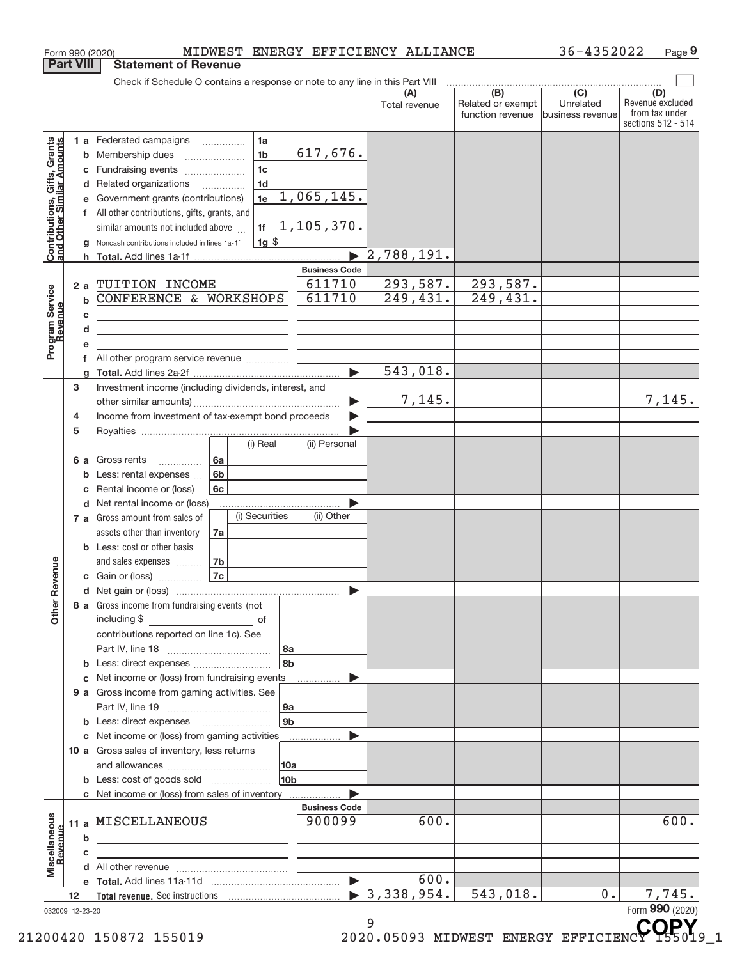|                                                                                                |        |                                       | Form 990 (2020)                                                                                                                                                                                                                                                                                                                                                                                 |                                                                                                                         |                |                                                                                  | MIDWEST ENERGY EFFICIENCY ALLIANCE |                                       | 36-4352022                    | Page 9                                                   |
|------------------------------------------------------------------------------------------------|--------|---------------------------------------|-------------------------------------------------------------------------------------------------------------------------------------------------------------------------------------------------------------------------------------------------------------------------------------------------------------------------------------------------------------------------------------------------|-------------------------------------------------------------------------------------------------------------------------|----------------|----------------------------------------------------------------------------------|------------------------------------|---------------------------------------|-------------------------------|----------------------------------------------------------|
| <b>Part VIII</b>                                                                               |        |                                       | <b>Statement of Revenue</b>                                                                                                                                                                                                                                                                                                                                                                     |                                                                                                                         |                |                                                                                  |                                    |                                       |                               |                                                          |
|                                                                                                |        |                                       | Check if Schedule O contains a response or note to any line in this Part VIII                                                                                                                                                                                                                                                                                                                   |                                                                                                                         |                |                                                                                  | (A)                                | $\overline{(B)}$                      | $\overline{(C)}$              | (D)                                                      |
|                                                                                                |        |                                       |                                                                                                                                                                                                                                                                                                                                                                                                 |                                                                                                                         |                |                                                                                  | Total revenue                      | Related or exempt<br>function revenue | Unrelated<br>business revenue | Revenue excluded<br>from tax under<br>sections 512 - 514 |
| <b>Contributions, Gifts, Grants</b><br>and Other Similar Amounts<br>Program Service<br>Revenue |        | b<br>с<br>d<br>f<br>h<br>2a<br>b<br>c | 1 a Federated campaigns<br>Membership dues<br>Fundraising events<br>Related organizations<br>Government grants (contributions)<br>All other contributions, gifts, grants, and<br>similar amounts not included above<br>Noncash contributions included in lines 1a-1f<br>TUITION INCOME<br>CONFERENCE & WORKSHOPS<br><u> 1989 - Johann Barn, mars ann an t-Amhain ann an t-Amhain ann an t-A</u> | 1a<br>1 <sub>b</sub><br>$\ldots \ldots \ldots \ldots \ldots$<br>1 <sub>c</sub><br>1 <sub>d</sub><br>1e<br>1f<br>$1g$ \$ |                | 617,676.<br>1,065,145.<br>1,105,370.<br><b>Business Code</b><br>611710<br>611710 | 2,788,191.<br>293,587.<br>249,431. | 293,587.<br>249,431.                  |                               |                                                          |
|                                                                                                |        | d                                     | <u> 1989 - Johann Stoff, fransk politik (d. 1989)</u>                                                                                                                                                                                                                                                                                                                                           |                                                                                                                         |                |                                                                                  |                                    |                                       |                               |                                                          |
|                                                                                                |        | е                                     |                                                                                                                                                                                                                                                                                                                                                                                                 |                                                                                                                         |                |                                                                                  |                                    |                                       |                               |                                                          |
|                                                                                                |        | f                                     | All other program service revenue                                                                                                                                                                                                                                                                                                                                                               |                                                                                                                         |                | ь                                                                                | 543,018.                           |                                       |                               |                                                          |
|                                                                                                | 3<br>4 |                                       | Investment income (including dividends, interest, and<br>Income from investment of tax-exempt bond proceeds                                                                                                                                                                                                                                                                                     |                                                                                                                         |                |                                                                                  | 7,145.                             |                                       |                               | 7,145.                                                   |
|                                                                                                | 5      |                                       |                                                                                                                                                                                                                                                                                                                                                                                                 |                                                                                                                         |                |                                                                                  |                                    |                                       |                               |                                                          |
|                                                                                                |        | 6а<br>b<br>c                          | Gross rents<br>$\overline{\phantom{a}}$<br>Less: rental expenses<br>Rental income or (loss)                                                                                                                                                                                                                                                                                                     | (i) Real<br>6a<br>6 <sub>b</sub><br>6c                                                                                  |                | (ii) Personal                                                                    |                                    |                                       |                               |                                                          |
|                                                                                                |        | d                                     | Net rental income or (loss)<br>7 a Gross amount from sales of<br>assets other than inventory                                                                                                                                                                                                                                                                                                    | (i) Securities<br>7a                                                                                                    |                | (ii) Other                                                                       |                                    |                                       |                               |                                                          |
| evenue                                                                                         |        |                                       | <b>b</b> Less: cost or other basis<br>and sales expenses<br>c Gain or (loss)                                                                                                                                                                                                                                                                                                                    | 7 <sub>b</sub><br>7c                                                                                                    |                |                                                                                  |                                    |                                       |                               |                                                          |
| Other <sub>R</sub>                                                                             |        |                                       | 8 a Gross income from fundraising events (not<br>including \$<br>contributions reported on line 1c). See                                                                                                                                                                                                                                                                                        | <u>__________________________</u> _ of                                                                                  |                |                                                                                  |                                    |                                       |                               |                                                          |
|                                                                                                |        | b                                     |                                                                                                                                                                                                                                                                                                                                                                                                 |                                                                                                                         | 8a<br>8b       |                                                                                  |                                    |                                       |                               |                                                          |
|                                                                                                |        | c                                     | Net income or (loss) from fundraising events<br>9 a Gross income from gaming activities. See                                                                                                                                                                                                                                                                                                    |                                                                                                                         | 9a             |                                                                                  |                                    |                                       |                               |                                                          |
|                                                                                                |        |                                       | <b>b</b> Less: direct expenses <b>manually</b>                                                                                                                                                                                                                                                                                                                                                  |                                                                                                                         | 9 <sub>b</sub> |                                                                                  |                                    |                                       |                               |                                                          |
|                                                                                                |        | С                                     | Net income or (loss) from gaming activities<br>10 a Gross sales of inventory, less returns                                                                                                                                                                                                                                                                                                      |                                                                                                                         |                | .                                                                                |                                    |                                       |                               |                                                          |
|                                                                                                |        |                                       | <b>b</b> Less: cost of goods sold                                                                                                                                                                                                                                                                                                                                                               |                                                                                                                         | 10a <br>10b    |                                                                                  |                                    |                                       |                               |                                                          |
|                                                                                                |        |                                       |                                                                                                                                                                                                                                                                                                                                                                                                 |                                                                                                                         |                |                                                                                  |                                    |                                       |                               |                                                          |
|                                                                                                |        | b                                     | 11 a MISCELLANEOUS                                                                                                                                                                                                                                                                                                                                                                              |                                                                                                                         |                | <b>Business Code</b><br>900099                                                   | 600.                               |                                       |                               | 600.                                                     |
| Miscellaneous<br>Revenue                                                                       |        | c                                     |                                                                                                                                                                                                                                                                                                                                                                                                 |                                                                                                                         |                |                                                                                  | 600.                               |                                       |                               |                                                          |
|                                                                                                | 12     |                                       |                                                                                                                                                                                                                                                                                                                                                                                                 |                                                                                                                         |                | $\blacktriangleright$                                                            | 3,338,954.                         | 543,018.                              | 0.                            | 7,745.                                                   |
| 032009 12-23-20                                                                                |        |                                       |                                                                                                                                                                                                                                                                                                                                                                                                 |                                                                                                                         |                |                                                                                  | 9                                  |                                       |                               | Form 990 (2020)<br>CODY                                  |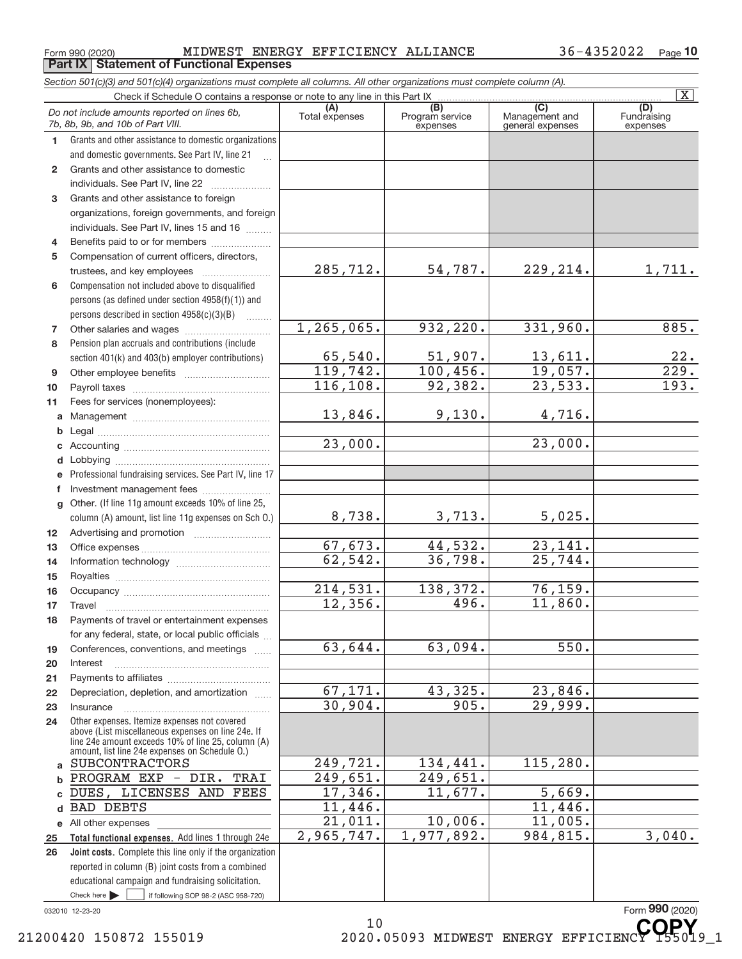Form 990 (2020) MIDWEST ENERGY EFFICIENCY ALLIANCE 36-4352022 Page **Part IX Statement of Functional Expenses**

| Section 501(c)(3) and 501(c)(4) organizations must complete all columns. All other organizations must complete column (A). |                                                                                                          |                       |                                    |                                           |                                |  |  |  |  |  |
|----------------------------------------------------------------------------------------------------------------------------|----------------------------------------------------------------------------------------------------------|-----------------------|------------------------------------|-------------------------------------------|--------------------------------|--|--|--|--|--|
|                                                                                                                            | Check if Schedule O contains a response or note to any line in this Part IX                              |                       |                                    |                                           | $\overline{\text{X}}$          |  |  |  |  |  |
|                                                                                                                            | Do not include amounts reported on lines 6b,<br>7b, 8b, 9b, and 10b of Part VIII.                        | (A)<br>Total expenses | (B)<br>Program service<br>expenses | (C)<br>Management and<br>general expenses | (D)<br>Fundraising<br>expenses |  |  |  |  |  |
| 1                                                                                                                          | Grants and other assistance to domestic organizations                                                    |                       |                                    |                                           |                                |  |  |  |  |  |
|                                                                                                                            | and domestic governments. See Part IV, line 21                                                           |                       |                                    |                                           |                                |  |  |  |  |  |
| $\mathbf{2}$                                                                                                               | Grants and other assistance to domestic                                                                  |                       |                                    |                                           |                                |  |  |  |  |  |
|                                                                                                                            | individuals. See Part IV, line 22                                                                        |                       |                                    |                                           |                                |  |  |  |  |  |
| 3                                                                                                                          | Grants and other assistance to foreign                                                                   |                       |                                    |                                           |                                |  |  |  |  |  |
|                                                                                                                            | organizations, foreign governments, and foreign                                                          |                       |                                    |                                           |                                |  |  |  |  |  |
|                                                                                                                            | individuals. See Part IV, lines 15 and 16                                                                |                       |                                    |                                           |                                |  |  |  |  |  |
| 4                                                                                                                          | Benefits paid to or for members                                                                          |                       |                                    |                                           |                                |  |  |  |  |  |
| 5                                                                                                                          | Compensation of current officers, directors,                                                             |                       |                                    |                                           |                                |  |  |  |  |  |
|                                                                                                                            |                                                                                                          | 285,712.              | 54,787.                            | 229, 214.                                 | 1,711.                         |  |  |  |  |  |
| 6                                                                                                                          | Compensation not included above to disqualified                                                          |                       |                                    |                                           |                                |  |  |  |  |  |
|                                                                                                                            | persons (as defined under section 4958(f)(1)) and                                                        |                       |                                    |                                           |                                |  |  |  |  |  |
|                                                                                                                            | persons described in section 4958(c)(3)(B)                                                               |                       |                                    |                                           |                                |  |  |  |  |  |
| 7                                                                                                                          |                                                                                                          | 1, 265, 065.          | 932, 220.                          | 331,960.                                  | 885.                           |  |  |  |  |  |
| 8                                                                                                                          | Pension plan accruals and contributions (include                                                         |                       |                                    |                                           |                                |  |  |  |  |  |
|                                                                                                                            | section 401(k) and 403(b) employer contributions)                                                        | 65,540.               | 51,907.                            | 13,611.                                   | $\frac{22}{229}$ .             |  |  |  |  |  |
| 9                                                                                                                          |                                                                                                          | 119,742.              | 100, 456.                          | 19,057.                                   |                                |  |  |  |  |  |
| 10                                                                                                                         |                                                                                                          | 116, 108.             | 92,382.                            | $\overline{23,533}$ .                     | $\overline{193}$ .             |  |  |  |  |  |
| 11                                                                                                                         | Fees for services (nonemployees):                                                                        |                       |                                    |                                           |                                |  |  |  |  |  |
| a                                                                                                                          |                                                                                                          | 13,846.               | 9,130.                             | 4,716.                                    |                                |  |  |  |  |  |
|                                                                                                                            |                                                                                                          |                       |                                    | 23,000.                                   |                                |  |  |  |  |  |
| с                                                                                                                          |                                                                                                          | 23,000.               |                                    |                                           |                                |  |  |  |  |  |
| d                                                                                                                          |                                                                                                          |                       |                                    |                                           |                                |  |  |  |  |  |
|                                                                                                                            | Professional fundraising services. See Part IV, line 17                                                  |                       |                                    |                                           |                                |  |  |  |  |  |
| f                                                                                                                          | Investment management fees                                                                               |                       |                                    |                                           |                                |  |  |  |  |  |
| g                                                                                                                          | Other. (If line 11g amount exceeds 10% of line 25,                                                       | 8,738.                | 3,713.                             | 5,025.                                    |                                |  |  |  |  |  |
|                                                                                                                            | column (A) amount, list line 11g expenses on Sch O.)                                                     |                       |                                    |                                           |                                |  |  |  |  |  |
| 12 <sup>2</sup>                                                                                                            |                                                                                                          | 67,673.               | 44,532.                            | 23, 141.                                  |                                |  |  |  |  |  |
| 13                                                                                                                         |                                                                                                          | 62,542.               | 36,798.                            | $\overline{25,744}$ .                     |                                |  |  |  |  |  |
| 14                                                                                                                         |                                                                                                          |                       |                                    |                                           |                                |  |  |  |  |  |
| 15<br>16                                                                                                                   |                                                                                                          | 214,531.              | 138,372.                           | 76, 159.                                  |                                |  |  |  |  |  |
| 17                                                                                                                         |                                                                                                          | 12,356.               | 496.                               | 11,860.                                   |                                |  |  |  |  |  |
|                                                                                                                            | Payments of travel or entertainment expenses                                                             |                       |                                    |                                           |                                |  |  |  |  |  |
| 18                                                                                                                         | for any federal, state, or local public officials                                                        |                       |                                    |                                           |                                |  |  |  |  |  |
| 19                                                                                                                         | Conferences, conventions, and meetings                                                                   | 63,644.               | 63,094.                            | 550.                                      |                                |  |  |  |  |  |
| 20                                                                                                                         | Interest                                                                                                 |                       |                                    |                                           |                                |  |  |  |  |  |
| 21                                                                                                                         |                                                                                                          |                       |                                    |                                           |                                |  |  |  |  |  |
| 22                                                                                                                         | Depreciation, depletion, and amortization                                                                | 67, 171.              | 43,325.                            | 23,846.                                   |                                |  |  |  |  |  |
| 23                                                                                                                         | Insurance                                                                                                | 30,904.               | 905.                               | 29,999.                                   |                                |  |  |  |  |  |
| 24                                                                                                                         | Other expenses. Itemize expenses not covered                                                             |                       |                                    |                                           |                                |  |  |  |  |  |
|                                                                                                                            | above (List miscellaneous expenses on line 24e. If<br>line 24e amount exceeds 10% of line 25, column (A) |                       |                                    |                                           |                                |  |  |  |  |  |
|                                                                                                                            | amount, list line 24e expenses on Schedule O.)                                                           |                       |                                    |                                           |                                |  |  |  |  |  |
| a                                                                                                                          | <b>SUBCONTRACTORS</b>                                                                                    | 249,721.              | 134,441.                           | 115,280.                                  |                                |  |  |  |  |  |
| b                                                                                                                          | PROGRAM EXP - DIR.<br>TRAI                                                                               | 249,651.              | 249,651.                           |                                           |                                |  |  |  |  |  |
|                                                                                                                            | DUES, LICENSES AND FEES                                                                                  | 17,346.               | 11,677.                            | 5,669.                                    |                                |  |  |  |  |  |
| d                                                                                                                          | <b>BAD DEBTS</b>                                                                                         | 11,446.               |                                    | 11,446.                                   |                                |  |  |  |  |  |
|                                                                                                                            | e All other expenses                                                                                     | 21,011.               | 10,006.                            | 11,005.                                   |                                |  |  |  |  |  |
| 25                                                                                                                         | Total functional expenses. Add lines 1 through 24e                                                       | 2,965,747.            | 1,977,892.                         | 984,815.                                  | 3,040.                         |  |  |  |  |  |
| 26                                                                                                                         | Joint costs. Complete this line only if the organization                                                 |                       |                                    |                                           |                                |  |  |  |  |  |
|                                                                                                                            | reported in column (B) joint costs from a combined                                                       |                       |                                    |                                           |                                |  |  |  |  |  |
|                                                                                                                            | educational campaign and fundraising solicitation.                                                       |                       |                                    |                                           |                                |  |  |  |  |  |
|                                                                                                                            | Check here $\blacktriangleright$<br>if following SOP 98-2 (ASC 958-720)                                  |                       |                                    |                                           |                                |  |  |  |  |  |
|                                                                                                                            | 032010 12-23-20                                                                                          |                       |                                    |                                           | Form 990 (2020)                |  |  |  |  |  |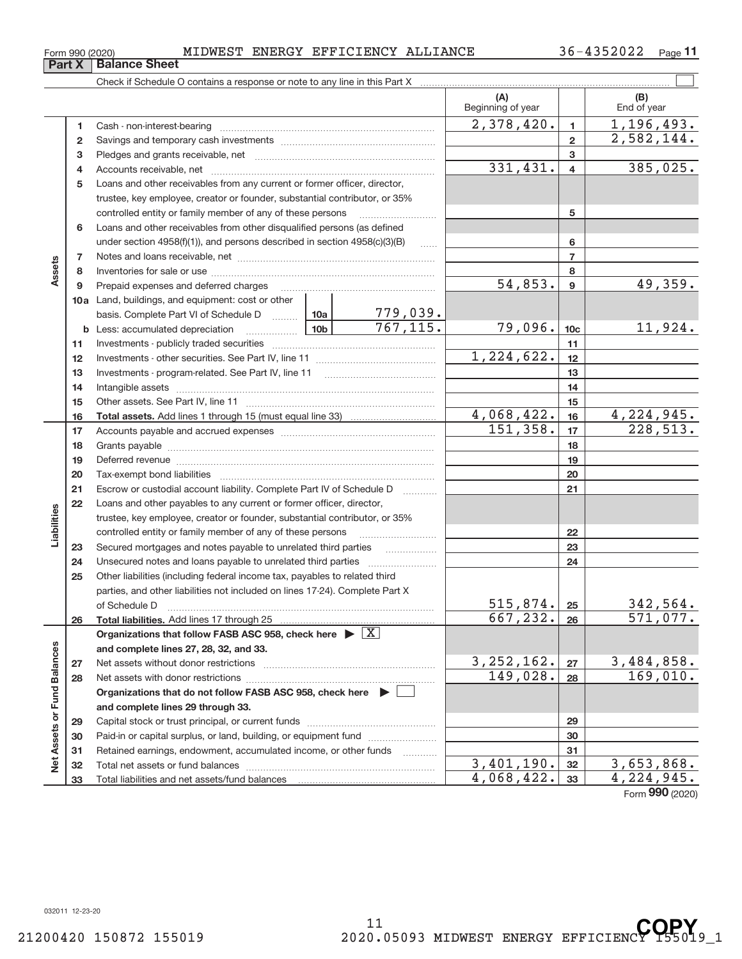# Form 990 (2020) MIDWEST ENERGY EFFICIENCY ALLIANCE 36-4352022 Page

Cash ‐ non‐interest‐bearing ~~~~~~~~~~~~~~~~~~~~~~~~~ Savings and temporary cash investments ~~~~~~~~~~~~~~~~~~

Check if Schedule O contains a response or note to any line in this Part X

2,582,144.

36-4352022 <sub>Page</sub> 11

**(A) (B)**

Beginning of year  $\vert$  | End of year

**1 2 3**

 $2,378,420.$  1, 1,196,493.

#### **3** Pledges and grants receivable, net ~~~~~~~~~~~~~~~~~~~~~ 331,431. 4 385,025. Accounts receivable, net ~~~~~~~~~~~~~~~~~~~~~~~~~~ **4 4 5** Loans and other receivables from any current or former officer, director, trustee, key employee, creator or founder, substantial contributor, or 35% controlled entity or family member of any of these persons ............................ **5** Loans and other receivables from other disqualified persons (as defined **6** under section  $4958(f)(1)$ , and persons described in section  $4958(c)(3)(B)$ **6 7 7** Notes and loans receivable, net ~~~~~~~~~~~~~~~~~~~~~~~ **Assets 8 8** Inventories for sale or use ~~~~~~~~~~~~~~~~~~~~~~~~~~  $54,853$ .  $9$   $49,359$ . **9 9** Prepaid expenses and deferred charges ~~~~~~~~~~~~~~~~~~ **10 a** Land, buildings, and equipment: cost or other 779,039. basis. Complete Part VI of Schedule D ......... 10a  $767, 115.$   $79,096.$   $10c$   $11,924.$ **10c b 10b** Less: accumulated depreciation ~~~~~~ **11** Investments ‐ publicly traded securities ~~~~~~~~~~~~~~~~~~~ **11** 1,224,622. **12 12** Investments ‐ other securities. See Part IV, line 11 ~~~~~~~~~~~~~~ **13 13** Investments - program-related. See Part IV, line 11 [2010] [2010] [2010] [2010] [2010] [2010] [2010] [2010] [2 **14 14** Intangible assets ~~~~~~~~~~~~~~~~~~~~~~~~~~~~~~ Other assets. See Part IV, line 11 ~~~~~~~~~~~~~~~~~~~~~~ **15 15**  $4,068,422.$   $16$   $4,224,945.$ **16 16 Total assets.**  Add lines 1 through 15 (must equal line 33)  $151,358.$   $17$  228,513. **17 17** Accounts payable and accrued expenses ~~~~~~~~~~~~~~~~~~ **18 18** Grants payable ~~~~~~~~~~~~~~~~~~~~~~~~~~~~~~~ **19 19** Deferred revenue **communications** contains a series of the person of the person of the contains and the contains of the contains and contains a series of the contains and contains a series of the contains and contains a se **20 20** Tax‐exempt bond liabilities ~~~~~~~~~~~~~~~~~~~~~~~~~ **21** Escrow or custodial account liability. Complete Part IV of Schedule D [ \\timm\] **21 22** Loans and other payables to any current or former officer, director, **Liabilities** trustee, key employee, creator or founder, substantial contributor, or 35% controlled entity or family member of any of these persons ~~~~~~~~~ **22 23** Secured mortgages and notes payable to unrelated third parties **23** Unsecured notes and loans payable to unrelated third parties ~~~~~~~~ **24 24 25** Other liabilities (including federal income tax, payables to related third parties, and other liabilities not included on lines 17‐24). Complete Part X of Schedule D ~~~~~~~~~~~~~~~~~~~~~~~~~~~~~~~  $515,874.$   $25$  342,564. **25**  $667, 232. |26|$  571,077. **26 26 Total liabilities.**  Add lines 17 through 25 Organizations that follow FASB ASC 958, check here  $\blacktriangleright \boxed{\text{X}}$ Assets or Fund Balances **Net Assets or Fund Balances and complete lines 27, 28, 32, and 33.**  $3,252,162. |z_7| 3,484,858.$ **27 27** Net assets without donor restrictions ~~~~~~~~~~~~~~~~~~~~  $149,028. |28$  169,010. **28 28** Net assets with donor restrictions ~~~~~~~~~~~~~~~~~~~~~~ **Organizations that do not follow FASB ASC 958, check here** | **and complete lines 29 through 33. 29 29** Capital stock or trust principal, or current funds ~~~~~~~~~~~~~~~ **30 30** Paid-in or capital surplus, or land, building, or equipment fund *willerthounder* **31 31** Retained earnings, endowment, accumulated income, or other funds ~~~~ Net Total net assets or fund balances ~~~~~~~~~~~~~~~~~~~~~~  $3,401,190.$   $3,653,868.$ **32 32**  $4,068,422.$  33 4, 224, 945. Total liabilities and net assets/fund balances **33 33** Form (2020) **990**

**1 2**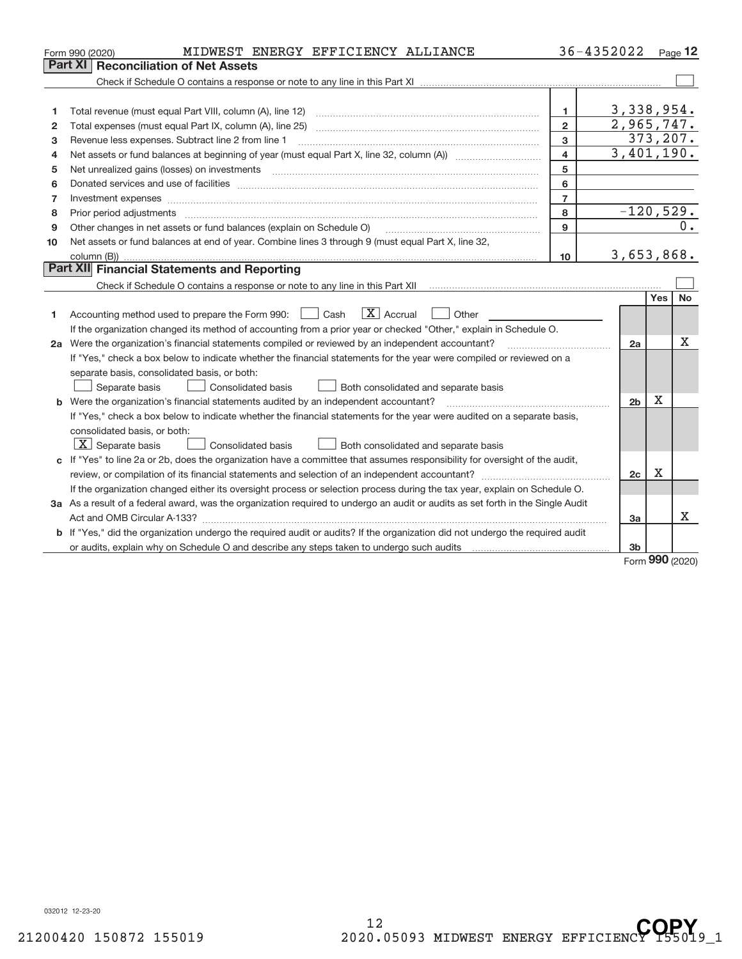|              | MIDWEST ENERGY EFFICIENCY ALLIANCE<br>Form 990 (2020)                                                                                |                         | 36-4352022     |             | Page $12$ |
|--------------|--------------------------------------------------------------------------------------------------------------------------------------|-------------------------|----------------|-------------|-----------|
|              | <b>Reconciliation of Net Assets</b><br>Part XI                                                                                       |                         |                |             |           |
|              |                                                                                                                                      |                         |                |             |           |
|              |                                                                                                                                      |                         |                |             |           |
| 1            |                                                                                                                                      | $\mathbf{1}$            | 3,338,954.     |             |           |
| $\mathbf{2}$ |                                                                                                                                      | $\overline{2}$          | 2,965,747.     |             |           |
| 3            | Revenue less expenses. Subtract line 2 from line 1                                                                                   | 3                       |                |             | 373, 207. |
| 4            | Net assets or fund balances at beginning of year (must equal Part X, line 32, column (A)) <i>manageredial</i>                        | $\overline{\mathbf{4}}$ | 3,401,190.     |             |           |
| 5            |                                                                                                                                      | 5                       |                |             |           |
| 6            |                                                                                                                                      | 6                       |                |             |           |
| 7            | Investment expenses www.communication.com/www.communication.com/www.communication.com/www.communication.com                          | $\overline{7}$          |                |             |           |
| 8            |                                                                                                                                      | 8                       | $-120,529.$    |             |           |
| 9            | Other changes in net assets or fund balances (explain on Schedule O)                                                                 | $\mathbf{9}$            |                |             | 0.        |
| 10           | Net assets or fund balances at end of year. Combine lines 3 through 9 (must equal Part X, line 32,                                   |                         |                |             |           |
|              |                                                                                                                                      | 10 <sup>10</sup>        | 3,653,868.     |             |           |
|              | Part XII Financial Statements and Reporting                                                                                          |                         |                |             |           |
|              |                                                                                                                                      |                         |                |             |           |
|              |                                                                                                                                      |                         |                | Yes         | <b>No</b> |
| 1            | $\mathbf{X}$ Accrual<br>Accounting method used to prepare the Form 990: <u>June</u> Cash<br>  Other                                  |                         |                |             |           |
|              | If the organization changed its method of accounting from a prior year or checked "Other," explain in Schedule O.                    |                         |                |             |           |
|              | 2a Were the organization's financial statements compiled or reviewed by an independent accountant?                                   |                         | 2a             |             | Χ         |
|              | If "Yes," check a box below to indicate whether the financial statements for the year were compiled or reviewed on a                 |                         |                |             |           |
|              | separate basis, consolidated basis, or both:                                                                                         |                         |                |             |           |
|              | Consolidated basis<br>Both consolidated and separate basis<br>Separate basis                                                         |                         |                |             |           |
|              | b Were the organization's financial statements audited by an independent accountant?                                                 |                         | 2 <sub>b</sub> | $\mathbf X$ |           |
|              | If "Yes," check a box below to indicate whether the financial statements for the year were audited on a separate basis,              |                         |                |             |           |
|              | consolidated basis, or both:                                                                                                         |                         |                |             |           |
|              | $X$ Separate basis<br><b>Consolidated basis</b><br>Both consolidated and separate basis                                              |                         |                |             |           |
|              | c If "Yes" to line 2a or 2b, does the organization have a committee that assumes responsibility for oversight of the audit,          |                         |                |             |           |
|              |                                                                                                                                      |                         | 2c             | Χ           |           |
|              | If the organization changed either its oversight process or selection process during the tax year, explain on Schedule O.            |                         |                |             |           |
|              | 3a As a result of a federal award, was the organization required to undergo an audit or audits as set forth in the Single Audit      |                         |                |             |           |
|              |                                                                                                                                      |                         | 3a             |             | x         |
|              | <b>b</b> If "Yes," did the organization undergo the required audit or audits? If the organization did not undergo the required audit |                         |                |             |           |
|              | or audits, explain why on Schedule O and describe any steps taken to undergo such audits manufactured university                     |                         | 3 <sub>b</sub> | $\sim$      |           |

Form (2020) **990**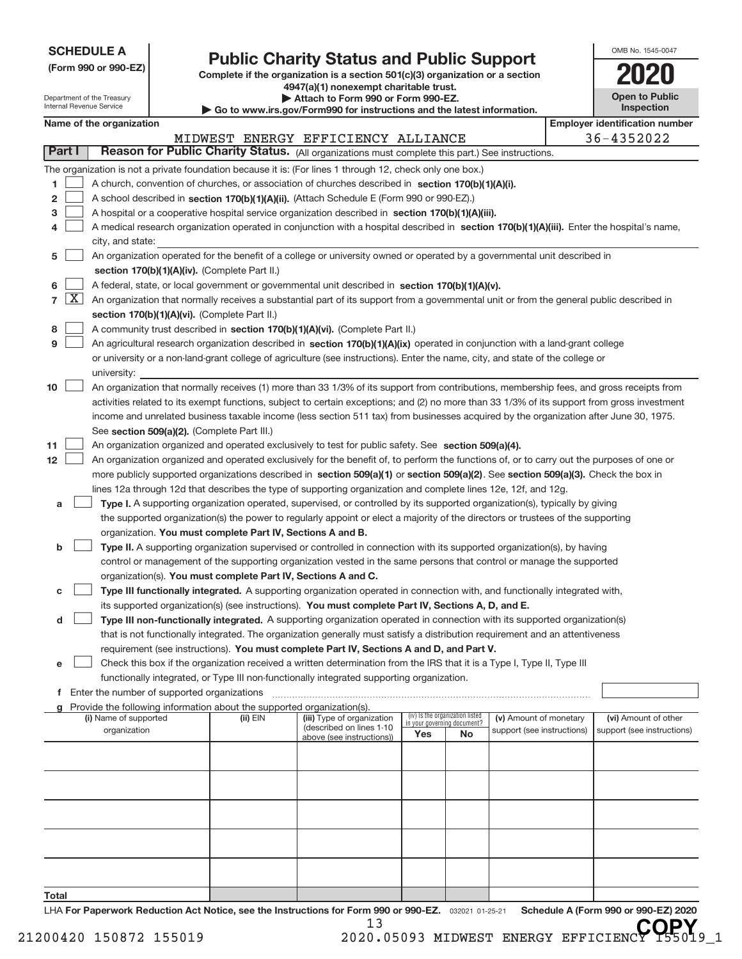| <b>SCHEDULE A</b> |  |  |  |  |  |
|-------------------|--|--|--|--|--|
|-------------------|--|--|--|--|--|

Department of the Treasury

# **Public Charity Status and Public Support**<br> **Public Support**<br> **2020**

**(Form 990 or 990‐EZ) Complete if the organization is a section 501(c)(3) organization or a section 4947(a)(1) nonexempt charitable trust. | Attach to Form 990 or Form 990‐EZ.** 

|  |  | p www.irs.gov/Form990 for instructions and the latest information. |  |
|--|--|--------------------------------------------------------------------|--|

| OMB No 1545-0047                    |
|-------------------------------------|
| 2020                                |
| <b>Open to Public</b><br>Inspection |

|                  |            | Internal Revenue Service                                                                                                                     |                                             |                                                                        | Go to www.irs.gov/Form990 for instructions and the latest information.                                                                     |                             |                                 |                                                      |  | <b>Inspection</b>                                  |
|------------------|------------|----------------------------------------------------------------------------------------------------------------------------------------------|---------------------------------------------|------------------------------------------------------------------------|--------------------------------------------------------------------------------------------------------------------------------------------|-----------------------------|---------------------------------|------------------------------------------------------|--|----------------------------------------------------|
|                  |            | Name of the organization                                                                                                                     |                                             |                                                                        |                                                                                                                                            |                             |                                 |                                                      |  | <b>Employer identification number</b>              |
|                  |            |                                                                                                                                              |                                             |                                                                        | MIDWEST ENERGY EFFICIENCY ALLIANCE                                                                                                         |                             |                                 |                                                      |  | 36-4352022                                         |
| Part I           |            |                                                                                                                                              |                                             |                                                                        | Reason for Public Charity Status. (All organizations must complete this part.) See instructions.                                           |                             |                                 |                                                      |  |                                                    |
|                  |            |                                                                                                                                              |                                             |                                                                        | The organization is not a private foundation because it is: (For lines 1 through 12, check only one box.)                                  |                             |                                 |                                                      |  |                                                    |
| 1                |            |                                                                                                                                              |                                             |                                                                        | A church, convention of churches, or association of churches described in section 170(b)(1)(A)(i).                                         |                             |                                 |                                                      |  |                                                    |
| 2                |            |                                                                                                                                              |                                             |                                                                        | A school described in <b>section 170(b)(1)(A)(ii).</b> (Attach Schedule E (Form 990 or 990-EZ).)                                           |                             |                                 |                                                      |  |                                                    |
| з                |            |                                                                                                                                              |                                             |                                                                        | A hospital or a cooperative hospital service organization described in section 170(b)(1)(A)(iii).                                          |                             |                                 |                                                      |  |                                                    |
| 4                |            |                                                                                                                                              |                                             |                                                                        | A medical research organization operated in conjunction with a hospital described in section 170(b)(1)(A)(iii). Enter the hospital's name, |                             |                                 |                                                      |  |                                                    |
|                  |            | city, and state:                                                                                                                             |                                             |                                                                        |                                                                                                                                            |                             |                                 |                                                      |  |                                                    |
| 5                |            |                                                                                                                                              |                                             |                                                                        | An organization operated for the benefit of a college or university owned or operated by a governmental unit described in                  |                             |                                 |                                                      |  |                                                    |
|                  |            |                                                                                                                                              |                                             | section 170(b)(1)(A)(iv). (Complete Part II.)                          |                                                                                                                                            |                             |                                 |                                                      |  |                                                    |
| 6                |            |                                                                                                                                              |                                             |                                                                        | A federal, state, or local government or governmental unit described in section 170(b)(1)(A)(v).                                           |                             |                                 |                                                      |  |                                                    |
|                  | $7 \times$ |                                                                                                                                              |                                             |                                                                        | An organization that normally receives a substantial part of its support from a governmental unit or from the general public described in  |                             |                                 |                                                      |  |                                                    |
|                  |            |                                                                                                                                              |                                             | section 170(b)(1)(A)(vi). (Complete Part II.)                          |                                                                                                                                            |                             |                                 |                                                      |  |                                                    |
| 8                |            | A community trust described in section 170(b)(1)(A)(vi). (Complete Part II.)                                                                 |                                             |                                                                        |                                                                                                                                            |                             |                                 |                                                      |  |                                                    |
| 9                |            |                                                                                                                                              |                                             |                                                                        | An agricultural research organization described in section 170(b)(1)(A)(ix) operated in conjunction with a land-grant college              |                             |                                 |                                                      |  |                                                    |
|                  |            |                                                                                                                                              |                                             |                                                                        | or university or a non-land-grant college of agriculture (see instructions). Enter the name, city, and state of the college or             |                             |                                 |                                                      |  |                                                    |
|                  |            | university:                                                                                                                                  |                                             |                                                                        |                                                                                                                                            |                             |                                 |                                                      |  |                                                    |
| 10               |            | An organization that normally receives (1) more than 33 1/3% of its support from contributions, membership fees, and gross receipts from     |                                             |                                                                        |                                                                                                                                            |                             |                                 |                                                      |  |                                                    |
|                  |            | activities related to its exempt functions, subject to certain exceptions; and (2) no more than 33 1/3% of its support from gross investment |                                             |                                                                        |                                                                                                                                            |                             |                                 |                                                      |  |                                                    |
|                  |            |                                                                                                                                              |                                             |                                                                        | income and unrelated business taxable income (less section 511 tax) from businesses acquired by the organization after June 30, 1975.      |                             |                                 |                                                      |  |                                                    |
|                  |            |                                                                                                                                              |                                             | See section 509(a)(2). (Complete Part III.)                            |                                                                                                                                            |                             |                                 |                                                      |  |                                                    |
| 11               |            |                                                                                                                                              |                                             |                                                                        | An organization organized and operated exclusively to test for public safety. See section 509(a)(4).                                       |                             |                                 |                                                      |  |                                                    |
| 12 <sup>12</sup> |            |                                                                                                                                              |                                             |                                                                        | An organization organized and operated exclusively for the benefit of, to perform the functions of, or to carry out the purposes of one or |                             |                                 |                                                      |  |                                                    |
|                  |            |                                                                                                                                              |                                             |                                                                        | more publicly supported organizations described in section 509(a)(1) or section 509(a)(2). See section 509(a)(3). Check the box in         |                             |                                 |                                                      |  |                                                    |
|                  |            |                                                                                                                                              |                                             |                                                                        | lines 12a through 12d that describes the type of supporting organization and complete lines 12e, 12f, and 12g.                             |                             |                                 |                                                      |  |                                                    |
| a                |            |                                                                                                                                              |                                             |                                                                        | Type I. A supporting organization operated, supervised, or controlled by its supported organization(s), typically by giving                |                             |                                 |                                                      |  |                                                    |
|                  |            |                                                                                                                                              |                                             |                                                                        | the supported organization(s) the power to regularly appoint or elect a majority of the directors or trustees of the supporting            |                             |                                 |                                                      |  |                                                    |
|                  |            |                                                                                                                                              |                                             | organization. You must complete Part IV, Sections A and B.             |                                                                                                                                            |                             |                                 |                                                      |  |                                                    |
| b                |            |                                                                                                                                              |                                             |                                                                        | Type II. A supporting organization supervised or controlled in connection with its supported organization(s), by having                    |                             |                                 |                                                      |  |                                                    |
|                  |            |                                                                                                                                              |                                             |                                                                        | control or management of the supporting organization vested in the same persons that control or manage the supported                       |                             |                                 |                                                      |  |                                                    |
|                  |            |                                                                                                                                              |                                             | organization(s). You must complete Part IV, Sections A and C.          |                                                                                                                                            |                             |                                 |                                                      |  |                                                    |
| с                |            |                                                                                                                                              |                                             |                                                                        | Type III functionally integrated. A supporting organization operated in connection with, and functionally integrated with,                 |                             |                                 |                                                      |  |                                                    |
|                  |            |                                                                                                                                              |                                             |                                                                        | its supported organization(s) (see instructions). You must complete Part IV, Sections A, D, and E.                                         |                             |                                 |                                                      |  |                                                    |
| d                |            |                                                                                                                                              |                                             |                                                                        | Type III non-functionally integrated. A supporting organization operated in connection with its supported organization(s)                  |                             |                                 |                                                      |  |                                                    |
|                  |            |                                                                                                                                              |                                             |                                                                        | that is not functionally integrated. The organization generally must satisfy a distribution requirement and an attentiveness               |                             |                                 |                                                      |  |                                                    |
|                  |            |                                                                                                                                              |                                             |                                                                        | requirement (see instructions). You must complete Part IV, Sections A and D, and Part V.                                                   |                             |                                 |                                                      |  |                                                    |
| е                |            |                                                                                                                                              |                                             |                                                                        | Check this box if the organization received a written determination from the IRS that it is a Type I, Type II, Type III                    |                             |                                 |                                                      |  |                                                    |
|                  |            |                                                                                                                                              |                                             |                                                                        | functionally integrated, or Type III non-functionally integrated supporting organization.                                                  |                             |                                 |                                                      |  |                                                    |
| f.               |            |                                                                                                                                              | Enter the number of supported organizations |                                                                        |                                                                                                                                            |                             |                                 |                                                      |  |                                                    |
|                  |            |                                                                                                                                              |                                             | Provide the following information about the supported organization(s). |                                                                                                                                            |                             | (iv) Is the organization listed |                                                      |  |                                                    |
|                  |            | (i) Name of supported<br>organization                                                                                                        |                                             | $(ii)$ EIN                                                             | (iii) Type of organization<br>(described on lines 1-10                                                                                     | in your governing document? |                                 | (v) Amount of monetary<br>support (see instructions) |  | (vi) Amount of other<br>support (see instructions) |
|                  |            |                                                                                                                                              |                                             |                                                                        | above (see instructions))                                                                                                                  | Yes                         | No                              |                                                      |  |                                                    |
|                  |            |                                                                                                                                              |                                             |                                                                        |                                                                                                                                            |                             |                                 |                                                      |  |                                                    |
|                  |            |                                                                                                                                              |                                             |                                                                        |                                                                                                                                            |                             |                                 |                                                      |  |                                                    |
|                  |            |                                                                                                                                              |                                             |                                                                        |                                                                                                                                            |                             |                                 |                                                      |  |                                                    |
|                  |            |                                                                                                                                              |                                             |                                                                        |                                                                                                                                            |                             |                                 |                                                      |  |                                                    |
|                  |            |                                                                                                                                              |                                             |                                                                        |                                                                                                                                            |                             |                                 |                                                      |  |                                                    |
|                  |            |                                                                                                                                              |                                             |                                                                        |                                                                                                                                            |                             |                                 |                                                      |  |                                                    |
|                  |            |                                                                                                                                              |                                             |                                                                        |                                                                                                                                            |                             |                                 |                                                      |  |                                                    |
|                  |            |                                                                                                                                              |                                             |                                                                        |                                                                                                                                            |                             |                                 |                                                      |  |                                                    |
|                  |            |                                                                                                                                              |                                             |                                                                        |                                                                                                                                            |                             |                                 |                                                      |  |                                                    |
| Total            |            |                                                                                                                                              |                                             |                                                                        |                                                                                                                                            |                             |                                 |                                                      |  |                                                    |
|                  |            |                                                                                                                                              |                                             |                                                                        |                                                                                                                                            |                             |                                 |                                                      |  |                                                    |

032021 01‐25‐21 **For Paperwork Reduction Act Notice, see the Instructions for Form 990 or 990‐EZ. Schedule A (Form 990 or 990‐EZ) 2020** LHA

21200420 150872 155019 2020.05093 MIDWEST ENERGY EFFICIENCY **QPY**<sub>9\_1</sub>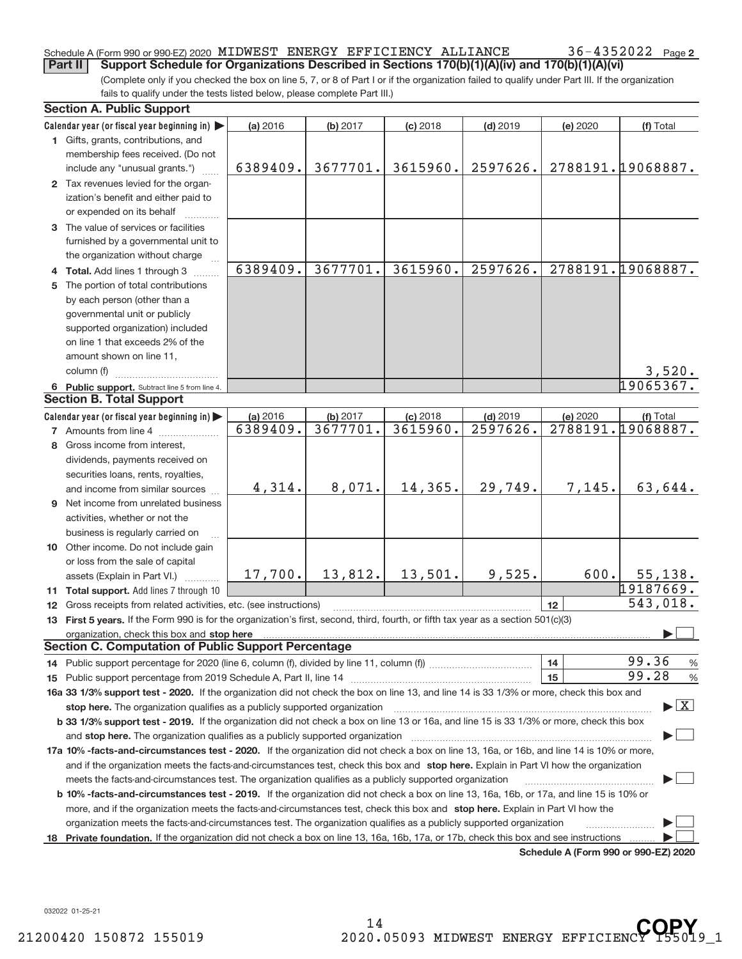### Schedule A (Form 990 or 990‐EZ) 2020 MIDWEST ENERGY EFFICIENCY ALLIANCE  $36-4352022$  Page

(Complete only if you checked the box on line 5, 7, or 8 of Part I or if the organization failed to qualify under Part III. If the organization fails to qualify under the tests listed below, please complete Part III.) **Part II** Support Schedule for Organizations Described in Sections 170(b)(1)(A)(iv) and 170(b)(1)(A)(vi)

|    | <b>Section A. Public Support</b>                                                                                                                                                                                                                 |          |          |            |            |          |                                         |
|----|--------------------------------------------------------------------------------------------------------------------------------------------------------------------------------------------------------------------------------------------------|----------|----------|------------|------------|----------|-----------------------------------------|
|    | Calendar year (or fiscal year beginning in)                                                                                                                                                                                                      | (a) 2016 | (b) 2017 | $(c)$ 2018 | $(d)$ 2019 | (e) 2020 | (f) Total                               |
|    | 1 Gifts, grants, contributions, and                                                                                                                                                                                                              |          |          |            |            |          |                                         |
|    | membership fees received. (Do not                                                                                                                                                                                                                |          |          |            |            |          |                                         |
|    | include any "unusual grants.")                                                                                                                                                                                                                   | 6389409. | 3677701. | 3615960.   | 2597626.   |          | 2788191.19068887.                       |
|    | 2 Tax revenues levied for the organ-                                                                                                                                                                                                             |          |          |            |            |          |                                         |
|    | ization's benefit and either paid to                                                                                                                                                                                                             |          |          |            |            |          |                                         |
|    | or expended on its behalf                                                                                                                                                                                                                        |          |          |            |            |          |                                         |
|    | 3 The value of services or facilities                                                                                                                                                                                                            |          |          |            |            |          |                                         |
|    | furnished by a governmental unit to                                                                                                                                                                                                              |          |          |            |            |          |                                         |
|    | the organization without charge                                                                                                                                                                                                                  |          |          |            |            |          |                                         |
|    | 4 Total. Add lines 1 through 3                                                                                                                                                                                                                   | 6389409. | 3677701. | 3615960.   | 2597626.   |          | 2788191.19068887.                       |
|    | 5 The portion of total contributions                                                                                                                                                                                                             |          |          |            |            |          |                                         |
|    | by each person (other than a                                                                                                                                                                                                                     |          |          |            |            |          |                                         |
|    | governmental unit or publicly                                                                                                                                                                                                                    |          |          |            |            |          |                                         |
|    | supported organization) included                                                                                                                                                                                                                 |          |          |            |            |          |                                         |
|    | on line 1 that exceeds 2% of the                                                                                                                                                                                                                 |          |          |            |            |          |                                         |
|    | amount shown on line 11,                                                                                                                                                                                                                         |          |          |            |            |          |                                         |
|    | column (f)                                                                                                                                                                                                                                       |          |          |            |            |          | 3,520.                                  |
|    | 6 Public support. Subtract line 5 from line 4.                                                                                                                                                                                                   |          |          |            |            |          | 19065367.                               |
|    | <b>Section B. Total Support</b>                                                                                                                                                                                                                  |          |          |            |            |          |                                         |
|    | Calendar year (or fiscal year beginning in)                                                                                                                                                                                                      | (a) 2016 | (b) 2017 | $(c)$ 2018 | $(d)$ 2019 | (e) 2020 | (f) Total                               |
|    | 7 Amounts from line 4                                                                                                                                                                                                                            | 6389409. | 3677701. | 3615960.   | 2597626.   | 2788191. | 19068887.                               |
| 8  | Gross income from interest,                                                                                                                                                                                                                      |          |          |            |            |          |                                         |
|    | dividends, payments received on                                                                                                                                                                                                                  |          |          |            |            |          |                                         |
|    | securities loans, rents, royalties,                                                                                                                                                                                                              |          |          |            |            |          |                                         |
|    | and income from similar sources                                                                                                                                                                                                                  | 4,314.   | 8,071.   | 14,365.    | 29,749.    | 7,145.   | 63,644.                                 |
|    | <b>9</b> Net income from unrelated business                                                                                                                                                                                                      |          |          |            |            |          |                                         |
|    | activities, whether or not the                                                                                                                                                                                                                   |          |          |            |            |          |                                         |
|    | business is regularly carried on                                                                                                                                                                                                                 |          |          |            |            |          |                                         |
|    | 10 Other income. Do not include gain                                                                                                                                                                                                             |          |          |            |            |          |                                         |
|    | or loss from the sale of capital                                                                                                                                                                                                                 |          |          |            |            |          |                                         |
|    | assets (Explain in Part VI.)                                                                                                                                                                                                                     | 17,700.  | 13,812.  | 13,501.    | 9,525.     | 600.     | 55, 138.                                |
|    | 11 Total support. Add lines 7 through 10                                                                                                                                                                                                         |          |          |            |            |          | 19187669.                               |
|    | 12 Gross receipts from related activities, etc. (see instructions)                                                                                                                                                                               |          |          |            |            | 12       | 543,018.                                |
|    | 13 First 5 years. If the Form 990 is for the organization's first, second, third, fourth, or fifth tax year as a section 501(c)(3)                                                                                                               |          |          |            |            |          |                                         |
|    | organization, check this box and stop here                                                                                                                                                                                                       |          |          |            |            |          |                                         |
|    | <b>Section C. Computation of Public Support Percentage</b>                                                                                                                                                                                       |          |          |            |            |          |                                         |
|    | 14 Public support percentage for 2020 (line 6, column (f), divided by line 11, column (f) <i>mummumumum</i>                                                                                                                                      |          |          |            |            | 14       | 99.36<br>$\%$                           |
|    |                                                                                                                                                                                                                                                  |          |          |            |            | 15       | 99.28<br>$\%$                           |
|    | 16a 33 1/3% support test - 2020. If the organization did not check the box on line 13, and line 14 is 33 1/3% or more, check this box and                                                                                                        |          |          |            |            |          |                                         |
|    | stop here. The organization qualifies as a publicly supported organization                                                                                                                                                                       |          |          |            |            |          | $\blacktriangleright$ $\vert$ X $\vert$ |
|    | b 33 1/3% support test - 2019. If the organization did not check a box on line 13 or 16a, and line 15 is 33 1/3% or more, check this box                                                                                                         |          |          |            |            |          |                                         |
|    | and stop here. The organization qualifies as a publicly supported organization                                                                                                                                                                   |          |          |            |            |          |                                         |
|    | 17a 10% -facts-and-circumstances test - 2020. If the organization did not check a box on line 13, 16a, or 16b, and line 14 is 10% or more,                                                                                                       |          |          |            |            |          |                                         |
|    |                                                                                                                                                                                                                                                  |          |          |            |            |          |                                         |
|    | and if the organization meets the facts-and-circumstances test, check this box and stop here. Explain in Part VI how the organization<br>meets the facts-and-circumstances test. The organization qualifies as a publicly supported organization |          |          |            |            |          |                                         |
|    |                                                                                                                                                                                                                                                  |          |          |            |            |          |                                         |
|    | <b>b 10% -facts-and-circumstances test - 2019.</b> If the organization did not check a box on line 13, 16a, 16b, or 17a, and line 15 is 10% or                                                                                                   |          |          |            |            |          |                                         |
|    | more, and if the organization meets the facts-and-circumstances test, check this box and stop here. Explain in Part VI how the                                                                                                                   |          |          |            |            |          |                                         |
|    | organization meets the facts-and-circumstances test. The organization qualifies as a publicly supported organization                                                                                                                             |          |          |            |            |          |                                         |
| 18 | Private foundation. If the organization did not check a box on line 13, 16a, 16b, 17a, or 17b, check this box and see instructions                                                                                                               |          |          |            |            |          |                                         |

**Schedule A (Form 990 or 990‐EZ) 2020**

032022 01‐25‐21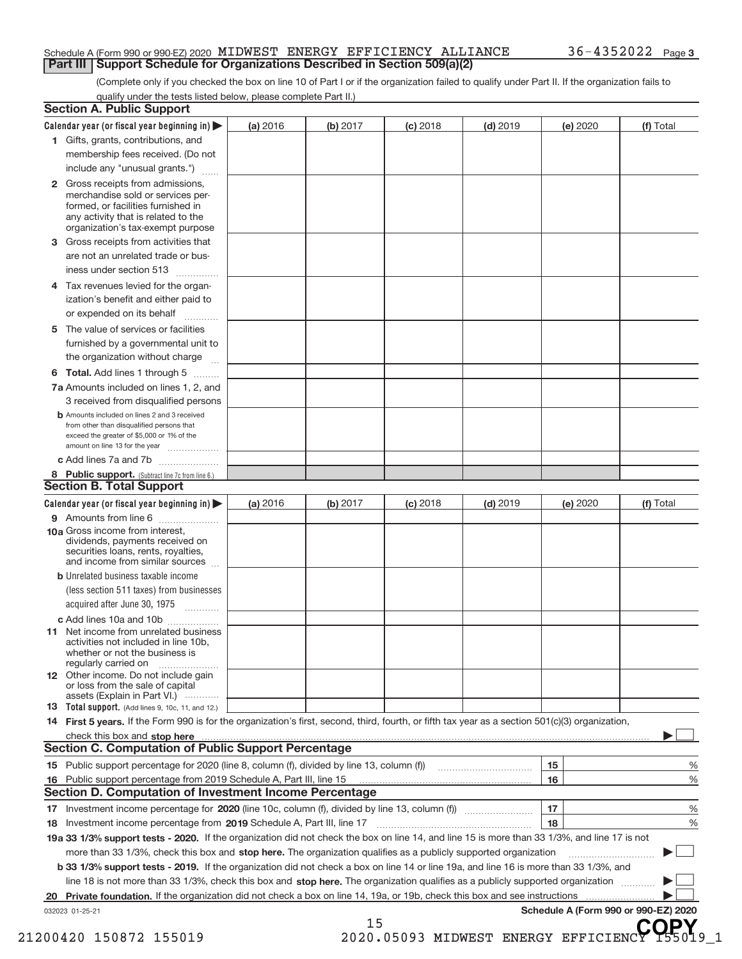#### Schedule A (Form 990 or 990‐EZ) 2020 MIDWEST ENERGY EFFICIENCY ALLIANCE  $36-4352022$  Page **Part III | Support Schedule for Organizations Described in Section 509(a)(2)**

(Complete only if you checked the box on line 10 of Part I or if the organization failed to qualify under Part II. If the organization fails to qualify under the tests listed below, please complete Part II.)

|    | Calendar year (or fiscal year beginning in) $\blacktriangleright$                                                                                | (a) 2016 | (b) 2017 | $(c)$ 2018 | $(d)$ 2019 | (e) 2020 | (f) Total   |
|----|--------------------------------------------------------------------------------------------------------------------------------------------------|----------|----------|------------|------------|----------|-------------|
|    | 1 Gifts, grants, contributions, and                                                                                                              |          |          |            |            |          |             |
|    | membership fees received. (Do not                                                                                                                |          |          |            |            |          |             |
|    | include any "unusual grants.")                                                                                                                   |          |          |            |            |          |             |
|    | 2 Gross receipts from admissions,                                                                                                                |          |          |            |            |          |             |
|    | merchandise sold or services per-                                                                                                                |          |          |            |            |          |             |
|    | formed, or facilities furnished in<br>any activity that is related to the                                                                        |          |          |            |            |          |             |
|    | organization's tax-exempt purpose                                                                                                                |          |          |            |            |          |             |
| 3  | Gross receipts from activities that                                                                                                              |          |          |            |            |          |             |
|    | are not an unrelated trade or bus-                                                                                                               |          |          |            |            |          |             |
|    | iness under section 513                                                                                                                          |          |          |            |            |          |             |
| 4  | Tax revenues levied for the organ-                                                                                                               |          |          |            |            |          |             |
|    | ization's benefit and either paid to                                                                                                             |          |          |            |            |          |             |
|    | or expended on its behalf                                                                                                                        |          |          |            |            |          |             |
| 5  | The value of services or facilities                                                                                                              |          |          |            |            |          |             |
|    | furnished by a governmental unit to                                                                                                              |          |          |            |            |          |             |
|    | the organization without charge                                                                                                                  |          |          |            |            |          |             |
| 6  | <b>Total.</b> Add lines 1 through 5                                                                                                              |          |          |            |            |          |             |
|    | 7a Amounts included on lines 1, 2, and                                                                                                           |          |          |            |            |          |             |
|    | 3 received from disqualified persons                                                                                                             |          |          |            |            |          |             |
|    | <b>b</b> Amounts included on lines 2 and 3 received                                                                                              |          |          |            |            |          |             |
|    | from other than disqualified persons that                                                                                                        |          |          |            |            |          |             |
|    | exceed the greater of \$5,000 or 1% of the                                                                                                       |          |          |            |            |          |             |
|    | amount on line 13 for the year                                                                                                                   |          |          |            |            |          |             |
|    | c Add lines 7a and 7b                                                                                                                            |          |          |            |            |          |             |
|    | 8 Public support. (Subtract line 7c from line 6.)<br><b>Section B. Total Support</b>                                                             |          |          |            |            |          |             |
|    | Calendar year (or fiscal year beginning in)                                                                                                      | (a) 2016 | (b) 2017 | $(c)$ 2018 | $(d)$ 2019 | (e) 2020 | (f) Total   |
|    | 9 Amounts from line 6                                                                                                                            |          |          |            |            |          |             |
|    | 10a Gross income from interest.                                                                                                                  |          |          |            |            |          |             |
|    | dividends, payments received on                                                                                                                  |          |          |            |            |          |             |
|    | securities loans, rents, royalties,<br>and income from similar sources                                                                           |          |          |            |            |          |             |
|    | <b>b</b> Unrelated business taxable income                                                                                                       |          |          |            |            |          |             |
|    |                                                                                                                                                  |          |          |            |            |          |             |
|    | (less section 511 taxes) from businesses                                                                                                         |          |          |            |            |          |             |
|    |                                                                                                                                                  |          |          |            |            |          |             |
|    | acquired after June 30, 1975                                                                                                                     |          |          |            |            |          |             |
|    | c Add lines 10a and 10b<br>11 Net income from unrelated business                                                                                 |          |          |            |            |          |             |
|    | activities not included in line 10b.                                                                                                             |          |          |            |            |          |             |
|    | whether or not the business is                                                                                                                   |          |          |            |            |          |             |
|    | regularly carried on                                                                                                                             |          |          |            |            |          |             |
|    | 12 Other income. Do not include gain<br>or loss from the sale of capital                                                                         |          |          |            |            |          |             |
|    | assets (Explain in Part VI.)                                                                                                                     |          |          |            |            |          |             |
|    | 13 Total support. (Add lines 9, 10c, 11, and 12.)                                                                                                |          |          |            |            |          |             |
|    | 14 First 5 years. If the Form 990 is for the organization's first, second, third, fourth, or fifth tax year as a section 501(c)(3) organization, |          |          |            |            |          |             |
|    |                                                                                                                                                  |          |          |            |            |          |             |
|    | <b>Section C. Computation of Public Support Percentage</b>                                                                                       |          |          |            |            |          |             |
|    |                                                                                                                                                  |          |          |            |            | 15       |             |
|    |                                                                                                                                                  |          |          |            |            | 16       |             |
|    | <b>Section D. Computation of Investment Income Percentage</b>                                                                                    |          |          |            |            |          |             |
|    |                                                                                                                                                  |          |          |            |            | 17       | %<br>%<br>% |
| 18 |                                                                                                                                                  |          |          |            |            | 18       |             |
|    | 19a 33 1/3% support tests - 2020. If the organization did not check the box on line 14, and line 15 is more than 33 1/3%, and line 17 is not     |          |          |            |            |          | %           |
|    | more than 33 1/3%, check this box and stop here. The organization qualifies as a publicly supported organization                                 |          |          |            |            |          |             |
|    | <b>b 33 1/3% support tests - 2019.</b> If the organization did not check a box on line 14 or line 19a, and line 16 is more than 33 1/3%, and     |          |          |            |            |          |             |
|    | line 18 is not more than 33 1/3%, check this box and stop here. The organization qualifies as a publicly supported organization                  |          |          |            |            |          |             |
|    |                                                                                                                                                  |          |          |            |            |          |             |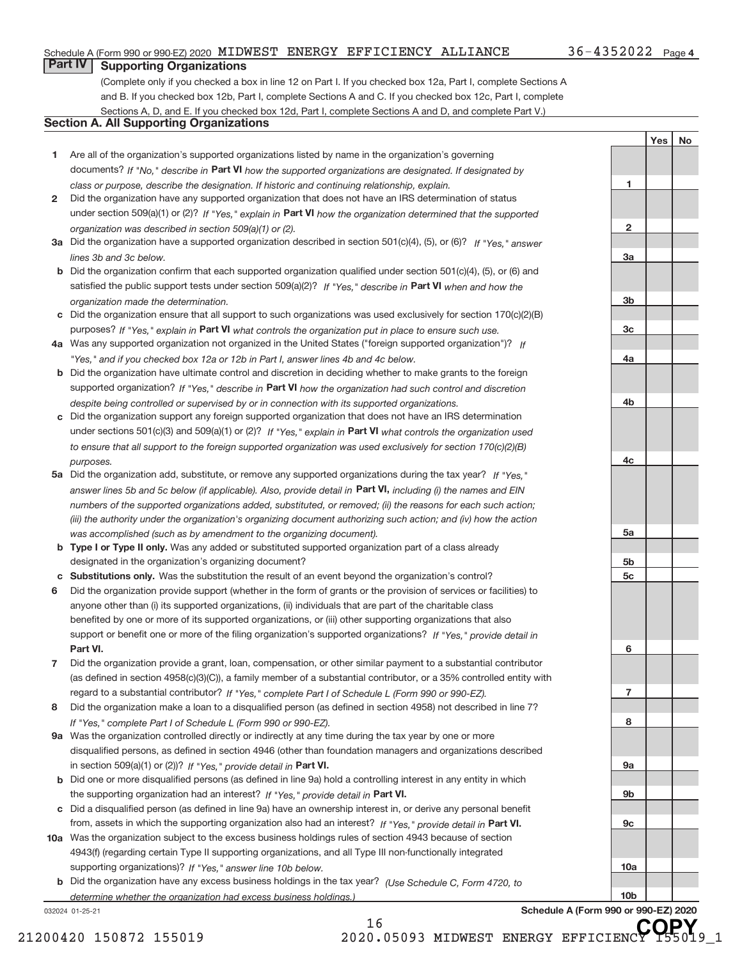**1**

**2**

**3a**

**3b**

**3c**

**4a**

**4b**

**4c**

**5a**

**5b 5c**

**6**

**7**

**8**

**9a**

**9b**

**9c**

**10a**

**10b**

Yes | No

## **Part IV Supporting Organizations**

(Complete only if you checked a box in line 12 on Part I. If you checked box 12a, Part I, complete Sections A and B. If you checked box 12b, Part I, complete Sections A and C. If you checked box 12c, Part I, complete Sections A, D, and E. If you checked box 12d, Part I, complete Sections A and D, and complete Part V.)

#### **Section A. All Supporting Organizations**

- **1** Are all of the organization's supported organizations listed by name in the organization's governing documents? If "No," describe in Part VI how the supported organizations are designated. If designated by *class or purpose, describe the designation. If historic and continuing relationship, explain.*
- **2** Did the organization have any supported organization that does not have an IRS determination of status under section 509(a)(1) or (2)? If "Yes," explain in Part VI how the organization determined that the supported *organization was described in section 509(a)(1) or (2).*
- **3a** Did the organization have a supported organization described in section 501(c)(4), (5), or (6)? If "Yes," answer *lines 3b and 3c below.*
- **b** Did the organization confirm that each supported organization qualified under section 501(c)(4), (5), or (6) and satisfied the public support tests under section 509(a)(2)? If "Yes," describe in Part VI when and how the *organization made the determination.*
- **c** Did the organization ensure that all support to such organizations was used exclusively for section 170(c)(2)(B) purposes? If "Yes," explain in Part VI what controls the organization put in place to ensure such use.
- **4 a** *If* Was any supported organization not organized in the United States ("foreign supported organization")? *"Yes," and if you checked box 12a or 12b in Part I, answer lines 4b and 4c below.*
- **b** Did the organization have ultimate control and discretion in deciding whether to make grants to the foreign supported organization? If "Yes," describe in Part VI how the organization had such control and discretion *despite being controlled or supervised by or in connection with its supported organizations.*
- **c** Did the organization support any foreign supported organization that does not have an IRS determination under sections 501(c)(3) and 509(a)(1) or (2)? If "Yes," explain in Part VI what controls the organization used *to ensure that all support to the foreign supported organization was used exclusively for section 170(c)(2)(B) purposes.*
- **5a** Did the organization add, substitute, or remove any supported organizations during the tax year? If "Yes," answer lines 5b and 5c below (if applicable). Also, provide detail in Part VI, including (i) the names and EIN *numbers of the supported organizations added, substituted, or removed; (ii) the reasons for each such action; (iii) the authority under the organization's organizing document authorizing such action; and (iv) how the action was accomplished (such as by amendment to the organizing document).*
- **b Type I or Type II only.** Was any added or substituted supported organization part of a class already designated in the organization's organizing document?
- **c Substitutions only.**  Was the substitution the result of an event beyond the organization's control?
- **6** Did the organization provide support (whether in the form of grants or the provision of services or facilities) to **Part VI.** *If "Yes," provide detail in* support or benefit one or more of the filing organization's supported organizations? anyone other than (i) its supported organizations, (ii) individuals that are part of the charitable class benefited by one or more of its supported organizations, or (iii) other supporting organizations that also
- **7** Did the organization provide a grant, loan, compensation, or other similar payment to a substantial contributor regard to a substantial contributor? If "Yes," complete Part I of Schedule L (Form 990 or 990-EZ). (as defined in section 4958(c)(3)(C)), a family member of a substantial contributor, or a 35% controlled entity with
- **8** Did the organization make a loan to a disqualified person (as defined in section 4958) not described in line 7? *If "Yes," complete Part I of Schedule L (Form 990 or 990-EZ).*
- **9 a** Was the organization controlled directly or indirectly at any time during the tax year by one or more in section 509(a)(1) or (2))? If "Yes," provide detail in Part VI. disqualified persons, as defined in section 4946 (other than foundation managers and organizations described
- **b** Did one or more disqualified persons (as defined in line 9a) hold a controlling interest in any entity in which the supporting organization had an interest? If "Yes," provide detail in Part VI.
- **c** Did a disqualified person (as defined in line 9a) have an ownership interest in, or derive any personal benefit from, assets in which the supporting organization also had an interest? If "Yes," provide detail in Part VI.
- **10 a** Was the organization subject to the excess business holdings rules of section 4943 because of section supporting organizations)? If "Yes," answer line 10b below. 4943(f) (regarding certain Type II supporting organizations, and all Type III non-functionally integrated
	- **b** Did the organization have any excess business holdings in the tax year? (Use Schedule C, Form 4720, to *determine whether the organization had excess business holdings.)*

16

032024 01‐25‐21

**Schedule A (Form 990 or 990‐EZ) 2020 COPY**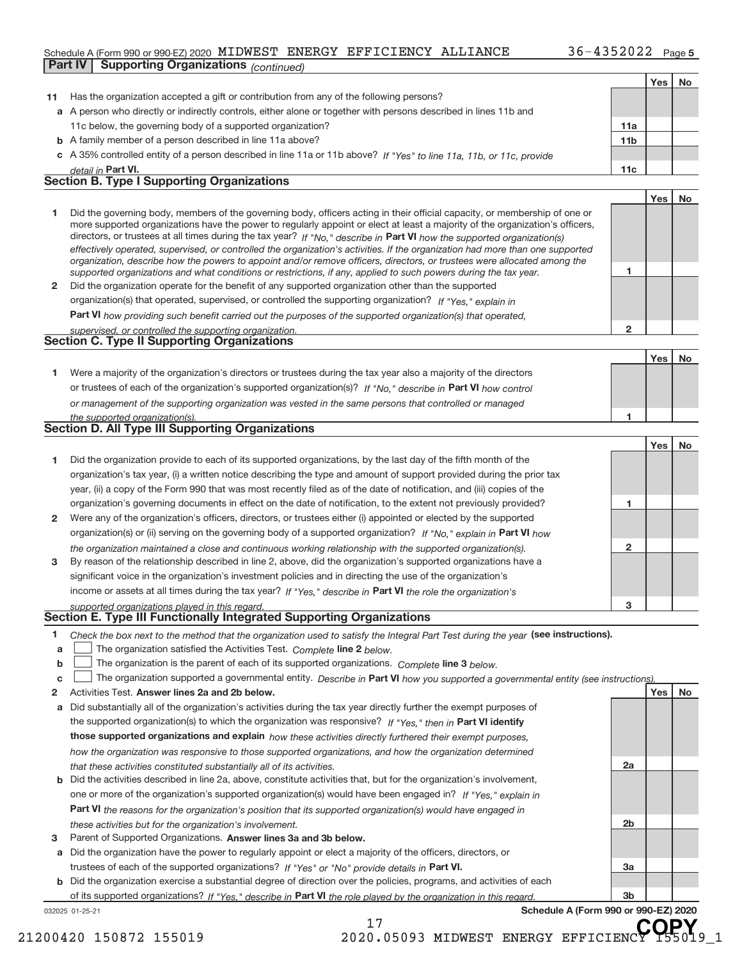#### Schedule A (Form 990 or 990‐EZ) 2020 MIDWEST ENERGY EFFICIENCY ALLIANCE  $36-4352022$  Page **Part IV | Supporting Organizations** (*continued*)

|    |                                                                                                                                   |                | Yes   No |    |
|----|-----------------------------------------------------------------------------------------------------------------------------------|----------------|----------|----|
| 11 | Has the organization accepted a gift or contribution from any of the following persons?                                           |                |          |    |
|    | a A person who directly or indirectly controls, either alone or together with persons described in lines 11b and                  |                |          |    |
|    | 11c below, the governing body of a supported organization?                                                                        | 11a            |          |    |
|    | <b>b</b> A family member of a person described in line 11a above?                                                                 | 11b            |          |    |
|    | c A 35% controlled entity of a person described in line 11a or 11b above? If "Yes" to line 11a, 11b, or 11c, provide              |                |          |    |
|    | detail in Part VI.                                                                                                                | 11c            |          |    |
|    | <b>Section B. Type I Supporting Organizations</b>                                                                                 |                |          |    |
|    |                                                                                                                                   |                | Yes      | No |
| 1  | Did the governing body, members of the governing body, officers acting in their official capacity, or membership of one or        |                |          |    |
|    | more supported organizations have the power to regularly appoint or elect at least a majority of the organization's officers,     |                |          |    |
|    | directors, or trustees at all times during the tax year? If "No," describe in Part VI how the supported organization(s)           |                |          |    |
|    | effectively operated, supervised, or controlled the organization's activities. If the organization had more than one supported    |                |          |    |
|    | organization, describe how the powers to appoint and/or remove officers, directors, or trustees were allocated among the          |                |          |    |
|    | supported organizations and what conditions or restrictions, if any, applied to such powers during the tax year.                  | 1              |          |    |
| 2  | Did the organization operate for the benefit of any supported organization other than the supported                               |                |          |    |
|    | organization(s) that operated, supervised, or controlled the supporting organization? If "Yes," explain in                        |                |          |    |
|    | Part VI how providing such benefit carried out the purposes of the supported organization(s) that operated,                       |                |          |    |
|    | supervised, or controlled the supporting organization.<br><b>Section C. Type II Supporting Organizations</b>                      | $\overline{2}$ |          |    |
|    |                                                                                                                                   |                |          |    |
|    |                                                                                                                                   |                | Yes      | No |
| 1  | Were a majority of the organization's directors or trustees during the tax year also a majority of the directors                  |                |          |    |
|    | or trustees of each of the organization's supported organization(s)? If "No," describe in Part VI how control                     |                |          |    |
|    | or management of the supporting organization was vested in the same persons that controlled or managed                            |                |          |    |
|    | the supported organization(s).                                                                                                    | 1              |          |    |
|    | <b>Section D. All Type III Supporting Organizations</b>                                                                           |                |          |    |
|    |                                                                                                                                   |                | Yes      | No |
| 1  | Did the organization provide to each of its supported organizations, by the last day of the fifth month of the                    |                |          |    |
|    | organization's tax year, (i) a written notice describing the type and amount of support provided during the prior tax             |                |          |    |
|    | year, (ii) a copy of the Form 990 that was most recently filed as of the date of notification, and (iii) copies of the            |                |          |    |
|    | organization's governing documents in effect on the date of notification, to the extent not previously provided?                  | 1              |          |    |
| 2  | Were any of the organization's officers, directors, or trustees either (i) appointed or elected by the supported                  |                |          |    |
|    | organization(s) or (ii) serving on the governing body of a supported organization? If "No," explain in Part VI how                |                |          |    |
|    | the organization maintained a close and continuous working relationship with the supported organization(s).                       | $\mathbf{2}$   |          |    |
| 3  | By reason of the relationship described in line 2, above, did the organization's supported organizations have a                   |                |          |    |
|    | significant voice in the organization's investment policies and in directing the use of the organization's                        |                |          |    |
|    | income or assets at all times during the tax year? If "Yes," describe in Part VI the role the organization's                      |                |          |    |
|    | supported organizations played in this regard.                                                                                    | 3              |          |    |
|    | Section E. Type III Functionally Integrated Supporting Organizations                                                              |                |          |    |
| 1  | Check the box next to the method that the organization used to satisfy the Integral Part Test during the year (see instructions). |                |          |    |
| а  | The organization satisfied the Activities Test. Complete line 2 below.                                                            |                |          |    |
| b  | The organization is the parent of each of its supported organizations. Complete line 3 below.                                     |                |          |    |
| c  | The organization supported a governmental entity. Describe in Part VI how you supported a governmental entity (see instructions)  |                |          |    |
| 2  | Activities Test. Answer lines 2a and 2b below.                                                                                    |                | Yes      | No |
| а  | Did substantially all of the organization's activities during the tax year directly further the exempt purposes of                |                |          |    |
|    | the supported organization(s) to which the organization was responsive? If "Yes," then in Part VI identify                        |                |          |    |
|    | those supported organizations and explain how these activities directly furthered their exempt purposes,                          |                |          |    |
|    | how the organization was responsive to those supported organizations, and how the organization determined                         |                |          |    |
|    | that these activities constituted substantially all of its activities.                                                            | 2a             |          |    |
| b  | Did the activities described in line 2a, above, constitute activities that, but for the organization's involvement,               |                |          |    |
|    | one or more of the organization's supported organization(s) would have been engaged in? If "Yes," explain in                      |                |          |    |
|    | Part VI the reasons for the organization's position that its supported organization(s) would have engaged in                      |                |          |    |
|    | these activities but for the organization's involvement.                                                                          | 2b             |          |    |
| 3  | Parent of Supported Organizations. Answer lines 3a and 3b below.                                                                  |                |          |    |
| а  | Did the organization have the power to regularly appoint or elect a majority of the officers, directors, or                       |                |          |    |
|    | trustees of each of the supported organizations? If "Yes" or "No" provide details in Part VI.                                     | За             |          |    |

032025 01‐25‐21 **b** Did the organization exercise a substantial degree of direction over the policies, programs, and activities of each of its supported organizations? If "Yes," describe in Part VI the role played by the organization in this regard.

17

**Schedule A (Form 990 or 990‐EZ) 2020**

**3b**

21200420 150872 155019 2020.05093 MIDWEST ENERGY EFFICIENCY 155019\_1 **COPY**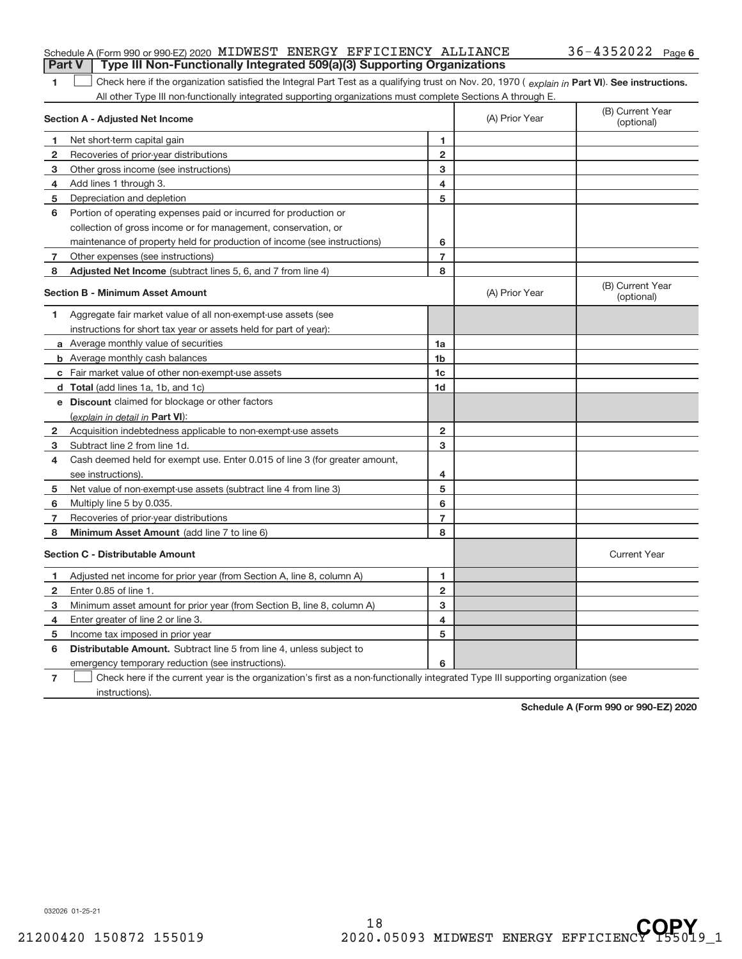|   | Schedule A (Form 990 or 990-EZ) 2020 MIDWEST ENERGY EFFICIENCY ALLIANCE                                                                        |                         |                                | $36 - 4352022$ Page 6          |
|---|------------------------------------------------------------------------------------------------------------------------------------------------|-------------------------|--------------------------------|--------------------------------|
|   | Type III Non-Functionally Integrated 509(a)(3) Supporting Organizations<br><b>Part V</b>                                                       |                         |                                |                                |
| 1 | Check here if the organization satisfied the Integral Part Test as a qualifying trust on Nov. 20, 1970 (explain in Part VI). See instructions. |                         |                                |                                |
|   | All other Type III non-functionally integrated supporting organizations must complete Sections A through E.                                    |                         |                                |                                |
|   | Section A - Adjusted Net Income                                                                                                                |                         | (A) Prior Year                 | (B) Current Year<br>(optional) |
| 1 | Net short-term capital gain                                                                                                                    | 1                       |                                |                                |
| 2 | Recoveries of prior-year distributions                                                                                                         | $\overline{\mathbf{c}}$ |                                |                                |
| 3 | Other gross income (see instructions)                                                                                                          | 3                       |                                |                                |
| 4 | Add lines 1 through 3.                                                                                                                         | 4                       |                                |                                |
| 5 | Depreciation and depletion                                                                                                                     | 5                       |                                |                                |
| 6 | Portion of operating expenses paid or incurred for production or                                                                               |                         |                                |                                |
|   | collection of gross income or for management, conservation, or                                                                                 |                         |                                |                                |
|   | maintenance of property held for production of income (see instructions)                                                                       | 6                       |                                |                                |
| 7 | Other expenses (see instructions)                                                                                                              | $\overline{7}$          |                                |                                |
| 8 | Adjusted Net Income (subtract lines 5, 6, and 7 from line 4)                                                                                   | 8                       |                                |                                |
|   | <b>Section B - Minimum Asset Amount</b>                                                                                                        | (A) Prior Year          | (B) Current Year<br>(optional) |                                |
| 1 | Aggregate fair market value of all non-exempt-use assets (see                                                                                  |                         |                                |                                |
|   | instructions for short tax year or assets held for part of year):                                                                              |                         |                                |                                |
|   | <b>a</b> Average monthly value of securities                                                                                                   | 1a                      |                                |                                |
|   | <b>b</b> Average monthly cash balances                                                                                                         | 1 <sub>b</sub>          |                                |                                |
|   | c Fair market value of other non-exempt-use assets                                                                                             | 1 <sub>c</sub>          |                                |                                |
|   | d Total (add lines 1a, 1b, and 1c)                                                                                                             | 1 <sub>d</sub>          |                                |                                |
|   | e Discount claimed for blockage or other factors                                                                                               |                         |                                |                                |
|   | (explain in detail in Part VI):                                                                                                                |                         |                                |                                |
| 2 | Acquisition indebtedness applicable to non-exempt-use assets                                                                                   | 2                       |                                |                                |
| 3 | Subtract line 2 from line 1d.                                                                                                                  | 3                       |                                |                                |
| 4 | Cash deemed held for exempt use. Enter 0.015 of line 3 (for greater amount,                                                                    |                         |                                |                                |
|   | see instructions).                                                                                                                             | 4                       |                                |                                |
| 5 | Net value of non-exempt-use assets (subtract line 4 from line 3)                                                                               | 5                       |                                |                                |
| 6 | Multiply line 5 by 0.035.                                                                                                                      | 6                       |                                |                                |
| 7 | Recoveries of prior-year distributions                                                                                                         | $\overline{7}$          |                                |                                |
| 8 | Minimum Asset Amount (add line 7 to line 6)                                                                                                    | 8                       |                                |                                |
|   | <b>Section C - Distributable Amount</b>                                                                                                        |                         |                                | <b>Current Year</b>            |
| 1 | Adjusted net income for prior year (from Section A, line 8, column A)                                                                          | 1                       |                                |                                |
| 2 | Enter 0.85 of line 1.                                                                                                                          | $\overline{2}$          |                                |                                |
| 3 | Minimum asset amount for prior year (from Section B, line 8, column A)                                                                         | 3                       |                                |                                |
| 4 | Enter greater of line 2 or line 3.                                                                                                             | 4                       |                                |                                |
| 5 | Income tax imposed in prior year                                                                                                               | 5                       |                                |                                |
| 6 | <b>Distributable Amount.</b> Subtract line 5 from line 4, unless subject to                                                                    |                         |                                |                                |
|   | emergency temporary reduction (see instructions).                                                                                              | 6                       |                                |                                |

**7** └ ○ Check here if the current year is the organization's first as a non-functionally integrated Type III supporting organization (see instructions).

**Schedule A (Form 990 or 990‐EZ) 2020**

032026 01‐25‐21

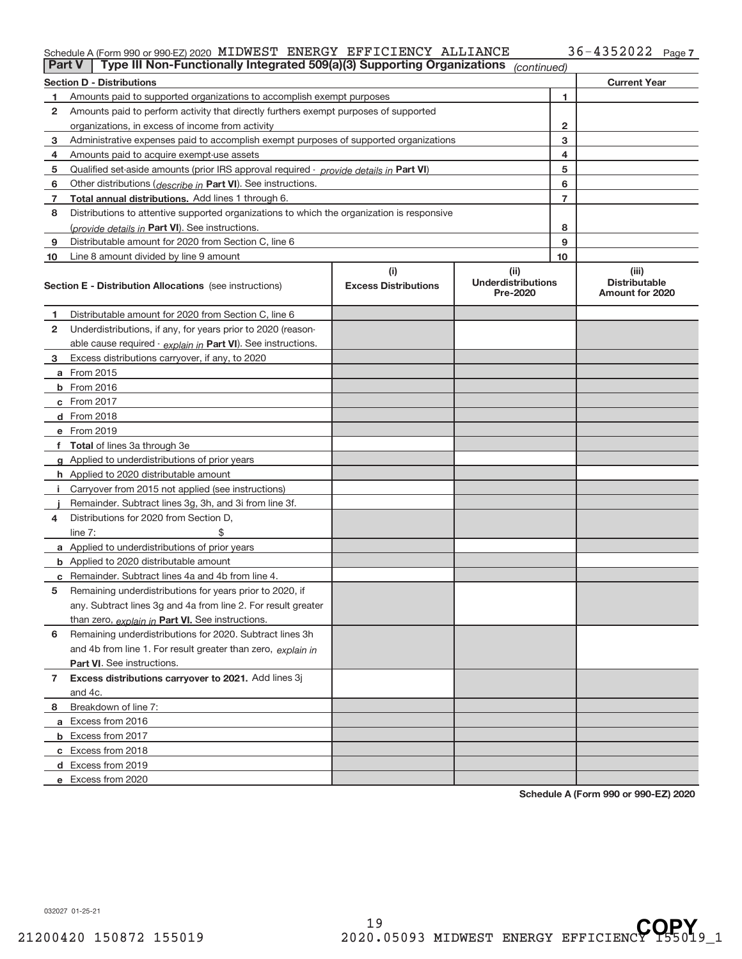#### Schedule A (Form 990 or 990‐EZ) 2020 MIDWEST ENERGY EFFICIENCY ALLIANCE 36-4352022 Page MIDWEST ENERGY EFFICIENCY ALLIANCE 36‐4352022

| <b>Part V</b> | Type III Non-Functionally Integrated 509(a)(3) Supporting Organizations                    |                                    | (continued)                                    |                                                  |
|---------------|--------------------------------------------------------------------------------------------|------------------------------------|------------------------------------------------|--------------------------------------------------|
|               | <b>Section D - Distributions</b>                                                           |                                    |                                                | <b>Current Year</b>                              |
| 1.            | Amounts paid to supported organizations to accomplish exempt purposes                      |                                    | 1                                              |                                                  |
| 2             | Amounts paid to perform activity that directly furthers exempt purposes of supported       |                                    |                                                |                                                  |
|               | organizations, in excess of income from activity                                           |                                    | 2                                              |                                                  |
| 3             | Administrative expenses paid to accomplish exempt purposes of supported organizations      |                                    | 3                                              |                                                  |
| 4             | Amounts paid to acquire exempt-use assets                                                  |                                    | 4                                              |                                                  |
| 5             | Qualified set-aside amounts (prior IRS approval required - provide details in Part VI)     |                                    | 5                                              |                                                  |
| 6             | Other distributions (describe in Part VI). See instructions.                               |                                    | 6                                              |                                                  |
| 7             | Total annual distributions. Add lines 1 through 6.                                         |                                    | $\overline{7}$                                 |                                                  |
| 8             | Distributions to attentive supported organizations to which the organization is responsive |                                    |                                                |                                                  |
|               | (provide details in Part VI). See instructions.                                            |                                    | 8                                              |                                                  |
| 9             | Distributable amount for 2020 from Section C, line 6                                       |                                    | 9                                              |                                                  |
| 10            | Line 8 amount divided by line 9 amount                                                     |                                    | 10                                             |                                                  |
|               | <b>Section E - Distribution Allocations</b> (see instructions)                             | (i)<br><b>Excess Distributions</b> | (iii)<br><b>Underdistributions</b><br>Pre-2020 | (iii)<br><b>Distributable</b><br>Amount for 2020 |
| 1             | Distributable amount for 2020 from Section C, line 6                                       |                                    |                                                |                                                  |
| 2             | Underdistributions, if any, for years prior to 2020 (reason-                               |                                    |                                                |                                                  |
|               | able cause required - explain in Part VI). See instructions.                               |                                    |                                                |                                                  |
| 3             | Excess distributions carryover, if any, to 2020                                            |                                    |                                                |                                                  |
|               | <b>a</b> From 2015                                                                         |                                    |                                                |                                                  |
|               | <b>b</b> From 2016                                                                         |                                    |                                                |                                                  |
|               | c From 2017                                                                                |                                    |                                                |                                                  |
|               | d From 2018                                                                                |                                    |                                                |                                                  |
|               | e From 2019                                                                                |                                    |                                                |                                                  |
|               | f Total of lines 3a through 3e                                                             |                                    |                                                |                                                  |
|               | <b>g</b> Applied to underdistributions of prior years                                      |                                    |                                                |                                                  |
|               | <b>h</b> Applied to 2020 distributable amount                                              |                                    |                                                |                                                  |
|               | Carryover from 2015 not applied (see instructions)                                         |                                    |                                                |                                                  |
|               | Remainder. Subtract lines 3g, 3h, and 3i from line 3f.                                     |                                    |                                                |                                                  |
| 4             | Distributions for 2020 from Section D,                                                     |                                    |                                                |                                                  |
|               | line $7:$                                                                                  |                                    |                                                |                                                  |
|               | <b>a</b> Applied to underdistributions of prior years                                      |                                    |                                                |                                                  |
|               | <b>b</b> Applied to 2020 distributable amount                                              |                                    |                                                |                                                  |
|               | c Remainder. Subtract lines 4a and 4b from line 4.                                         |                                    |                                                |                                                  |
| 5             | Remaining underdistributions for years prior to 2020, if                                   |                                    |                                                |                                                  |
|               | any. Subtract lines 3g and 4a from line 2. For result greater                              |                                    |                                                |                                                  |
|               | than zero, explain in Part VI. See instructions.                                           |                                    |                                                |                                                  |
| 6             | Remaining underdistributions for 2020. Subtract lines 3h                                   |                                    |                                                |                                                  |
|               | and 4b from line 1. For result greater than zero, explain in                               |                                    |                                                |                                                  |
|               | Part VI. See instructions.                                                                 |                                    |                                                |                                                  |
| 7             | Excess distributions carryover to 2021. Add lines 3j                                       |                                    |                                                |                                                  |
|               | and 4c.                                                                                    |                                    |                                                |                                                  |
| 8             | Breakdown of line 7:                                                                       |                                    |                                                |                                                  |
|               | a Excess from 2016                                                                         |                                    |                                                |                                                  |
|               | <b>b</b> Excess from 2017                                                                  |                                    |                                                |                                                  |
|               | c Excess from 2018                                                                         |                                    |                                                |                                                  |
|               | d Excess from 2019                                                                         |                                    |                                                |                                                  |
|               | e Excess from 2020                                                                         |                                    |                                                |                                                  |

**Schedule A (Form 990 or 990‐EZ) 2020**

032027 01‐25‐21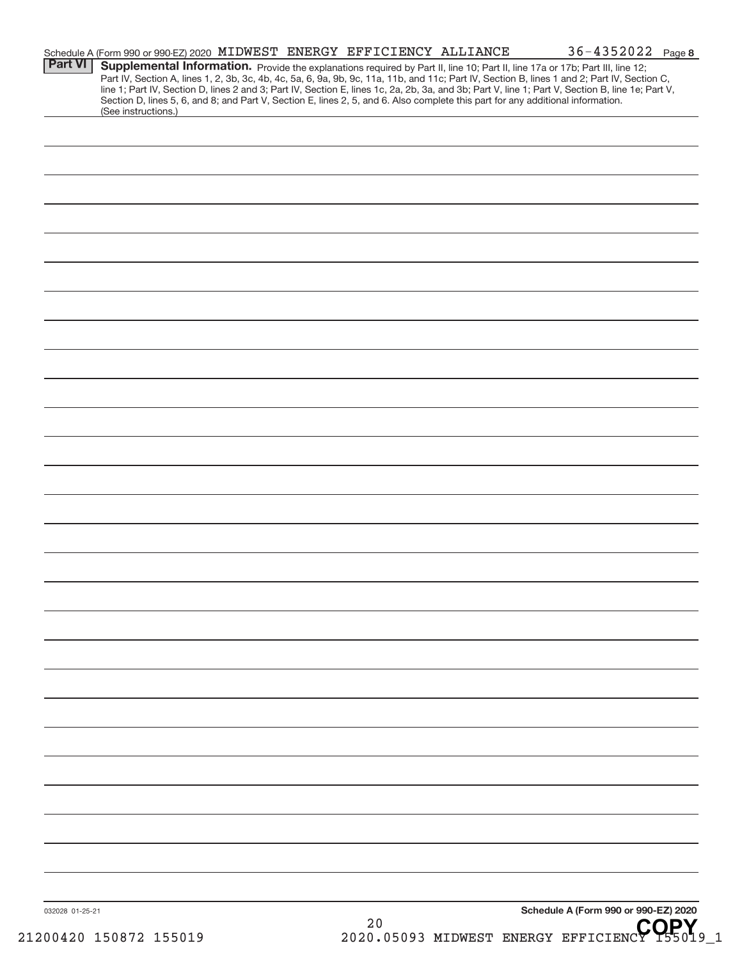| <b>Part VI</b>  | Schedule A (Form 990 or 990-EZ) 2020 MIDWEST ENERGY EFFICIENCY ALLIANCE<br>Section D, lines 5, 6, and 8; and Part V, Section E, lines 2, 5, and 6. Also complete this part for any additional information. |  |    | 36-4352022 Page 8<br>Supplemental Information. Provide the explanations required by Part II, line 10; Part II, line 17a or 17b; Part III, line 12;<br>Part IV, Section A, lines 1, 2, 3b, 3c, 4b, 4c, 5a, 6, 9a, 9b, 9c, 11a, 11b, and 11c; Part IV, Section B, lines 1 and 2; Part IV, Section C,<br>line 1; Part IV, Section D, lines 2 and 3; Part IV, Section E, lines 1c, 2a, 2b, 3a, and 3b; Part V, line 1; Part V, Section B, line 1e; Part V, |  |
|-----------------|------------------------------------------------------------------------------------------------------------------------------------------------------------------------------------------------------------|--|----|--------------------------------------------------------------------------------------------------------------------------------------------------------------------------------------------------------------------------------------------------------------------------------------------------------------------------------------------------------------------------------------------------------------------------------------------------------|--|
|                 | (See instructions.)                                                                                                                                                                                        |  |    |                                                                                                                                                                                                                                                                                                                                                                                                                                                        |  |
|                 |                                                                                                                                                                                                            |  |    |                                                                                                                                                                                                                                                                                                                                                                                                                                                        |  |
|                 |                                                                                                                                                                                                            |  |    |                                                                                                                                                                                                                                                                                                                                                                                                                                                        |  |
|                 |                                                                                                                                                                                                            |  |    |                                                                                                                                                                                                                                                                                                                                                                                                                                                        |  |
|                 |                                                                                                                                                                                                            |  |    |                                                                                                                                                                                                                                                                                                                                                                                                                                                        |  |
|                 |                                                                                                                                                                                                            |  |    |                                                                                                                                                                                                                                                                                                                                                                                                                                                        |  |
|                 |                                                                                                                                                                                                            |  |    |                                                                                                                                                                                                                                                                                                                                                                                                                                                        |  |
|                 |                                                                                                                                                                                                            |  |    |                                                                                                                                                                                                                                                                                                                                                                                                                                                        |  |
|                 |                                                                                                                                                                                                            |  |    |                                                                                                                                                                                                                                                                                                                                                                                                                                                        |  |
|                 |                                                                                                                                                                                                            |  |    |                                                                                                                                                                                                                                                                                                                                                                                                                                                        |  |
|                 |                                                                                                                                                                                                            |  |    |                                                                                                                                                                                                                                                                                                                                                                                                                                                        |  |
|                 |                                                                                                                                                                                                            |  |    |                                                                                                                                                                                                                                                                                                                                                                                                                                                        |  |
|                 |                                                                                                                                                                                                            |  |    |                                                                                                                                                                                                                                                                                                                                                                                                                                                        |  |
|                 |                                                                                                                                                                                                            |  |    |                                                                                                                                                                                                                                                                                                                                                                                                                                                        |  |
|                 |                                                                                                                                                                                                            |  |    |                                                                                                                                                                                                                                                                                                                                                                                                                                                        |  |
|                 |                                                                                                                                                                                                            |  |    |                                                                                                                                                                                                                                                                                                                                                                                                                                                        |  |
|                 |                                                                                                                                                                                                            |  |    |                                                                                                                                                                                                                                                                                                                                                                                                                                                        |  |
|                 |                                                                                                                                                                                                            |  |    |                                                                                                                                                                                                                                                                                                                                                                                                                                                        |  |
|                 |                                                                                                                                                                                                            |  |    |                                                                                                                                                                                                                                                                                                                                                                                                                                                        |  |
|                 |                                                                                                                                                                                                            |  |    |                                                                                                                                                                                                                                                                                                                                                                                                                                                        |  |
|                 |                                                                                                                                                                                                            |  |    |                                                                                                                                                                                                                                                                                                                                                                                                                                                        |  |
|                 |                                                                                                                                                                                                            |  |    |                                                                                                                                                                                                                                                                                                                                                                                                                                                        |  |
|                 |                                                                                                                                                                                                            |  |    |                                                                                                                                                                                                                                                                                                                                                                                                                                                        |  |
|                 |                                                                                                                                                                                                            |  |    |                                                                                                                                                                                                                                                                                                                                                                                                                                                        |  |
|                 |                                                                                                                                                                                                            |  |    |                                                                                                                                                                                                                                                                                                                                                                                                                                                        |  |
|                 |                                                                                                                                                                                                            |  |    |                                                                                                                                                                                                                                                                                                                                                                                                                                                        |  |
| 032028 01-25-21 |                                                                                                                                                                                                            |  | 20 | Schedule A (Form 990 or 990-EZ) 2020<br>CODV.                                                                                                                                                                                                                                                                                                                                                                                                          |  |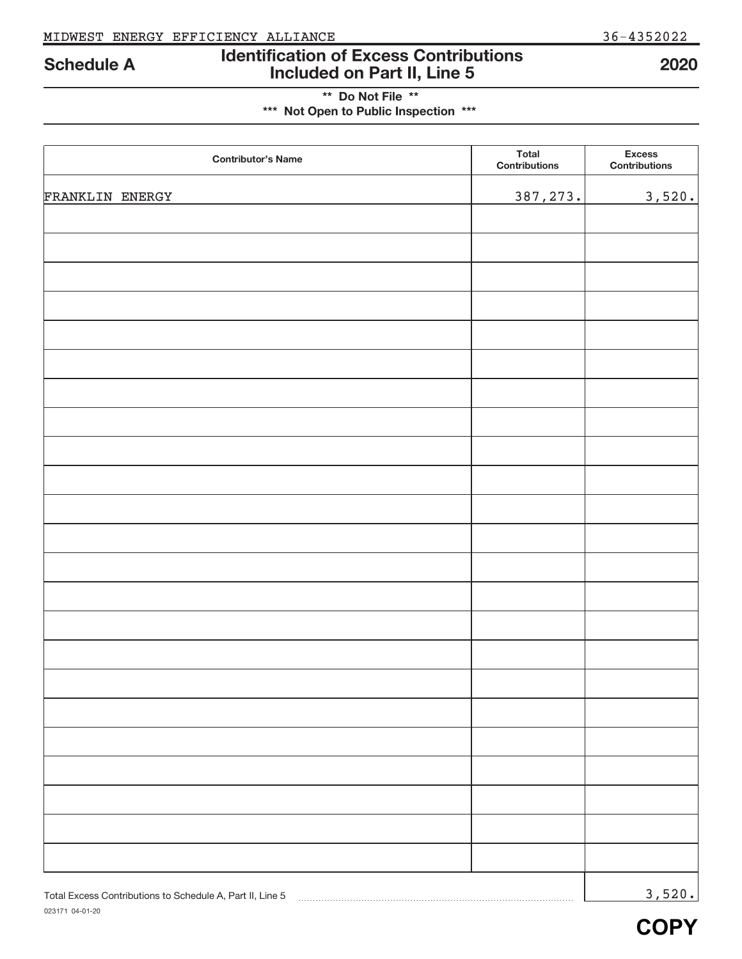## **Identification of Excess Contributions Included on Part II, Line 5 Schedule A 2020**

## **\*\* Do Not File \*\* \*\*\* Not Open to Public Inspection \*\*\***

| <b>Contributor's Name</b>                                 | <b>Total</b><br>Contributions | <b>Excess</b><br><b>Contributions</b> |
|-----------------------------------------------------------|-------------------------------|---------------------------------------|
| FRANKLIN ENERGY                                           | 387, 273.                     | 3,520.                                |
|                                                           |                               |                                       |
|                                                           |                               |                                       |
|                                                           |                               |                                       |
|                                                           |                               |                                       |
|                                                           |                               |                                       |
|                                                           |                               |                                       |
|                                                           |                               |                                       |
|                                                           |                               |                                       |
|                                                           |                               |                                       |
|                                                           |                               |                                       |
|                                                           |                               |                                       |
|                                                           |                               |                                       |
|                                                           |                               |                                       |
|                                                           |                               |                                       |
|                                                           |                               |                                       |
|                                                           |                               |                                       |
|                                                           |                               |                                       |
|                                                           |                               |                                       |
|                                                           |                               |                                       |
|                                                           |                               |                                       |
|                                                           |                               |                                       |
|                                                           |                               |                                       |
|                                                           |                               |                                       |
| Total Excess Contributions to Schedule A, Part II, Line 5 |                               | 3,520.                                |

**COPY**

#### 023171 04‐01‐20 Total Excess Contributions to Schedule A, Part II, Line 5 [2010] [2010] [2010] [2010] [2010] [2010] [2010] [2010] [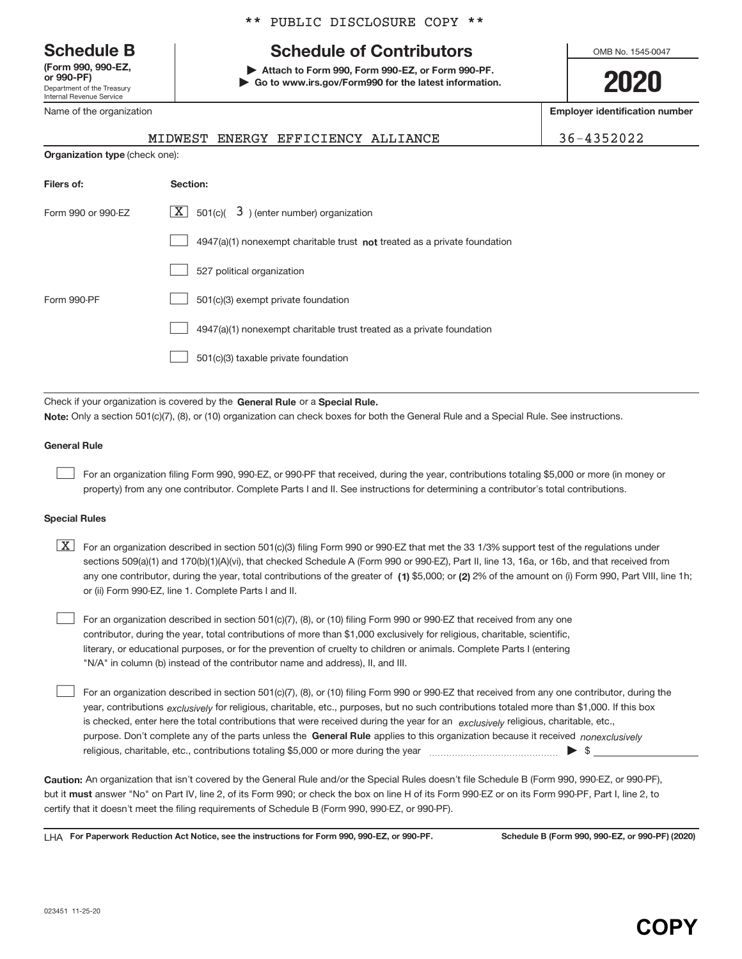Department of the Treasury Internal Revenue Service **(Form 990, 990‐EZ,**

Name of the organization

#### \*\* PUBLIC DISCLOSURE COPY \*\*

# **Schedule B Schedule of Contributors**

**or 990‐PF) | Attach to Form 990, Form 990‐EZ, or Form 990‐PF. | Go to www.irs.gov/Form990 for the latest information.** OMB No. 1545-0047

**2020**

**Employer identification number**

|                                       | MIDWEST ENERGY EFFICIENCY ALLIANCE | 36-4352022 |
|---------------------------------------|------------------------------------|------------|
| <b>Organization type</b> (check one): |                                    |            |

| Filers of:         | Section:                                                                    |
|--------------------|-----------------------------------------------------------------------------|
| Form 990 or 990-EZ | $X$ 501(c)( 3) (enter number) organization                                  |
|                    | $4947(a)(1)$ nonexempt charitable trust not treated as a private foundation |
|                    | 527 political organization                                                  |
| Form 990-PF        | 501(c)(3) exempt private foundation                                         |
|                    | 4947(a)(1) nonexempt charitable trust treated as a private foundation       |
|                    | 501(c)(3) taxable private foundation                                        |

Check if your organization is covered by the General Rule or a Special Rule. **Note:**  Only a section 501(c)(7), (8), or (10) organization can check boxes for both the General Rule and a Special Rule. See instructions.

#### **General Rule**

 $\begin{array}{c} \hline \end{array}$ 

For an organization filing Form 990, 990‐EZ, or 990‐PF that received, during the year, contributions totaling \$5,000 or more (in money or property) from any one contributor. Complete Parts I and II. See instructions for determining a contributor's total contributions.

#### **Special Rules**

any one contributor, during the year, total contributions of the greater of  $\,$  (1) \$5,000; or (2) 2% of the amount on (i) Form 990, Part VIII, line 1h;  $\boxed{\text{X}}$  For an organization described in section 501(c)(3) filing Form 990 or 990-EZ that met the 33 1/3% support test of the regulations under sections 509(a)(1) and 170(b)(1)(A)(vi), that checked Schedule A (Form 990 or 990-EZ), Part II, line 13, 16a, or 16b, and that received from or (ii) Form 990‐EZ, line 1. Complete Parts I and II.

For an organization described in section 501(c)(7), (8), or (10) filing Form 990 or 990‐EZ that received from any one contributor, during the year, total contributions of more than \$1,000 exclusively for religious, charitable, scientific, literary, or educational purposes, or for the prevention of cruelty to children or animals. Complete Parts I (entering "N/A" in column (b) instead of the contributor name and address), II, and III.  $\begin{array}{c} \hline \end{array}$ 

purpose. Don't complete any of the parts unless the General Rule applies to this organization because it received nonexclusively year, contributions <sub>exclusively</sub> for religious, charitable, etc., purposes, but no such contributions totaled more than \$1,000. If this box is checked, enter here the total contributions that were received during the year for an *exclusively* religious, charitable, etc., For an organization described in section 501(c)(7), (8), or (10) filing Form 990 or 990‐EZ that received from any one contributor, during the religious, charitable, etc., contributions totaling \$5,000 or more during the year  $\Box$ — $\Box$   $\Box$  $\begin{array}{c} \hline \end{array}$ 

**Caution:**  An organization that isn't covered by the General Rule and/or the Special Rules doesn't file Schedule B (Form 990, 990‐EZ, or 990‐PF),  **must** but it answer "No" on Part IV, line 2, of its Form 990; or check the box on line H of its Form 990‐EZ or on its Form 990‐PF, Part I, line 2, to certify that it doesn't meet the filing requirements of Schedule B (Form 990, 990‐EZ, or 990‐PF).

**For Paperwork Reduction Act Notice, see the instructions for Form 990, 990-EZ, or 990-PF. Schedule B (Form 990, 990-EZ, or 990-PF) (2020)** LHA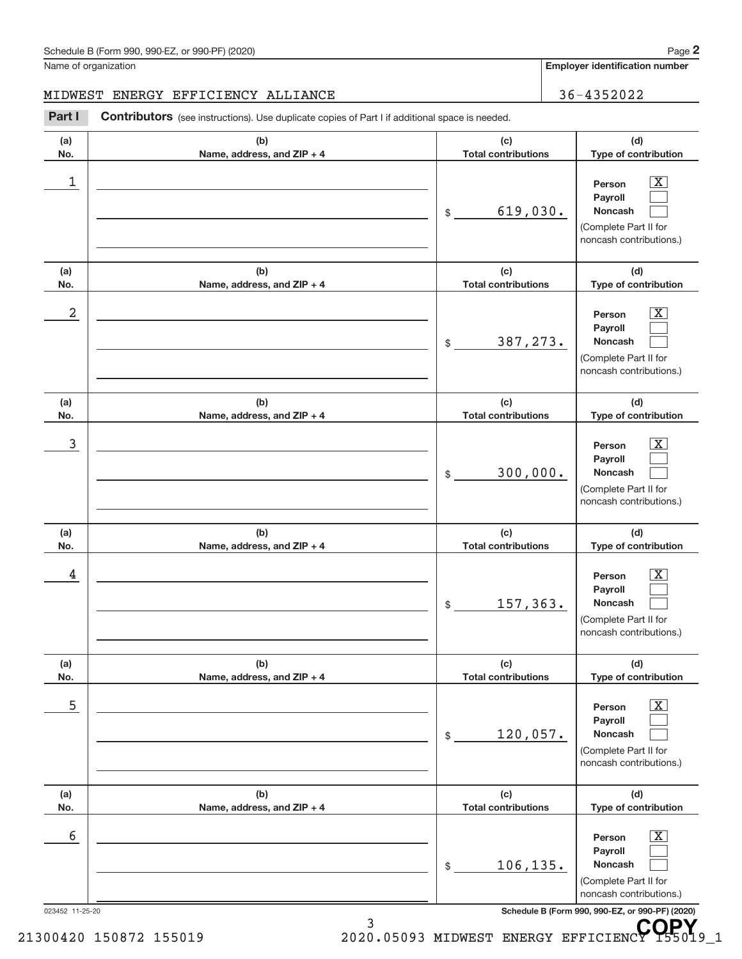| Schedule B (Form 990, 990-EZ, or 990-PF) (2020) | Page |
|-------------------------------------------------|------|
|-------------------------------------------------|------|

**Employer identification number**

### MIDWEST ENERGY EFFICIENCY ALLIANCE | 36-4352022

Part I Contributors (see instructions). Use duplicate copies of Part I if additional space is needed.

| Person<br>Payroll<br>619,030.<br><b>Noncash</b><br>\$<br>(Complete Part II for<br>(c)<br><b>Total contributions</b><br>Person<br>Payroll | $\overline{\mathbf{X}}$<br>noncash contributions.)<br>(d)<br>Type of contribution<br>$\overline{\mathbf{X}}$ |
|------------------------------------------------------------------------------------------------------------------------------------------|--------------------------------------------------------------------------------------------------------------|
|                                                                                                                                          |                                                                                                              |
|                                                                                                                                          |                                                                                                              |
| 387, 273.<br><b>Noncash</b><br>\$<br>(Complete Part II for                                                                               | noncash contributions.)                                                                                      |
| (c)<br><b>Total contributions</b>                                                                                                        | (d)<br>Type of contribution                                                                                  |
| Person<br>Payroll<br>300,000.<br>Noncash<br>\$<br>(Complete Part II for                                                                  | $\overline{\mathbf{X}}$<br>noncash contributions.)                                                           |
| (c)<br><b>Total contributions</b>                                                                                                        | (d)<br>Type of contribution                                                                                  |
| Person<br>Payroll                                                                                                                        | $\overline{\mathbf{X}}$                                                                                      |
| 157,363.<br>Noncash<br>\$<br>(Complete Part II for                                                                                       | noncash contributions.)                                                                                      |
| (c)<br><b>Total contributions</b>                                                                                                        | (d)<br>Type of contribution                                                                                  |
| Person<br>Payroll<br>120,057.<br>Noncash<br>\$<br>(Complete Part II for                                                                  | $\boxed{\text{X}}$<br>noncash contributions.)                                                                |
| (c)<br><b>Total contributions</b>                                                                                                        | (d)<br>Type of contribution                                                                                  |
|                                                                                                                                          |                                                                                                              |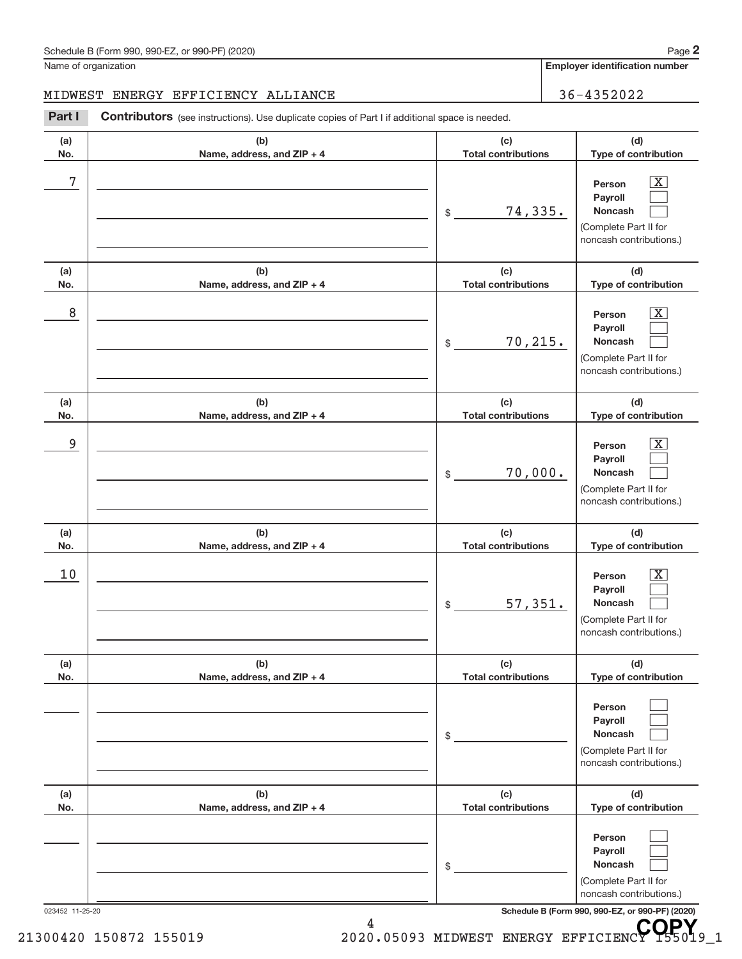**Employer identification number**

### MIDWEST ENERGY EFFICIENCY ALLIANCE | 36-4352022

Part I Contributors (see instructions). Use duplicate copies of Part I if additional space is needed.

| (b)<br>Name, address, and ZIP + 4 | (c)<br><b>Total contributions</b> | (d)<br>Type of contribution                                                                                   |
|-----------------------------------|-----------------------------------|---------------------------------------------------------------------------------------------------------------|
|                                   | 74,335.<br>\$                     | $\boxed{\text{X}}$<br>Person<br>Payroll<br><b>Noncash</b><br>(Complete Part II for<br>noncash contributions.) |
| (b)<br>Name, address, and ZIP + 4 | (c)<br><b>Total contributions</b> | (d)<br>Type of contribution                                                                                   |
|                                   | 70, 215.<br>\$                    | $\boxed{\text{X}}$<br>Person<br>Payroll<br>Noncash<br>(Complete Part II for<br>noncash contributions.)        |
| (b)<br>Name, address, and ZIP + 4 | (c)<br><b>Total contributions</b> | (d)<br>Type of contribution                                                                                   |
|                                   | 70,000.<br>\$                     | $\boxed{\text{X}}$<br>Person<br>Payroll<br>Noncash<br>(Complete Part II for<br>noncash contributions.)        |
| (b)<br>Name, address, and ZIP + 4 | (c)<br><b>Total contributions</b> | (d)<br>Type of contribution                                                                                   |
|                                   | 57,351.<br>\$                     | $\boxed{\text{X}}$<br>Person<br>Payroll<br>Noncash<br>(Complete Part II for<br>noncash contributions.)        |
| (b)<br>Name, address, and ZIP + 4 | (c)<br><b>Total contributions</b> | (d)<br>Type of contribution                                                                                   |
|                                   | \$                                | Person<br>Payroll<br>Noncash<br>(Complete Part II for<br>noncash contributions.)                              |
| (b)<br>Name, address, and ZIP + 4 | (c)<br><b>Total contributions</b> | (d)<br>Type of contribution                                                                                   |
|                                   | \$                                | Person<br>Payroll<br>Noncash<br>(Complete Part II for                                                         |
|                                   |                                   |                                                                                                               |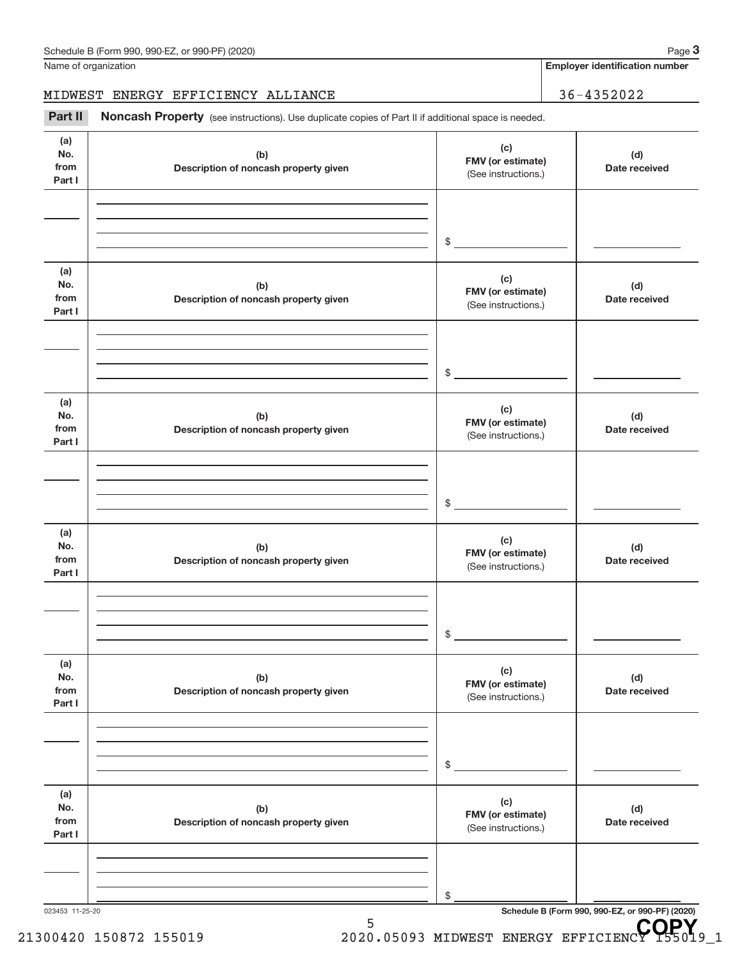**Employer identification number**

### MIDWEST ENERGY EFFICIENCY ALLIANCE | 36-4352022

Part II Noncash Property (see instructions). Use duplicate copies of Part II if additional space is needed.

| (a)<br>No.<br>from<br>Part I | (b)<br>Description of noncash property given | (c)<br>FMV (or estimate)<br>(See instructions.) | (d)<br>Date received                            |
|------------------------------|----------------------------------------------|-------------------------------------------------|-------------------------------------------------|
|                              |                                              |                                                 |                                                 |
|                              |                                              |                                                 |                                                 |
|                              |                                              | $$\circ$$                                       |                                                 |
| (a)<br>No.<br>from<br>Part I | (b)<br>Description of noncash property given | (c)<br>FMV (or estimate)<br>(See instructions.) | (d)<br>Date received                            |
|                              |                                              |                                                 |                                                 |
|                              |                                              |                                                 |                                                 |
|                              |                                              | $\frac{1}{2}$                                   |                                                 |
| (a)<br>No.<br>from<br>Part I | (b)<br>Description of noncash property given | (c)<br>FMV (or estimate)<br>(See instructions.) | (d)<br>Date received                            |
|                              |                                              |                                                 |                                                 |
|                              |                                              |                                                 |                                                 |
|                              |                                              | $$\mathbb{S}$$                                  |                                                 |
|                              |                                              |                                                 |                                                 |
| (a)<br>No.<br>from<br>Part I | (b)<br>Description of noncash property given | (c)<br>FMV (or estimate)<br>(See instructions.) | (d)<br>Date received                            |
|                              |                                              |                                                 |                                                 |
|                              |                                              |                                                 |                                                 |
|                              |                                              | \$                                              |                                                 |
|                              |                                              |                                                 |                                                 |
| (a)<br>No.<br>from<br>Part I | (b)<br>Description of noncash property given | (c)<br>FMV (or estimate)<br>(See instructions.) | (d)<br>Date received                            |
|                              |                                              |                                                 |                                                 |
|                              |                                              |                                                 |                                                 |
|                              |                                              | \$                                              |                                                 |
| (a)                          |                                              |                                                 |                                                 |
| No.                          | (b)                                          | (c)<br>FMV (or estimate)                        | (d)                                             |
| from<br>Part I               | Description of noncash property given        | (See instructions.)                             | Date received                                   |
|                              |                                              |                                                 |                                                 |
|                              |                                              |                                                 |                                                 |
|                              |                                              | \$                                              |                                                 |
| 023453 11-25-20              |                                              |                                                 | Schedule B (Form 990, 990-EZ, or 990-PF) (2020) |

5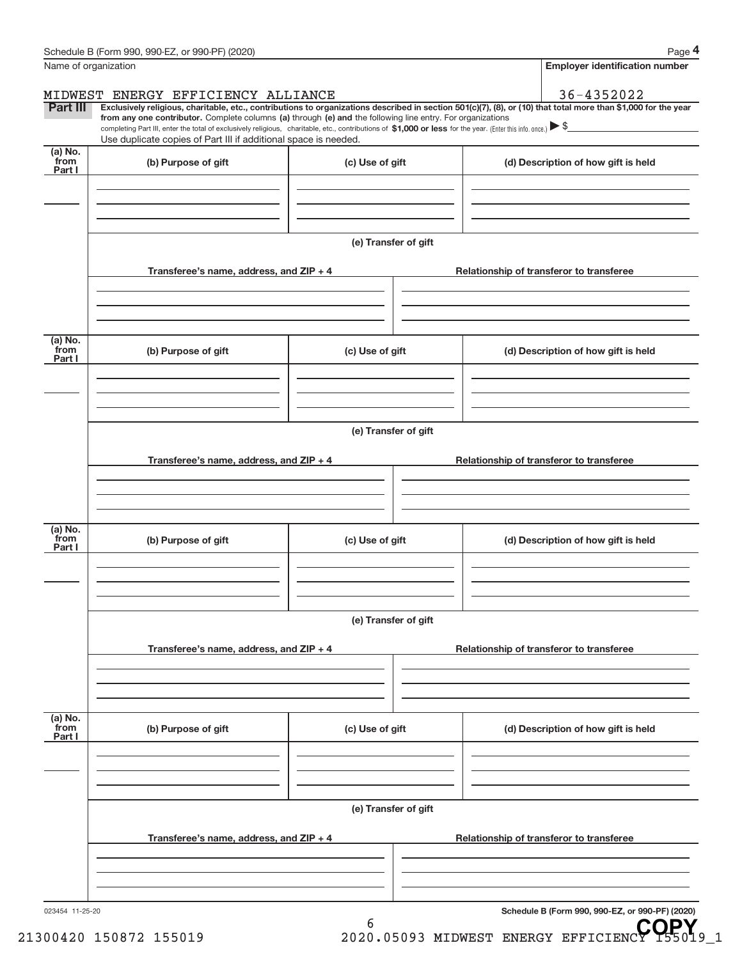| Name of organization      |                                                                                                                                                                                                                                                                                                                                                                                                                                                                                                                  |                      |  |  | <b>Employer identification number</b>    |  |
|---------------------------|------------------------------------------------------------------------------------------------------------------------------------------------------------------------------------------------------------------------------------------------------------------------------------------------------------------------------------------------------------------------------------------------------------------------------------------------------------------------------------------------------------------|----------------------|--|--|------------------------------------------|--|
|                           | MIDWEST ENERGY EFFICIENCY ALLIANCE                                                                                                                                                                                                                                                                                                                                                                                                                                                                               |                      |  |  | 36-4352022                               |  |
| Part III                  | Exclusively religious, charitable, etc., contributions to organizations described in section 501(c)(7), (8), or (10) that total more than \$1,000 for the year<br>from any one contributor. Complete columns (a) through (e) and the following line entry. For organizations<br>completing Part III, enter the total of exclusively religious, charitable, etc., contributions of $$1,000$ or less for the year. (Enter this info. once.) $$$<br>Use duplicate copies of Part III if additional space is needed. |                      |  |  |                                          |  |
| (a) No.<br>from<br>Part I | (b) Purpose of gift                                                                                                                                                                                                                                                                                                                                                                                                                                                                                              | (c) Use of gift      |  |  | (d) Description of how gift is held      |  |
|                           |                                                                                                                                                                                                                                                                                                                                                                                                                                                                                                                  |                      |  |  |                                          |  |
|                           |                                                                                                                                                                                                                                                                                                                                                                                                                                                                                                                  | (e) Transfer of gift |  |  |                                          |  |
|                           | Transferee's name, address, and ZIP + 4                                                                                                                                                                                                                                                                                                                                                                                                                                                                          |                      |  |  | Relationship of transferor to transferee |  |
|                           |                                                                                                                                                                                                                                                                                                                                                                                                                                                                                                                  |                      |  |  |                                          |  |
| (a) No.<br>from<br>Part I | (b) Purpose of gift                                                                                                                                                                                                                                                                                                                                                                                                                                                                                              | (c) Use of gift      |  |  | (d) Description of how gift is held      |  |
|                           |                                                                                                                                                                                                                                                                                                                                                                                                                                                                                                                  | (e) Transfer of gift |  |  |                                          |  |
|                           | Transferee's name, address, and ZIP + 4                                                                                                                                                                                                                                                                                                                                                                                                                                                                          |                      |  |  | Relationship of transferor to transferee |  |
|                           |                                                                                                                                                                                                                                                                                                                                                                                                                                                                                                                  |                      |  |  |                                          |  |
| (a) No.<br>from<br>Part I | (b) Purpose of gift                                                                                                                                                                                                                                                                                                                                                                                                                                                                                              | (c) Use of gift      |  |  | (d) Description of how gift is held      |  |
|                           |                                                                                                                                                                                                                                                                                                                                                                                                                                                                                                                  |                      |  |  |                                          |  |
|                           |                                                                                                                                                                                                                                                                                                                                                                                                                                                                                                                  | (e) Transfer of gift |  |  |                                          |  |
|                           | Transferee's name, address, and ZIP + 4                                                                                                                                                                                                                                                                                                                                                                                                                                                                          |                      |  |  | Relationship of transferor to transferee |  |
|                           |                                                                                                                                                                                                                                                                                                                                                                                                                                                                                                                  |                      |  |  |                                          |  |
| (a) No.<br>from<br>Part I | (b) Purpose of gift                                                                                                                                                                                                                                                                                                                                                                                                                                                                                              | (c) Use of gift      |  |  | (d) Description of how gift is held      |  |
|                           |                                                                                                                                                                                                                                                                                                                                                                                                                                                                                                                  |                      |  |  |                                          |  |
|                           | (e) Transfer of gift                                                                                                                                                                                                                                                                                                                                                                                                                                                                                             |                      |  |  |                                          |  |
|                           | Transferee's name, address, and ZIP + 4                                                                                                                                                                                                                                                                                                                                                                                                                                                                          |                      |  |  | Relationship of transferor to transferee |  |
|                           |                                                                                                                                                                                                                                                                                                                                                                                                                                                                                                                  |                      |  |  |                                          |  |
|                           |                                                                                                                                                                                                                                                                                                                                                                                                                                                                                                                  |                      |  |  |                                          |  |

6

**Schedule B (Form 990, 990-EZ, or 990-PF) (2020)**

**4**

Schedule B (Form 990, 990-EZ, or 990-PF) (2020)

Name of organization

21300420 150872 155019 2020.05093 MIDWEST ENERGY EFFICIENCY **QPY**<sub>9\_1</sub>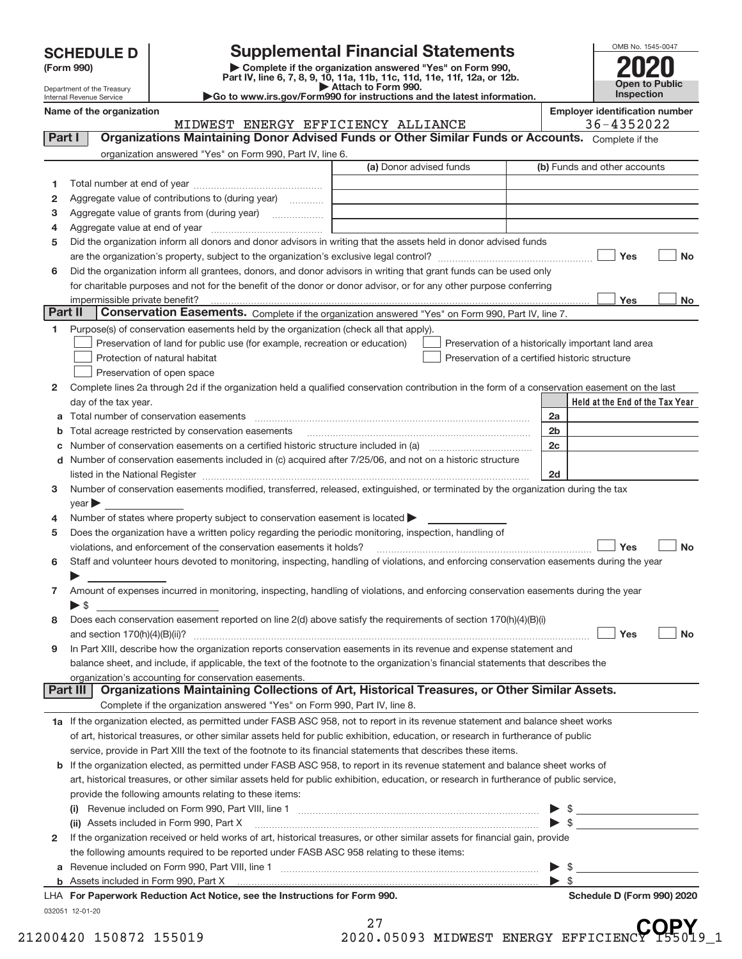| <b>SCHEDULE D</b> |  |  |  |
|-------------------|--|--|--|
|-------------------|--|--|--|

| (Form 990) |  |
|------------|--|
|------------|--|

**(Form 990) | Complete if the organization answered "Yes" on Form 990, Part IV, line 6, 7, 8, 9, 10, 11a, 11b, 11c, 11d, 11e, 11f, 12a, or 12b. SCHEDULE D Supplemental Financial Statements**<br> **Example to the organization answered "Yes" on Form 990,**<br>
Part IV, line 6, 7, 8, 9, 10, 11a, 11b, 11c, 11d, 11e, 11f, 12a, or 12b.



Department of the Treasury Internal Revenue Service Name of the organization<br>**Name of the organization**<br>**Employer identification number**<br>  $\begin{bmatrix} 1 & 0 & 0 & 0 \\ 0 & 0 & 0 & 0 \\ 0 & 0 & 0 & 0 \\ 0 & 0 & 0 & 0 \end{bmatrix}$ 

**| Attach to Form 990. |Go to www.irs.gov/Form990 for instructions and the latest information.**

|    | organization answered "Yes" on Form 990, Part IV, line 6.                                                                                                       | (a) Donor advised funds |                                                |                | (b) Funds and other accounts                       |           |
|----|-----------------------------------------------------------------------------------------------------------------------------------------------------------------|-------------------------|------------------------------------------------|----------------|----------------------------------------------------|-----------|
| 1  |                                                                                                                                                                 |                         |                                                |                |                                                    |           |
| 2  | Aggregate value of contributions to (during year)                                                                                                               |                         |                                                |                |                                                    |           |
| 3  |                                                                                                                                                                 |                         |                                                |                |                                                    |           |
| 4  |                                                                                                                                                                 |                         |                                                |                |                                                    |           |
| 5  | Did the organization inform all donors and donor advisors in writing that the assets held in donor advised funds                                                |                         |                                                |                |                                                    |           |
|    |                                                                                                                                                                 |                         |                                                |                | Yes                                                | <b>No</b> |
| 6  | Did the organization inform all grantees, donors, and donor advisors in writing that grant funds can be used only                                               |                         |                                                |                |                                                    |           |
|    | for charitable purposes and not for the benefit of the donor or donor advisor, or for any other purpose conferring                                              |                         |                                                |                |                                                    |           |
|    |                                                                                                                                                                 |                         |                                                |                | Yes                                                | No        |
|    | Part II<br>Conservation Easements. Complete if the organization answered "Yes" on Form 990, Part IV, line 7.                                                    |                         |                                                |                |                                                    |           |
| 1. | Purpose(s) of conservation easements held by the organization (check all that apply).                                                                           |                         |                                                |                |                                                    |           |
|    | Preservation of land for public use (for example, recreation or education)                                                                                      |                         |                                                |                | Preservation of a historically important land area |           |
|    | Protection of natural habitat                                                                                                                                   |                         | Preservation of a certified historic structure |                |                                                    |           |
|    | Preservation of open space                                                                                                                                      |                         |                                                |                |                                                    |           |
| 2  | Complete lines 2a through 2d if the organization held a qualified conservation contribution in the form of a conservation easement on the last                  |                         |                                                |                |                                                    |           |
|    | day of the tax year.                                                                                                                                            |                         |                                                |                | Held at the End of the Tax Year                    |           |
|    |                                                                                                                                                                 |                         |                                                | 2a             |                                                    |           |
| b  |                                                                                                                                                                 |                         |                                                | 2 <sub>b</sub> |                                                    |           |
| С  |                                                                                                                                                                 |                         |                                                | 2c             |                                                    |           |
|    | d Number of conservation easements included in (c) acquired after 7/25/06, and not on a historic structure                                                      |                         |                                                |                |                                                    |           |
|    |                                                                                                                                                                 |                         |                                                | 2d             |                                                    |           |
| 3  | Number of conservation easements modified, transferred, released, extinguished, or terminated by the organization during the tax                                |                         |                                                |                |                                                    |           |
|    | year                                                                                                                                                            |                         |                                                |                |                                                    |           |
| 4  | Number of states where property subject to conservation easement is located                                                                                     |                         |                                                |                |                                                    |           |
| 5  | Does the organization have a written policy regarding the periodic monitoring, inspection, handling of                                                          |                         |                                                |                |                                                    |           |
|    | violations, and enforcement of the conservation easements it holds?                                                                                             |                         |                                                |                | Yes                                                | <b>No</b> |
| 6  | Staff and volunteer hours devoted to monitoring, inspecting, handling of violations, and enforcing conservation easements during the year                       |                         |                                                |                |                                                    |           |
|    |                                                                                                                                                                 |                         |                                                |                |                                                    |           |
| 7  | Amount of expenses incurred in monitoring, inspecting, handling of violations, and enforcing conservation easements during the year<br>$\blacktriangleright$ \$ |                         |                                                |                |                                                    |           |
| 8  | Does each conservation easement reported on line 2(d) above satisfy the requirements of section 170(h)(4)(B)(i)                                                 |                         |                                                |                | Yes                                                | <b>No</b> |
| 9  | In Part XIII, describe how the organization reports conservation easements in its revenue and expense statement and                                             |                         |                                                |                |                                                    |           |
|    | balance sheet, and include, if applicable, the text of the footnote to the organization's financial statements that describes the                               |                         |                                                |                |                                                    |           |
|    | organization's accounting for conservation easements.                                                                                                           |                         |                                                |                |                                                    |           |
|    | Organizations Maintaining Collections of Art, Historical Treasures, or Other Similar Assets.<br>Part III                                                        |                         |                                                |                |                                                    |           |
|    | Complete if the organization answered "Yes" on Form 990, Part IV, line 8.                                                                                       |                         |                                                |                |                                                    |           |
|    | 1a If the organization elected, as permitted under FASB ASC 958, not to report in its revenue statement and balance sheet works                                 |                         |                                                |                |                                                    |           |
|    | of art, historical treasures, or other similar assets held for public exhibition, education, or research in furtherance of public                               |                         |                                                |                |                                                    |           |
|    | service, provide in Part XIII the text of the footnote to its financial statements that describes these items.                                                  |                         |                                                |                |                                                    |           |
|    | <b>b</b> If the organization elected, as permitted under FASB ASC 958, to report in its revenue statement and balance sheet works of                            |                         |                                                |                |                                                    |           |
|    | art, historical treasures, or other similar assets held for public exhibition, education, or research in furtherance of public service,                         |                         |                                                |                |                                                    |           |
|    | provide the following amounts relating to these items:                                                                                                          |                         |                                                |                |                                                    |           |
|    |                                                                                                                                                                 |                         |                                                |                | $\frac{1}{2}$                                      |           |
|    | (ii) Assets included in Form 990, Part X                                                                                                                        |                         |                                                |                | $\triangleright$ \$                                |           |
| 2  | If the organization received or held works of art, historical treasures, or other similar assets for financial gain, provide                                    |                         |                                                |                |                                                    |           |
|    | the following amounts required to be reported under FASB ASC 958 relating to these items:                                                                       |                         |                                                |                |                                                    |           |
|    |                                                                                                                                                                 |                         |                                                | ▶              |                                                    |           |
|    |                                                                                                                                                                 |                         |                                                |                |                                                    |           |
|    |                                                                                                                                                                 |                         |                                                |                |                                                    |           |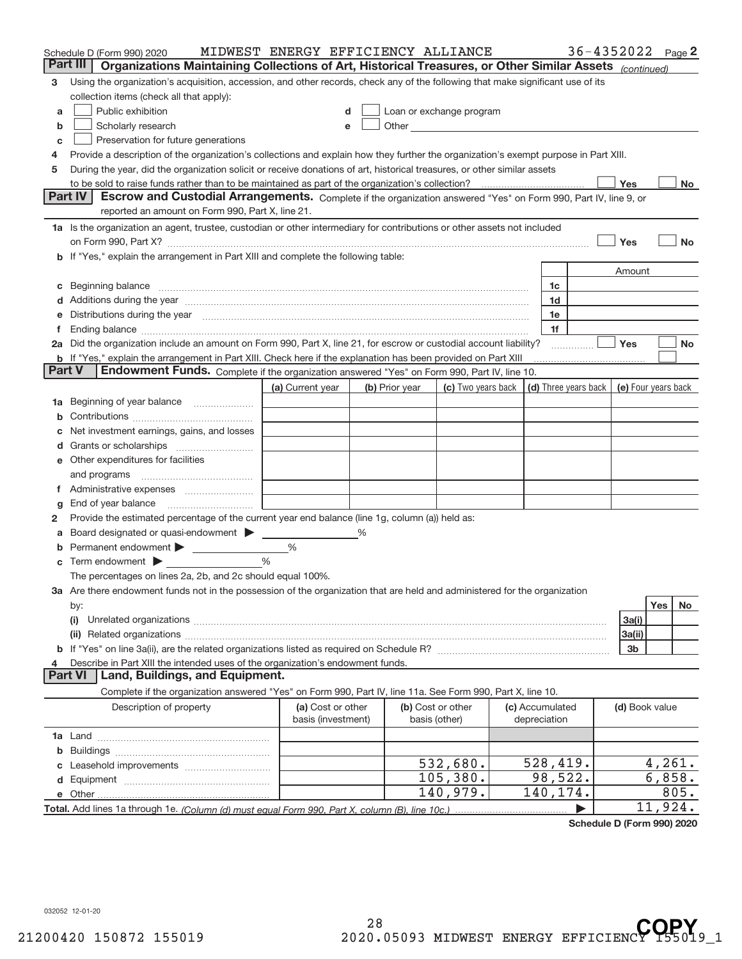|        | Schedule D (Form 990) 2020                                                                                                                                                                                                         | MIDWEST ENERGY EFFICIENCY ALLIANCE      |   |                |                                    |                                 | 36-4352022 Page 2                          |                |         |      |
|--------|------------------------------------------------------------------------------------------------------------------------------------------------------------------------------------------------------------------------------------|-----------------------------------------|---|----------------|------------------------------------|---------------------------------|--------------------------------------------|----------------|---------|------|
|        | Part III<br>Organizations Maintaining Collections of Art, Historical Treasures, or Other Similar Assets (continued)                                                                                                                |                                         |   |                |                                    |                                 |                                            |                |         |      |
| з      | Using the organization's acquisition, accession, and other records, check any of the following that make significant use of its                                                                                                    |                                         |   |                |                                    |                                 |                                            |                |         |      |
|        | collection items (check all that apply):                                                                                                                                                                                           |                                         |   |                |                                    |                                 |                                            |                |         |      |
| a      | Public exhibition                                                                                                                                                                                                                  |                                         |   |                | Loan or exchange program           |                                 |                                            |                |         |      |
| b      | Scholarly research                                                                                                                                                                                                                 |                                         |   |                | Other <b>Communication</b>         |                                 |                                            |                |         |      |
| с      | Preservation for future generations                                                                                                                                                                                                |                                         |   |                |                                    |                                 |                                            |                |         |      |
| 4      | Provide a description of the organization's collections and explain how they further the organization's exempt purpose in Part XIII.                                                                                               |                                         |   |                |                                    |                                 |                                            |                |         |      |
| 5      | During the year, did the organization solicit or receive donations of art, historical treasures, or other similar assets                                                                                                           |                                         |   |                |                                    |                                 |                                            |                |         |      |
|        |                                                                                                                                                                                                                                    |                                         |   |                |                                    |                                 |                                            | Yes            |         | No   |
|        | <b>Part IV</b><br>Escrow and Custodial Arrangements. Complete if the organization answered "Yes" on Form 990, Part IV, line 9, or                                                                                                  |                                         |   |                |                                    |                                 |                                            |                |         |      |
|        | reported an amount on Form 990, Part X, line 21.                                                                                                                                                                                   |                                         |   |                |                                    |                                 |                                            |                |         |      |
|        | 1a Is the organization an agent, trustee, custodian or other intermediary for contributions or other assets not included                                                                                                           |                                         |   |                |                                    |                                 |                                            |                |         |      |
|        | on Form 990, Part X? [11] matter contracts and contracts and contracts are contracted as a form 990, Part X?                                                                                                                       |                                         |   |                |                                    |                                 |                                            | Yes            |         | No   |
|        | b If "Yes," explain the arrangement in Part XIII and complete the following table:                                                                                                                                                 |                                         |   |                |                                    |                                 |                                            |                |         |      |
|        |                                                                                                                                                                                                                                    |                                         |   |                |                                    |                                 |                                            | Amount         |         |      |
| С      | Beginning balance <u>manual membershare communication</u> and the set of the set of the set of the set of the set of the set of the set of the set of the set of the set of the set of the set of the set of the set of the set of |                                         |   |                |                                    | 1c                              |                                            |                |         |      |
|        |                                                                                                                                                                                                                                    |                                         |   |                |                                    | 1d                              |                                            |                |         |      |
|        | e Distributions during the year manufactured and continuum control of the control of the control of the state of the control of the control of the control of the control of the control of the control of the control of the      |                                         |   |                |                                    | 1e                              |                                            |                |         |      |
| f.     | Ending balance measurements are all the contract of the contract of the contract of the contract of the contract of the contract of the contract of the contract of the contract of the contract of the contract of the contra     |                                         |   |                |                                    | 1f                              |                                            |                |         |      |
|        | 2a Did the organization include an amount on Form 990, Part X, line 21, for escrow or custodial account liability?                                                                                                                 |                                         |   |                |                                    |                                 |                                            | Yes            |         | No   |
| Part V | <b>b</b> If "Yes," explain the arrangement in Part XIII. Check here if the explanation has been provided on Part XIII<br>Endowment Funds. Complete if the organization answered "Yes" on Form 990, Part IV, line 10.               |                                         |   |                |                                    |                                 |                                            |                |         |      |
|        |                                                                                                                                                                                                                                    | (a) Current year                        |   | (b) Prior year | (c) Two years back                 |                                 | (d) Three years back   (e) Four years back |                |         |      |
|        | Beginning of year balance                                                                                                                                                                                                          |                                         |   |                |                                    |                                 |                                            |                |         |      |
| 1а     |                                                                                                                                                                                                                                    |                                         |   |                |                                    |                                 |                                            |                |         |      |
| b      |                                                                                                                                                                                                                                    |                                         |   |                |                                    |                                 |                                            |                |         |      |
|        | Net investment earnings, gains, and losses                                                                                                                                                                                         |                                         |   |                |                                    |                                 |                                            |                |         |      |
|        | e Other expenditures for facilities                                                                                                                                                                                                |                                         |   |                |                                    |                                 |                                            |                |         |      |
|        |                                                                                                                                                                                                                                    |                                         |   |                |                                    |                                 |                                            |                |         |      |
|        | f Administrative expenses                                                                                                                                                                                                          |                                         |   |                |                                    |                                 |                                            |                |         |      |
|        | End of year balance <i>manually contained</i>                                                                                                                                                                                      |                                         |   |                |                                    |                                 |                                            |                |         |      |
| g<br>2 | Provide the estimated percentage of the current year end balance (line 1g, column (a)) held as:                                                                                                                                    |                                         |   |                |                                    |                                 |                                            |                |         |      |
| а      | Board designated or quasi-endowment > _____                                                                                                                                                                                        |                                         | % |                |                                    |                                 |                                            |                |         |      |
| b      | Permanent endowment > 1                                                                                                                                                                                                            | $\%$                                    |   |                |                                    |                                 |                                            |                |         |      |
|        | $\mathbf c$ Term endowment $\blacktriangleright$                                                                                                                                                                                   | %                                       |   |                |                                    |                                 |                                            |                |         |      |
|        | The percentages on lines 2a, 2b, and 2c should equal 100%.                                                                                                                                                                         |                                         |   |                |                                    |                                 |                                            |                |         |      |
|        | 3a Are there endowment funds not in the possession of the organization that are held and administered for the organization                                                                                                         |                                         |   |                |                                    |                                 |                                            |                |         |      |
|        | by:                                                                                                                                                                                                                                |                                         |   |                |                                    |                                 |                                            |                | Yes     | No   |
|        | (i)                                                                                                                                                                                                                                |                                         |   |                |                                    |                                 |                                            | 3a(i)          |         |      |
|        |                                                                                                                                                                                                                                    |                                         |   |                |                                    |                                 |                                            | 3a(ii)         |         |      |
|        |                                                                                                                                                                                                                                    |                                         |   |                |                                    |                                 |                                            | 3b             |         |      |
| 4      | Describe in Part XIII the intended uses of the organization's endowment funds.                                                                                                                                                     |                                         |   |                |                                    |                                 |                                            |                |         |      |
|        | Land, Buildings, and Equipment.<br><b>Part VI</b>                                                                                                                                                                                  |                                         |   |                |                                    |                                 |                                            |                |         |      |
|        | Complete if the organization answered "Yes" on Form 990, Part IV, line 11a. See Form 990, Part X, line 10.                                                                                                                         |                                         |   |                |                                    |                                 |                                            |                |         |      |
|        | Description of property                                                                                                                                                                                                            | (a) Cost or other<br>basis (investment) |   |                | (b) Cost or other<br>basis (other) | (c) Accumulated<br>depreciation |                                            | (d) Book value |         |      |
|        |                                                                                                                                                                                                                                    |                                         |   |                |                                    |                                 |                                            |                |         |      |
| b      |                                                                                                                                                                                                                                    |                                         |   |                |                                    |                                 |                                            |                |         |      |
|        |                                                                                                                                                                                                                                    |                                         |   |                | 532,680.                           | 528,419.                        |                                            |                | 4,261.  |      |
|        |                                                                                                                                                                                                                                    |                                         |   |                | 105, 380.                          | 98,522.                         |                                            |                | 6,858.  |      |
|        |                                                                                                                                                                                                                                    |                                         |   |                | 140,979.                           | 140,174.                        |                                            |                |         | 805. |
|        |                                                                                                                                                                                                                                    |                                         |   |                |                                    |                                 |                                            |                | 11,924. |      |

**Schedule D (Form 990) 2020**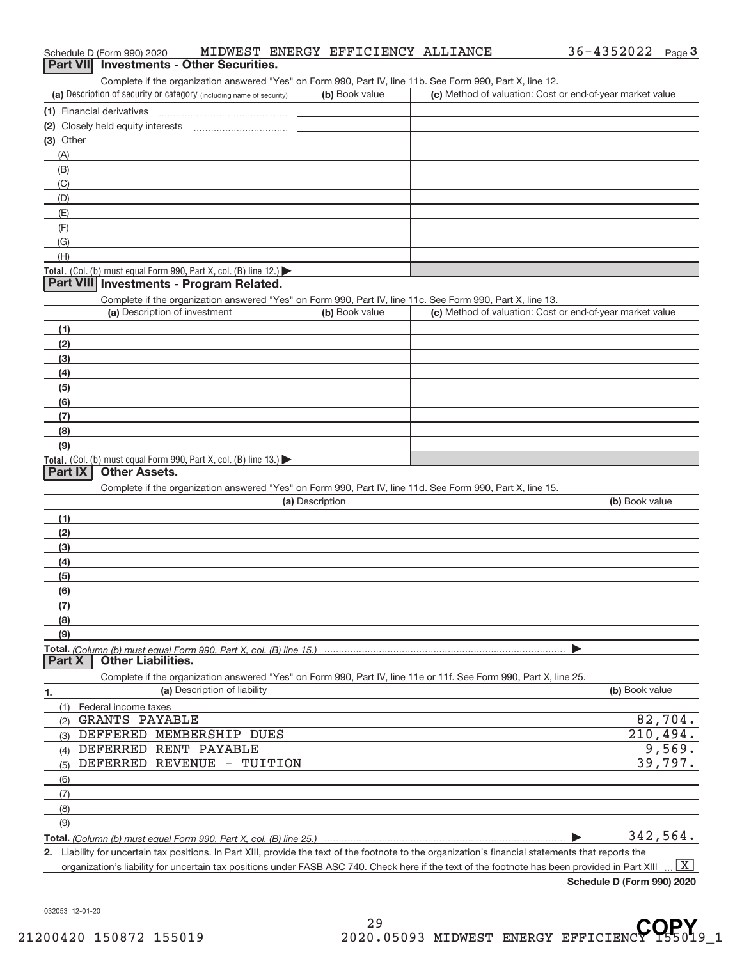| Complete if the organization answered "Yes" on Form 990, Part IV, line 11b. See Form 990, Part X, line 12.                                  |                                                    |                                                           |                |
|---------------------------------------------------------------------------------------------------------------------------------------------|----------------------------------------------------|-----------------------------------------------------------|----------------|
| (a) Description of security or category (including name of security)                                                                        | (b) Book value                                     | (c) Method of valuation: Cost or end-of-year market value |                |
| (1) Financial derivatives                                                                                                                   |                                                    |                                                           |                |
|                                                                                                                                             |                                                    |                                                           |                |
| $(3)$ Other                                                                                                                                 |                                                    |                                                           |                |
| (A)                                                                                                                                         |                                                    |                                                           |                |
| (B)                                                                                                                                         |                                                    |                                                           |                |
| (C)                                                                                                                                         |                                                    |                                                           |                |
| (D)                                                                                                                                         |                                                    |                                                           |                |
| (E)                                                                                                                                         |                                                    |                                                           |                |
| (F)                                                                                                                                         |                                                    |                                                           |                |
| (G)                                                                                                                                         |                                                    |                                                           |                |
| (H)                                                                                                                                         |                                                    |                                                           |                |
| Total. (Col. (b) must equal Form 990, Part X, col. (B) line 12.) $\blacktriangleright$                                                      |                                                    |                                                           |                |
| Part VIII Investments - Program Related.                                                                                                    |                                                    |                                                           |                |
|                                                                                                                                             |                                                    |                                                           |                |
| Complete if the organization answered "Yes" on Form 990, Part IV, line 11c. See Form 990, Part X, line 13.<br>(a) Description of investment | (b) Book value                                     | (c) Method of valuation: Cost or end-of-year market value |                |
|                                                                                                                                             |                                                    |                                                           |                |
| (1)                                                                                                                                         |                                                    |                                                           |                |
| (2)                                                                                                                                         |                                                    |                                                           |                |
| (3)                                                                                                                                         |                                                    |                                                           |                |
| (4)                                                                                                                                         |                                                    |                                                           |                |
| (5)                                                                                                                                         |                                                    |                                                           |                |
| (6)                                                                                                                                         |                                                    |                                                           |                |
| (7)                                                                                                                                         |                                                    |                                                           |                |
| (8)                                                                                                                                         |                                                    |                                                           |                |
| (9)                                                                                                                                         |                                                    |                                                           |                |
| Total. (Col. (b) must equal Form 990, Part X, col. (B) line 13.)                                                                            |                                                    |                                                           |                |
| Part IX<br><b>Other Assets.</b>                                                                                                             |                                                    |                                                           |                |
| Complete if the organization answered "Yes" on Form 990, Part IV, line 11d. See Form 990, Part X, line 15.                                  |                                                    |                                                           |                |
|                                                                                                                                             | (a) Description                                    |                                                           | (b) Book value |
| (1)                                                                                                                                         |                                                    |                                                           |                |
| (2)                                                                                                                                         |                                                    |                                                           |                |
| (3)                                                                                                                                         |                                                    |                                                           |                |
| (4)                                                                                                                                         |                                                    |                                                           |                |
| (5)                                                                                                                                         |                                                    |                                                           |                |
|                                                                                                                                             |                                                    |                                                           |                |
| (6)                                                                                                                                         |                                                    |                                                           |                |
| (7)                                                                                                                                         |                                                    |                                                           |                |
| (8)                                                                                                                                         |                                                    |                                                           |                |
| (9)                                                                                                                                         |                                                    |                                                           |                |
| <b>Other Liabilities.</b><br>Part X                                                                                                         |                                                    |                                                           |                |
| Complete if the organization answered "Yes" on Form 990, Part IV, line 11e or 11f. See Form 990, Part X, line 25.                           |                                                    |                                                           |                |
| (a) Description of liability<br>1.                                                                                                          |                                                    |                                                           | (b) Book value |
| Federal income taxes<br>(1)                                                                                                                 |                                                    |                                                           |                |
| (2) GRANTS PAYABLE                                                                                                                          |                                                    |                                                           | 82,704.        |
| (3) DEFFERED MEMBERSHIP DUES                                                                                                                |                                                    |                                                           | 210,494.       |
| (4) DEFERRED RENT PAYABLE                                                                                                                   |                                                    |                                                           | 9,569.         |
| DEFERRED REVENUE -<br>TUITION<br>(5)                                                                                                        |                                                    |                                                           | 39,797.        |
|                                                                                                                                             |                                                    |                                                           |                |
| (6)                                                                                                                                         |                                                    |                                                           |                |
| (7)                                                                                                                                         |                                                    |                                                           |                |
| (8)                                                                                                                                         |                                                    |                                                           |                |
| (9)                                                                                                                                         |                                                    |                                                           |                |
| <u>Total. (Column (b) must equal Form 990. Part X. col. (B) line 25.)</u>                                                                   | toin toy pooitions, In Dart VIII, provide the tout |                                                           | 342,564.       |

**2.** Liability for uncertain tax positions. In Part XIII, provide the text of the footnote to the organization's financial statements that reports the organization's liability for uncertain tax positions under FASB ASC 740. Check here if the text of the footnote has been provided in Part XIII  $\boxed{\text{X}}$ 

**Schedule D (Form 990) 2020**

032053 12‐01‐20

#### **Part VIII** Investments - Other Securities.

| (a) Description of security or category (including name of security)   | (b) Book value | (c) Method of valuation: Cost or end-of-year market value |
|------------------------------------------------------------------------|----------------|-----------------------------------------------------------|
| 1) Financial derivatives                                               |                |                                                           |
| 2) Closely held equity interests                                       |                |                                                           |
| 3) Other                                                               |                |                                                           |
| (A)                                                                    |                |                                                           |
| (B)                                                                    |                |                                                           |
| (C)                                                                    |                |                                                           |
| (D)                                                                    |                |                                                           |
| (E)                                                                    |                |                                                           |
| (F                                                                     |                |                                                           |
| (G)                                                                    |                |                                                           |
| (H)                                                                    |                |                                                           |
| <b>otal.</b> (Col. (b) must equal Form 990, Part X, col. (B) line 12.) |                |                                                           |
| <b>Dart VIII Investments Dreaman Delated</b>                           |                |                                                           |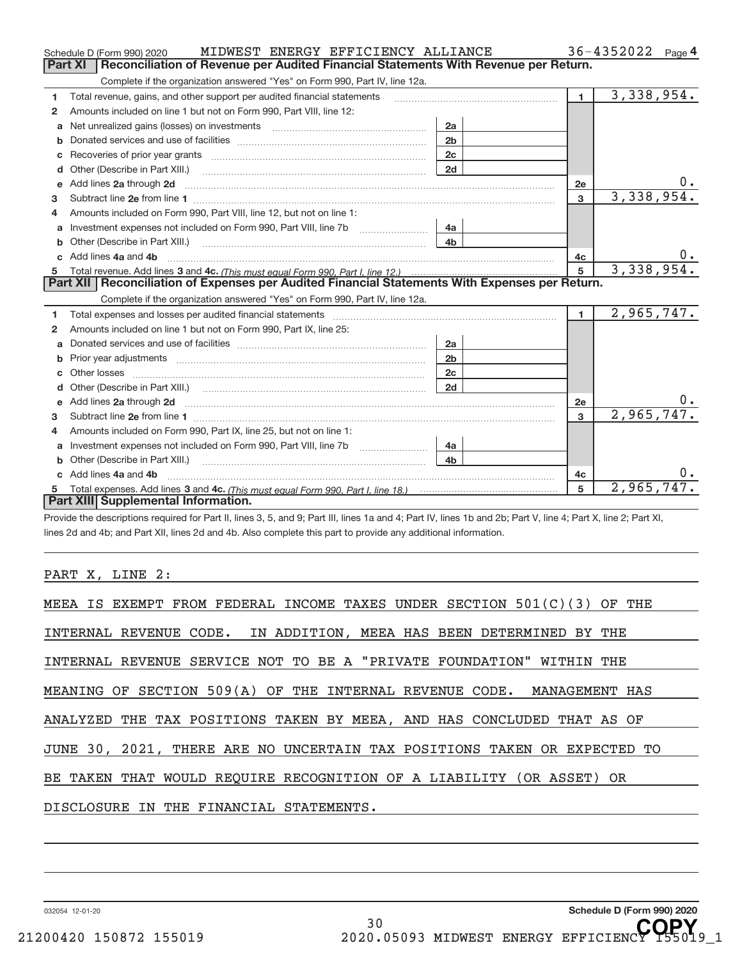|              | MIDWEST ENERGY EFFICIENCY ALLIANCE<br>Schedule D (Form 990) 2020                                                                                                                                                                                   |                                                                                                                                                                                                                               |                | $36 - 4352022$ Page 4 |
|--------------|----------------------------------------------------------------------------------------------------------------------------------------------------------------------------------------------------------------------------------------------------|-------------------------------------------------------------------------------------------------------------------------------------------------------------------------------------------------------------------------------|----------------|-----------------------|
|              | Reconciliation of Revenue per Audited Financial Statements With Revenue per Return.<br>Part XI                                                                                                                                                     |                                                                                                                                                                                                                               |                |                       |
|              | Complete if the organization answered "Yes" on Form 990, Part IV, line 12a.                                                                                                                                                                        |                                                                                                                                                                                                                               |                |                       |
| 1            | Total revenue, gains, and other support per audited financial statements                                                                                                                                                                           | and a construction of the construction of the construction of the construction of the construction of the construction of the construction of the construction of the construction of the construction of the construction of | $\blacksquare$ | 3,338,954.            |
| 2            | Amounts included on line 1 but not on Form 990, Part VIII, line 12:                                                                                                                                                                                |                                                                                                                                                                                                                               |                |                       |
| a            | Net unrealized gains (losses) on investments [11] matter contracts and the unrealized gains (losses) on investments                                                                                                                                | 2a                                                                                                                                                                                                                            |                |                       |
|              |                                                                                                                                                                                                                                                    | 2 <sub>b</sub>                                                                                                                                                                                                                |                |                       |
| c            |                                                                                                                                                                                                                                                    | 2 <sub>c</sub>                                                                                                                                                                                                                |                |                       |
| d            | Other (Describe in Part XIII.) <b>Construction Construction</b> Chern Construction Chern Chern Chern Chern Chern Chern                                                                                                                             | 2d                                                                                                                                                                                                                            |                |                       |
| е            | Add lines 2a through 2d <b>contained a contained a contained a contained a</b> contained a contained a contained a contained a contained a contained a contained a contained a contained a contained a contained a contained a cont                |                                                                                                                                                                                                                               | <b>2e</b>      |                       |
| 3            |                                                                                                                                                                                                                                                    |                                                                                                                                                                                                                               | $\overline{3}$ | 3,338,954.            |
| 4            | Amounts included on Form 990, Part VIII, line 12, but not on line 1:                                                                                                                                                                               |                                                                                                                                                                                                                               |                |                       |
|              | Investment expenses not included on Form 990, Part VIII, line 7b [1000000000000000000000000000000000                                                                                                                                               | 4а                                                                                                                                                                                                                            |                |                       |
| b            | Other (Describe in Part XIII.) <b>Construction Contract Construction</b> Chemistry Chemistry Chemistry Chemistry Chemistry                                                                                                                         | 4 <sub>h</sub>                                                                                                                                                                                                                |                |                       |
| $\mathbf{c}$ | Add lines 4a and 4b                                                                                                                                                                                                                                |                                                                                                                                                                                                                               | 4c             |                       |
|              |                                                                                                                                                                                                                                                    |                                                                                                                                                                                                                               | 5              | 3,338,954.            |
|              |                                                                                                                                                                                                                                                    |                                                                                                                                                                                                                               |                |                       |
|              | 5 Total revenue. Add lines 3 and 4c. (This must equal Form 990, Part I, line 12.)<br><b>Part XII</b>   Reconciliation of Expenses per Audited Financial Statements With Expenses per Return.                                                       |                                                                                                                                                                                                                               |                |                       |
|              | Complete if the organization answered "Yes" on Form 990, Part IV, line 12a.                                                                                                                                                                        |                                                                                                                                                                                                                               |                |                       |
| 1            |                                                                                                                                                                                                                                                    |                                                                                                                                                                                                                               | $\mathbf{1}$   | 2,965,747.            |
| 2            | Amounts included on line 1 but not on Form 990, Part IX, line 25:                                                                                                                                                                                  |                                                                                                                                                                                                                               |                |                       |
| a            |                                                                                                                                                                                                                                                    | 2a                                                                                                                                                                                                                            |                |                       |
| b            | Prior year adjustments <i>www.www.www.www.www.www.www.www.www.</i> ww.                                                                                                                                                                             | 2 <sub>b</sub>                                                                                                                                                                                                                |                |                       |
| c            |                                                                                                                                                                                                                                                    | 2 <sub>c</sub>                                                                                                                                                                                                                |                |                       |
| d            |                                                                                                                                                                                                                                                    | 2d                                                                                                                                                                                                                            |                |                       |
|              | e Add lines 2a through 2d <b>[16]</b> Manuscription and the Add lines 2a through 2d <b>[16]</b> Manuscription and the Add lines 2a through 2d <b>[16]</b> Manuscription and the Add lines 2a through 2d <b>[16]</b> Manuscription and the Add line |                                                                                                                                                                                                                               | 2e             |                       |
| 3            |                                                                                                                                                                                                                                                    |                                                                                                                                                                                                                               | $\mathbf{R}$   | 2,965,747.            |
| 4            | Amounts included on Form 990, Part IX, line 25, but not on line 1:                                                                                                                                                                                 |                                                                                                                                                                                                                               |                |                       |
|              |                                                                                                                                                                                                                                                    | 4a                                                                                                                                                                                                                            |                |                       |
| b            |                                                                                                                                                                                                                                                    | 4 <sub>b</sub>                                                                                                                                                                                                                |                |                       |
|              | Add lines 4a and 4b                                                                                                                                                                                                                                |                                                                                                                                                                                                                               | 4с             | 0.                    |
|              | Part XIII Supplemental Information.                                                                                                                                                                                                                |                                                                                                                                                                                                                               | 5              | 2,965,747.            |

Provide the descriptions required for Part II, lines 3, 5, and 9; Part III, lines 1a and 4; Part IV, lines 1b and 2b; Part V, line 4; Part X, line 2; Part XI, lines 2d and 4b; and Part XII, lines 2d and 4b. Also complete this part to provide any additional information.

PART X, LINE 2:

| MEEA IS EXEMPT FROM FEDERAL INCOME TAXES UNDER SECTION $501(C)(3)$ OF THE |
|---------------------------------------------------------------------------|
| INTERNAL REVENUE CODE. IN ADDITION, MEEA HAS BEEN DETERMINED BY THE       |
| INTERNAL REVENUE SERVICE NOT TO BE A "PRIVATE FOUNDATION" WITHIN THE      |
| MEANING OF SECTION 509(A) OF THE INTERNAL REVENUE CODE. MANAGEMENT HAS    |
| ANALYZED THE TAX POSITIONS TAKEN BY MEEA, AND HAS CONCLUDED THAT AS OF    |
| JUNE 30, 2021, THERE ARE NO UNCERTAIN TAX POSITIONS TAKEN OR EXPECTED TO  |
| BE TAKEN THAT WOULD REQUIRE RECOGNITION OF A LIABILITY (OR ASSET) OR      |
| DISCLOSURE IN THE FINANCIAL STATEMENTS.                                   |

032054 12‐01‐20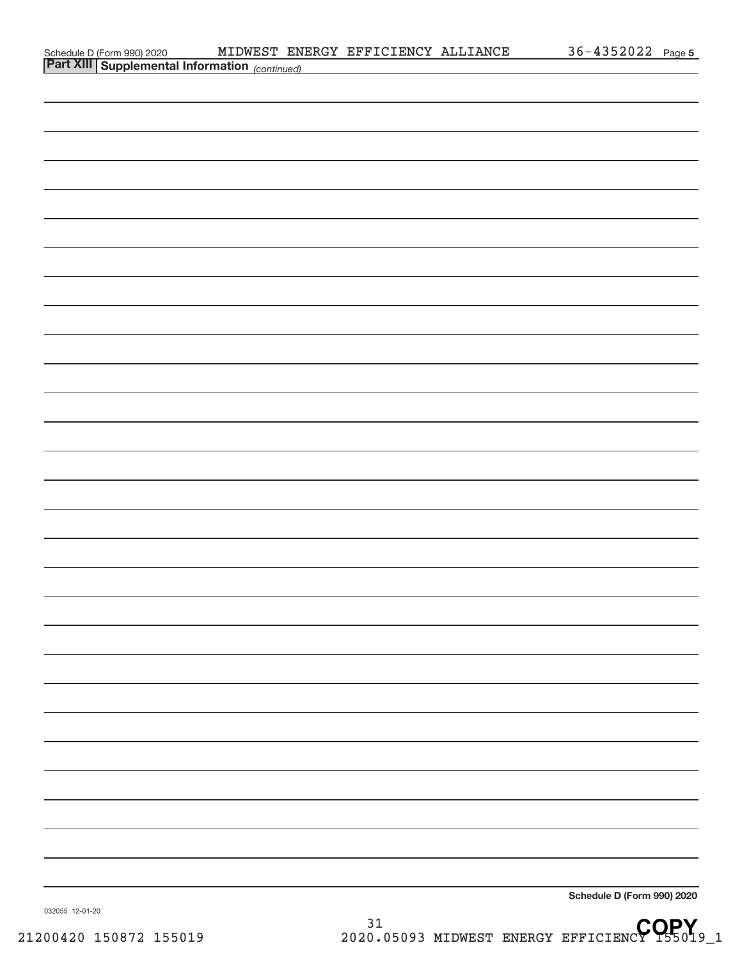| Schedule D (Form 990) 2020 MIDWEST ENI<br>Part XIII Supplemental Information (continued) |  | MIDWEST ENERGY EFFICIENCY ALLIANCE | 36-4352022 Page 5 |  |
|------------------------------------------------------------------------------------------|--|------------------------------------|-------------------|--|
|                                                                                          |  |                                    |                   |  |
|                                                                                          |  |                                    |                   |  |
|                                                                                          |  |                                    |                   |  |
|                                                                                          |  |                                    |                   |  |
|                                                                                          |  |                                    |                   |  |
|                                                                                          |  |                                    |                   |  |
|                                                                                          |  |                                    |                   |  |
|                                                                                          |  |                                    |                   |  |
|                                                                                          |  |                                    |                   |  |
|                                                                                          |  |                                    |                   |  |
|                                                                                          |  |                                    |                   |  |
|                                                                                          |  |                                    |                   |  |
|                                                                                          |  |                                    |                   |  |
|                                                                                          |  |                                    |                   |  |
|                                                                                          |  |                                    |                   |  |
|                                                                                          |  |                                    |                   |  |
|                                                                                          |  |                                    |                   |  |
|                                                                                          |  |                                    |                   |  |
|                                                                                          |  |                                    |                   |  |
|                                                                                          |  |                                    |                   |  |
|                                                                                          |  |                                    |                   |  |
|                                                                                          |  |                                    |                   |  |
|                                                                                          |  |                                    |                   |  |
|                                                                                          |  |                                    |                   |  |
|                                                                                          |  |                                    |                   |  |
|                                                                                          |  |                                    |                   |  |
|                                                                                          |  |                                    |                   |  |
|                                                                                          |  |                                    |                   |  |
|                                                                                          |  |                                    |                   |  |
|                                                                                          |  |                                    |                   |  |
|                                                                                          |  |                                    |                   |  |
|                                                                                          |  |                                    |                   |  |
|                                                                                          |  |                                    |                   |  |

032055 12‐01‐20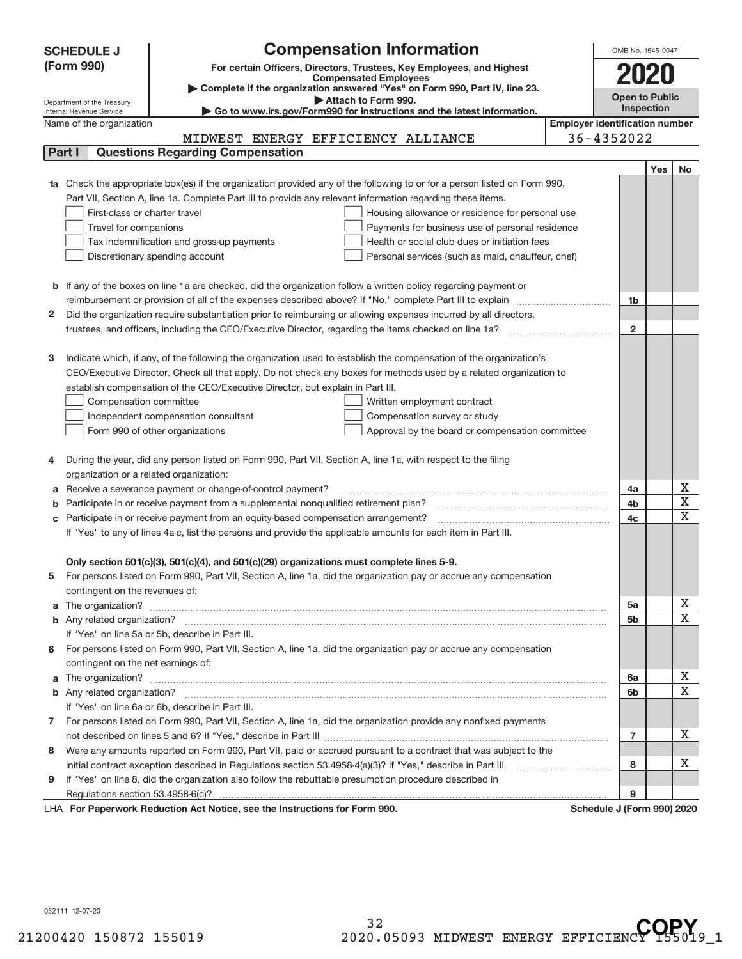|        | <b>Compensation Information</b><br><b>SCHEDULE J</b>                                                                                                    | OMB No. 1545-0047     |     |                   |
|--------|---------------------------------------------------------------------------------------------------------------------------------------------------------|-----------------------|-----|-------------------|
|        | (Form 990)<br>For certain Officers, Directors, Trustees, Key Employees, and Highest                                                                     |                       |     |                   |
|        | <b>Compensated Employees</b>                                                                                                                            | 2020                  |     |                   |
|        | Complete if the organization answered "Yes" on Form 990, Part IV, line 23.                                                                              | <b>Open to Public</b> |     |                   |
|        | Attach to Form 990.<br>Department of the Treasury<br>Go to www.irs.gov/Form990 for instructions and the latest information.<br>Internal Revenue Service | Inspection            |     |                   |
|        | <b>Employer identification number</b><br>Name of the organization                                                                                       |                       |     |                   |
|        | 36-4352022<br>MIDWEST ENERGY EFFICIENCY ALLIANCE                                                                                                        |                       |     |                   |
| Part I | <b>Questions Regarding Compensation</b>                                                                                                                 |                       |     |                   |
|        |                                                                                                                                                         |                       | Yes | No                |
|        | Check the appropriate box(es) if the organization provided any of the following to or for a person listed on Form 990,                                  |                       |     |                   |
|        | Part VII, Section A, line 1a. Complete Part III to provide any relevant information regarding these items.                                              |                       |     |                   |
|        | First-class or charter travel<br>Housing allowance or residence for personal use                                                                        |                       |     |                   |
|        | Travel for companions<br>Payments for business use of personal residence                                                                                |                       |     |                   |
|        | Tax indemnification and gross-up payments<br>Health or social club dues or initiation fees                                                              |                       |     |                   |
|        | Discretionary spending account<br>Personal services (such as maid, chauffeur, chef)                                                                     |                       |     |                   |
|        |                                                                                                                                                         |                       |     |                   |
|        | <b>b</b> If any of the boxes on line 1a are checked, did the organization follow a written policy regarding payment or                                  |                       |     |                   |
|        | reimbursement or provision of all of the expenses described above? If "No," complete Part III to explain                                                | 1b                    |     |                   |
| 2      | Did the organization require substantiation prior to reimbursing or allowing expenses incurred by all directors,                                        |                       |     |                   |
|        |                                                                                                                                                         | $\overline{2}$        |     |                   |
|        |                                                                                                                                                         |                       |     |                   |
| з      | Indicate which, if any, of the following the organization used to establish the compensation of the organization's                                      |                       |     |                   |
|        | CEO/Executive Director. Check all that apply. Do not check any boxes for methods used by a related organization to                                      |                       |     |                   |
|        | establish compensation of the CEO/Executive Director, but explain in Part III.                                                                          |                       |     |                   |
|        | Compensation committee<br>Written employment contract                                                                                                   |                       |     |                   |
|        | Independent compensation consultant<br>Compensation survey or study                                                                                     |                       |     |                   |
|        | Form 990 of other organizations<br>Approval by the board or compensation committee                                                                      |                       |     |                   |
|        |                                                                                                                                                         |                       |     |                   |
| 4      | During the year, did any person listed on Form 990, Part VII, Section A, line 1a, with respect to the filing                                            |                       |     |                   |
|        | organization or a related organization:                                                                                                                 |                       |     |                   |
| а      | Receive a severance payment or change-of-control payment?                                                                                               | 4a                    |     | х                 |
| b      | Participate in or receive payment from a supplemental nonqualified retirement plan?                                                                     | 4b                    |     | X                 |
| с      | Participate in or receive payment from an equity-based compensation arrangement?                                                                        | 4c                    |     | $\mathbf x$       |
|        | If "Yes" to any of lines 4a-c, list the persons and provide the applicable amounts for each item in Part III.                                           |                       |     |                   |
|        |                                                                                                                                                         |                       |     |                   |
|        | Only section 501(c)(3), 501(c)(4), and 501(c)(29) organizations must complete lines 5-9.                                                                |                       |     |                   |
|        | For persons listed on Form 990, Part VII, Section A, line 1a, did the organization pay or accrue any compensation                                       |                       |     |                   |
|        | contingent on the revenues of:                                                                                                                          |                       |     |                   |
| a      |                                                                                                                                                         | 5a                    |     | х                 |
|        |                                                                                                                                                         | 5b                    |     | X                 |
|        | If "Yes" on line 5a or 5b, describe in Part III.                                                                                                        |                       |     |                   |
| 6.     | For persons listed on Form 990, Part VII, Section A, line 1a, did the organization pay or accrue any compensation                                       |                       |     |                   |
|        | contingent on the net earnings of:                                                                                                                      |                       |     |                   |
| a      |                                                                                                                                                         | 6а                    |     | х<br>$\mathbf{x}$ |
|        |                                                                                                                                                         | 6b                    |     |                   |
|        | If "Yes" on line 6a or 6b, describe in Part III.                                                                                                        |                       |     |                   |
|        | 7 For persons listed on Form 990, Part VII, Section A, line 1a, did the organization provide any nonfixed payments                                      |                       |     | x                 |
|        |                                                                                                                                                         | $\overline{7}$        |     |                   |
| 8      | Were any amounts reported on Form 990, Part VII, paid or accrued pursuant to a contract that was subject to the                                         |                       |     | х                 |
|        | initial contract exception described in Regulations section 53.4958-4(a)(3)? If "Yes," describe in Part III                                             | 8                     |     |                   |
| 9      | If "Yes" on line 8, did the organization also follow the rebuttable presumption procedure described in                                                  |                       |     |                   |
|        | Regulations section 53.4958-6(c)?<br><b>Departments Reduction Act Notice, can the Instructions for Ferm 000</b><br>Schodule I (Form 000) 2020           | 9                     |     |                   |

LHA For Paperwork Reduction Act Notice, see the Instructions for Form 990. **In the case of the Schedule J (Form 990) 2020** 

032111 12‐07‐20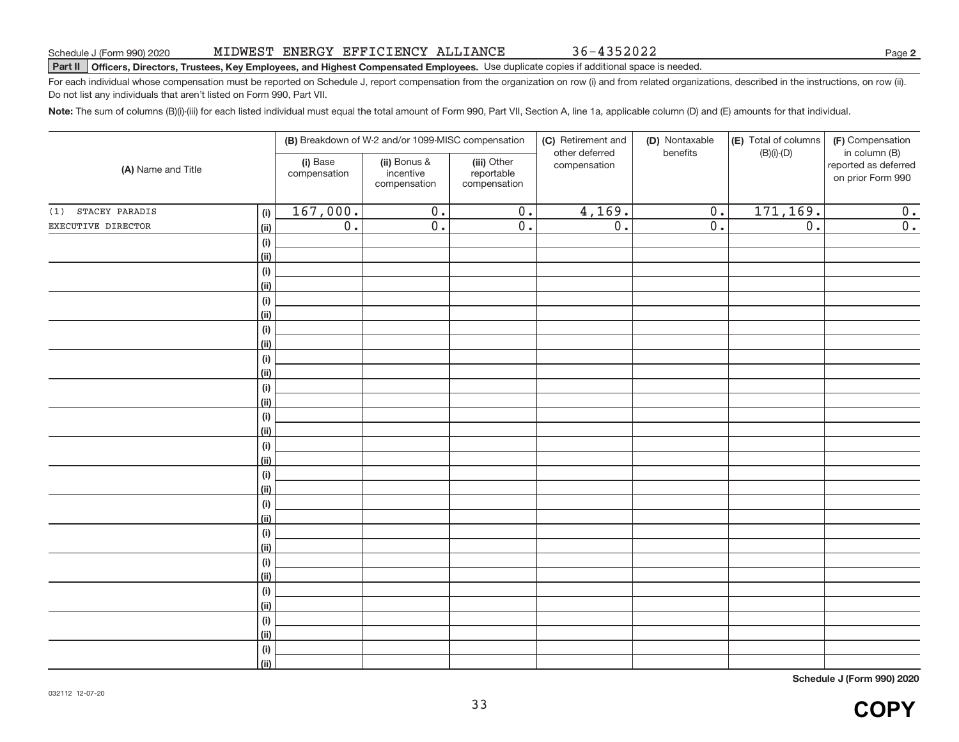36‐4352022

**2**

#### **Part II Officers, Directors, Trustees, Key Employees, and Highest Compensated Employees.** Use duplicate copies if additional space is needed.

For each individual whose compensation must be reported on Schedule J, report compensation from the organization on row (i) and from related organizations, described in the instructions, on row (ii). Do not list any individuals that aren't listed on Form 990, Part VII.

**Note:** The sum of columns (B)(i)‐(iii) for each listed individual must equal the total amount of Form 990, Part VII, Section A, line 1a, applicable column (D) and (E) amounts for that individual.

| (A) Name and Title    |                                   | (B) Breakdown of W-2 and/or 1099-MISC compensation |                                           |                                           | (C) Retirement and<br>(D) Nontaxable<br>other deferred<br>benefits | (E) Total of columns<br>$(B)(i)-(D)$ | (F) Compensation<br>in column (B) |                                           |
|-----------------------|-----------------------------------|----------------------------------------------------|-------------------------------------------|-------------------------------------------|--------------------------------------------------------------------|--------------------------------------|-----------------------------------|-------------------------------------------|
|                       |                                   | (i) Base<br>compensation                           | (ii) Bonus &<br>incentive<br>compensation | (iii) Other<br>reportable<br>compensation | compensation                                                       |                                      |                                   | reported as deferred<br>on prior Form 990 |
| STACEY PARADIS<br>(1) | (i)                               | 167,000.                                           | $\overline{0}$ .                          | $\overline{0}$ .                          | 4,169.                                                             | $0$ .                                | 171,169.                          | 0.                                        |
| EXECUTIVE DIRECTOR    | $\overline{(\mathsf{ii})}$        | 0.                                                 | 0.                                        | 0.                                        | $\overline{0}$ .                                                   | $\overline{0}$ .                     | $\overline{0}$ .                  | 0.                                        |
|                       | (i)                               |                                                    |                                           |                                           |                                                                    |                                      |                                   |                                           |
|                       | $\overline{(\mathsf{ii})}$        |                                                    |                                           |                                           |                                                                    |                                      |                                   |                                           |
|                       | (i)                               |                                                    |                                           |                                           |                                                                    |                                      |                                   |                                           |
|                       | $\overline{(\mathsf{ii})}$        |                                                    |                                           |                                           |                                                                    |                                      |                                   |                                           |
|                       | (i)                               |                                                    |                                           |                                           |                                                                    |                                      |                                   |                                           |
|                       | $\overline{(\mathsf{ii})}$        |                                                    |                                           |                                           |                                                                    |                                      |                                   |                                           |
|                       | (i)                               |                                                    |                                           |                                           |                                                                    |                                      |                                   |                                           |
|                       | $\overline{(\mathsf{ii})}$        |                                                    |                                           |                                           |                                                                    |                                      |                                   |                                           |
|                       | (i)                               |                                                    |                                           |                                           |                                                                    |                                      |                                   |                                           |
|                       | $\overline{(\mathsf{ii})}$        |                                                    |                                           |                                           |                                                                    |                                      |                                   |                                           |
|                       | (i)                               |                                                    |                                           |                                           |                                                                    |                                      |                                   |                                           |
|                       | $\overline{(\mathsf{ii})}$        |                                                    |                                           |                                           |                                                                    |                                      |                                   |                                           |
|                       | (i)<br>$\overline{(\mathsf{ii})}$ |                                                    |                                           |                                           |                                                                    |                                      |                                   |                                           |
|                       | (i)                               |                                                    |                                           |                                           |                                                                    |                                      |                                   |                                           |
|                       | $\overline{(\mathsf{ii})}$        |                                                    |                                           |                                           |                                                                    |                                      |                                   |                                           |
|                       | (i)                               |                                                    |                                           |                                           |                                                                    |                                      |                                   |                                           |
|                       | $\overline{(\mathsf{ii})}$        |                                                    |                                           |                                           |                                                                    |                                      |                                   |                                           |
|                       | (i)                               |                                                    |                                           |                                           |                                                                    |                                      |                                   |                                           |
|                       | $\overline{(\mathsf{ii})}$        |                                                    |                                           |                                           |                                                                    |                                      |                                   |                                           |
|                       | (i)                               |                                                    |                                           |                                           |                                                                    |                                      |                                   |                                           |
|                       | $\overline{(\mathsf{ii})}$        |                                                    |                                           |                                           |                                                                    |                                      |                                   |                                           |
|                       | (i)                               |                                                    |                                           |                                           |                                                                    |                                      |                                   |                                           |
|                       | $\overline{(\mathsf{ii})}$        |                                                    |                                           |                                           |                                                                    |                                      |                                   |                                           |
|                       | (i)                               |                                                    |                                           |                                           |                                                                    |                                      |                                   |                                           |
|                       | $\overline{(\mathsf{ii})}$        |                                                    |                                           |                                           |                                                                    |                                      |                                   |                                           |
|                       | (i)                               |                                                    |                                           |                                           |                                                                    |                                      |                                   |                                           |
|                       | $\overline{(\mathsf{ii})}$        |                                                    |                                           |                                           |                                                                    |                                      |                                   |                                           |
|                       | (i)                               |                                                    |                                           |                                           |                                                                    |                                      |                                   |                                           |
|                       | (iii)                             |                                                    |                                           |                                           |                                                                    |                                      |                                   |                                           |

**Schedule J (Form 990) 2020**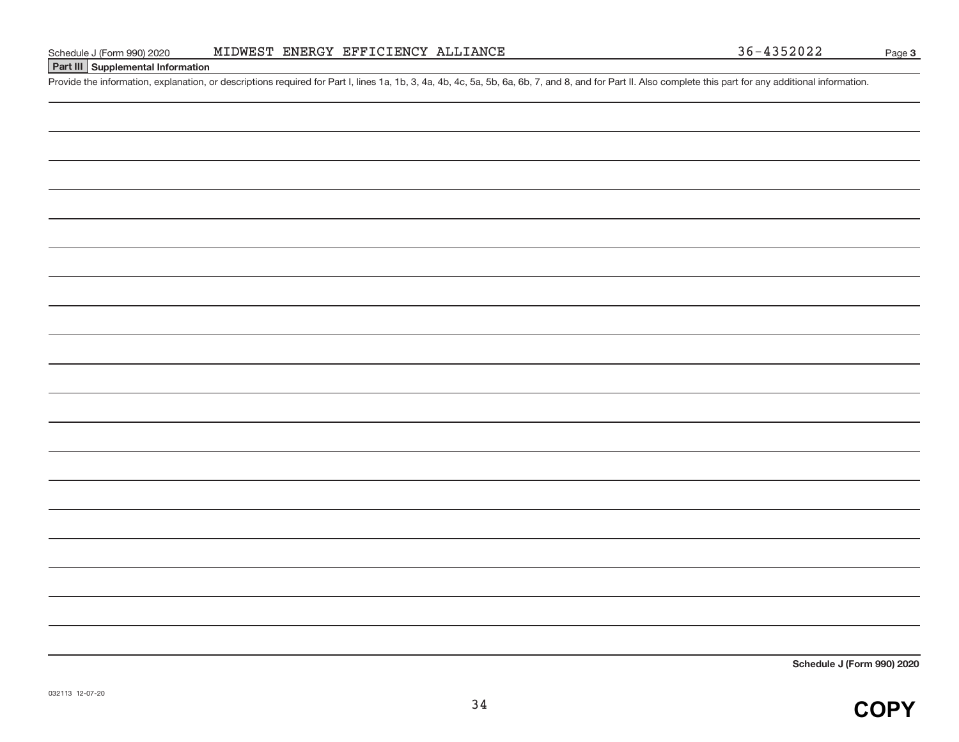#### **Part III Supplemental Information**

Provide the information, explanation, or descriptions required for Part I, lines 1a, 1b, 3, 4a, 4b, 4c, 5a, 5b, 6a, 6b, 7, and 8, and for Part II. Also complete this part for any additional information.

**Schedule J (Form 990) 2020**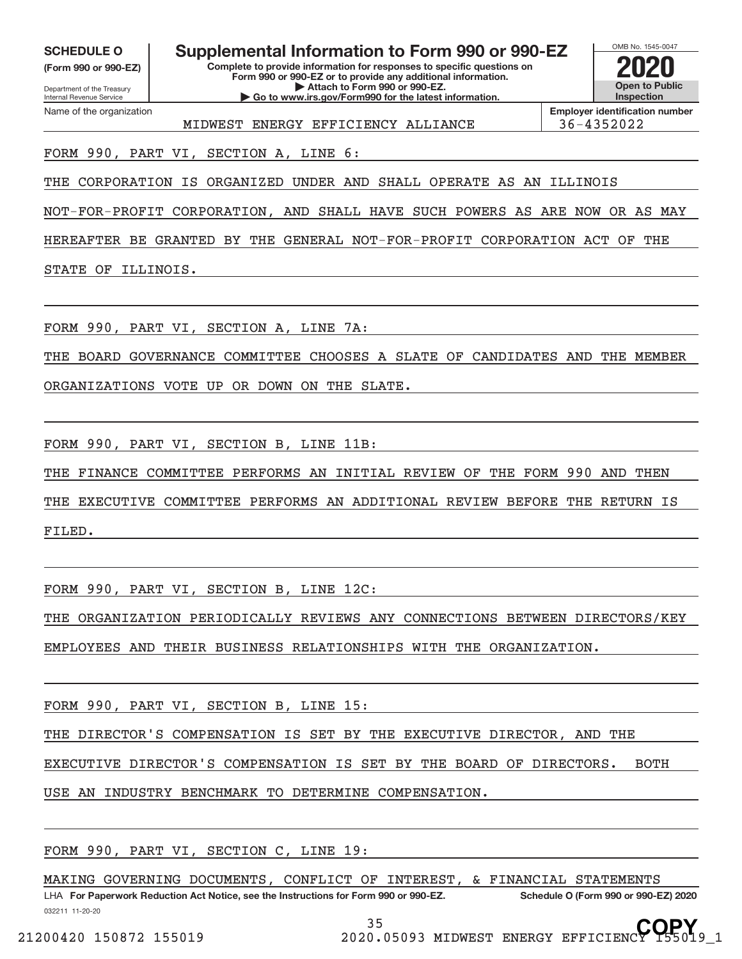**(Form 990 or 990‐EZ)**

Department of the Treasury Internal Revenue Service Name of the organization

**Complete to provide information for responses to specific questions on SCHEDULE O Supplemental Information to Form 990 or 990‐EZ 2020**

**Form 990 or 990‐EZ or to provide any additional information. | Attach to Form 990 or 990‐EZ. | Go to www.irs.gov/Form990 for the latest information.**

MIDWEST ENERGY EFFICIENCY ALLIANCE | 36-4352022

**Employer identification number**

OMB No. 1545‐0047

**Open to Public Inspection**

**COPY**

FORM 990, PART VI, SECTION A, LINE 6:

THE CORPORATION IS ORGANIZED UNDER AND SHALL OPERATE AS AN ILLINOIS

NOT‐FOR‐PROFIT CORPORATION, AND SHALL HAVE SUCH POWERS AS ARE NOW OR AS MAY

HEREAFTER BE GRANTED BY THE GENERAL NOT‐FOR‐PROFIT CORPORATION ACT OF THE

STATE OF ILLINOIS.

FORM 990, PART VI, SECTION A, LINE 7A:

THE BOARD GOVERNANCE COMMITTEE CHOOSES A SLATE OF CANDIDATES AND THE MEMBER

ORGANIZATIONS VOTE UP OR DOWN ON THE SLATE.

FORM 990, PART VI, SECTION B, LINE 11B:

THE FINANCE COMMITTEE PERFORMS AN INITIAL REVIEW OF THE FORM 990 AND THEN

THE EXECUTIVE COMMITTEE PERFORMS AN ADDITIONAL REVIEW BEFORE THE RETURN IS FILED.

FORM 990, PART VI, SECTION B, LINE 12C:

THE ORGANIZATION PERIODICALLY REVIEWS ANY CONNECTIONS BETWEEN DIRECTORS/KEY

EMPLOYEES AND THEIR BUSINESS RELATIONSHIPS WITH THE ORGANIZATION.

FORM 990, PART VI, SECTION B, LINE 15:

THE DIRECTOR'S COMPENSATION IS SET BY THE EXECUTIVE DIRECTOR, AND THE

EXECUTIVE DIRECTOR'S COMPENSATION IS SET BY THE BOARD OF DIRECTORS. BOTH

USE AN INDUSTRY BENCHMARK TO DETERMINE COMPENSATION.

FORM 990, PART VI, SECTION C, LINE 19:

MAKING GOVERNING DOCUMENTS, CONFLICT OF INTEREST, & FINANCIAL STATEMENTS

032211 11‐20‐20 **For Paperwork Reduction Act Notice, see the Instructions for Form 990 or 990‐EZ. Schedule O (Form 990 or 990‐EZ) 2020** LHA